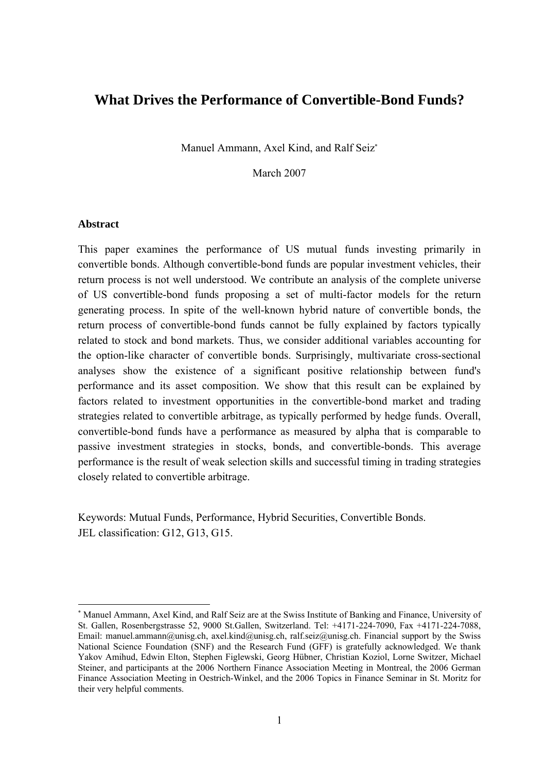# **What Drives the Performance of Convertible-Bond Funds?**

Manuel Ammann, Axel Kind, and Ralf Seiz<sup>∗</sup>

March 2007

#### **Abstract**

-

This paper examines the performance of US mutual funds investing primarily in convertible bonds. Although convertible-bond funds are popular investment vehicles, their return process is not well understood. We contribute an analysis of the complete universe of US convertible-bond funds proposing a set of multi-factor models for the return generating process. In spite of the well-known hybrid nature of convertible bonds, the return process of convertible-bond funds cannot be fully explained by factors typically related to stock and bond markets. Thus, we consider additional variables accounting for the option-like character of convertible bonds. Surprisingly, multivariate cross-sectional analyses show the existence of a significant positive relationship between fund's performance and its asset composition. We show that this result can be explained by factors related to investment opportunities in the convertible-bond market and trading strategies related to convertible arbitrage, as typically performed by hedge funds. Overall, convertible-bond funds have a performance as measured by alpha that is comparable to passive investment strategies in stocks, bonds, and convertible-bonds. This average performance is the result of weak selection skills and successful timing in trading strategies closely related to convertible arbitrage.

Keywords: Mutual Funds, Performance, Hybrid Securities, Convertible Bonds. JEL classification: G12, G13, G15.

<sup>∗</sup> Manuel Ammann, Axel Kind, and Ralf Seiz are at the Swiss Institute of Banking and Finance, University of St. Gallen, Rosenbergstrasse 52, 9000 St.Gallen, Switzerland. Tel: +4171-224-7090, Fax +4171-224-7088, Email: manuel.ammann@unisg.ch, axel.kind@unisg.ch, ralf.seiz@unisg.ch. Financial support by the Swiss National Science Foundation (SNF) and the Research Fund (GFF) is gratefully acknowledged. We thank Yakov Amihud, Edwin Elton, Stephen Figlewski, Georg Hübner, Christian Koziol, Lorne Switzer, Michael Steiner, and participants at the 2006 Northern Finance Association Meeting in Montreal, the 2006 German Finance Association Meeting in Oestrich-Winkel, and the 2006 Topics in Finance Seminar in St. Moritz for their very helpful comments.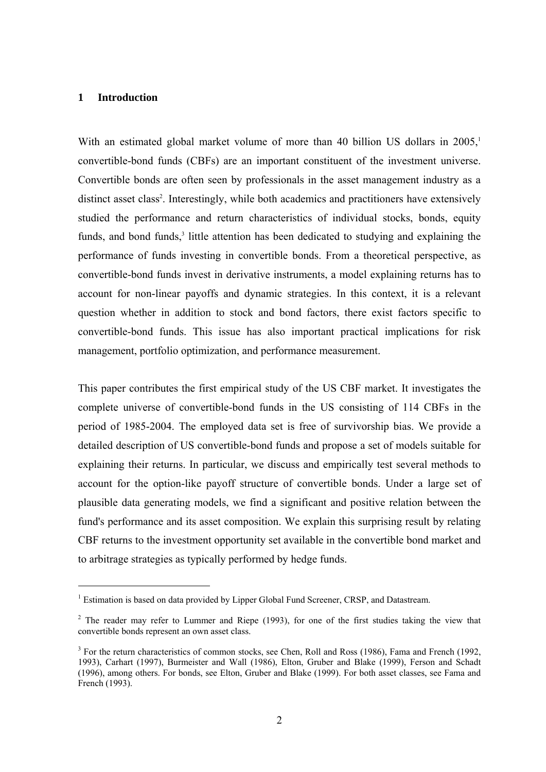## **1 Introduction**

-

With an estimated global market volume of more than 40 billion US dollars in  $2005$ <sup>1</sup> convertible-bond funds (CBFs) are an important constituent of the investment universe. Convertible bonds are often seen by professionals in the asset management industry as a distinct asset class<sup>2</sup>. Interestingly, while both academics and practitioners have extensively studied the performance and return characteristics of individual stocks, bonds, equity funds, and bond funds,<sup>3</sup> little attention has been dedicated to studying and explaining the performance of funds investing in convertible bonds. From a theoretical perspective, as convertible-bond funds invest in derivative instruments, a model explaining returns has to account for non-linear payoffs and dynamic strategies. In this context, it is a relevant question whether in addition to stock and bond factors, there exist factors specific to convertible-bond funds. This issue has also important practical implications for risk management, portfolio optimization, and performance measurement.

This paper contributes the first empirical study of the US CBF market. It investigates the complete universe of convertible-bond funds in the US consisting of 114 CBFs in the period of 1985-2004. The employed data set is free of survivorship bias. We provide a detailed description of US convertible-bond funds and propose a set of models suitable for explaining their returns. In particular, we discuss and empirically test several methods to account for the option-like payoff structure of convertible bonds. Under a large set of plausible data generating models, we find a significant and positive relation between the fund's performance and its asset composition. We explain this surprising result by relating CBF returns to the investment opportunity set available in the convertible bond market and to arbitrage strategies as typically performed by hedge funds.

<sup>&</sup>lt;sup>1</sup> Estimation is based on data provided by Lipper Global Fund Screener, CRSP, and Datastream.

 $2$  The reader may refer to Lummer and Riepe (1993), for one of the first studies taking the view that convertible bonds represent an own asset class.

<sup>&</sup>lt;sup>3</sup> For the return characteristics of common stocks, see Chen, Roll and Ross (1986), Fama and French (1992, 1993), Carhart (1997), Burmeister and Wall (1986), Elton, Gruber and Blake (1999), Ferson and Schadt (1996), among others. For bonds, see Elton, Gruber and Blake (1999). For both asset classes, see Fama and French (1993).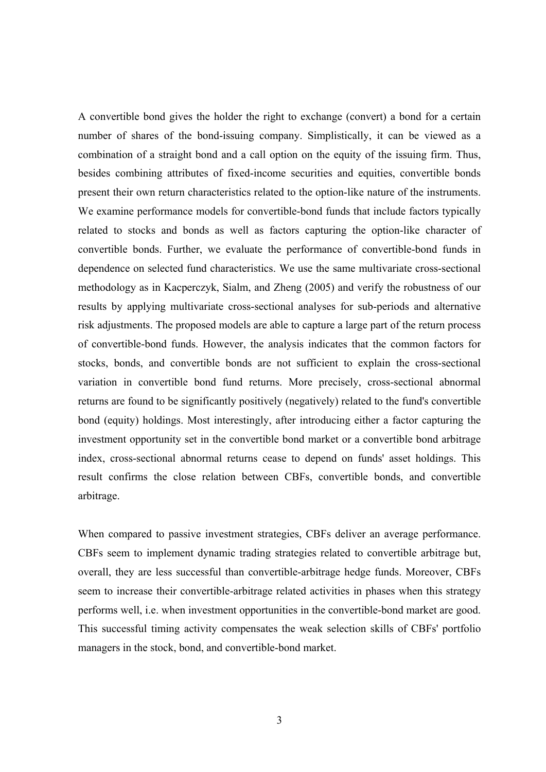A convertible bond gives the holder the right to exchange (convert) a bond for a certain number of shares of the bond-issuing company. Simplistically, it can be viewed as a combination of a straight bond and a call option on the equity of the issuing firm. Thus, besides combining attributes of fixed-income securities and equities, convertible bonds present their own return characteristics related to the option-like nature of the instruments. We examine performance models for convertible-bond funds that include factors typically related to stocks and bonds as well as factors capturing the option-like character of convertible bonds. Further, we evaluate the performance of convertible-bond funds in dependence on selected fund characteristics. We use the same multivariate cross-sectional methodology as in Kacperczyk, Sialm, and Zheng (2005) and verify the robustness of our results by applying multivariate cross-sectional analyses for sub-periods and alternative risk adjustments. The proposed models are able to capture a large part of the return process of convertible-bond funds. However, the analysis indicates that the common factors for stocks, bonds, and convertible bonds are not sufficient to explain the cross-sectional variation in convertible bond fund returns. More precisely, cross-sectional abnormal returns are found to be significantly positively (negatively) related to the fund's convertible bond (equity) holdings. Most interestingly, after introducing either a factor capturing the investment opportunity set in the convertible bond market or a convertible bond arbitrage index, cross-sectional abnormal returns cease to depend on funds' asset holdings. This result confirms the close relation between CBFs, convertible bonds, and convertible arbitrage.

When compared to passive investment strategies, CBFs deliver an average performance. CBFs seem to implement dynamic trading strategies related to convertible arbitrage but, overall, they are less successful than convertible-arbitrage hedge funds. Moreover, CBFs seem to increase their convertible-arbitrage related activities in phases when this strategy performs well, i.e. when investment opportunities in the convertible-bond market are good. This successful timing activity compensates the weak selection skills of CBFs' portfolio managers in the stock, bond, and convertible-bond market.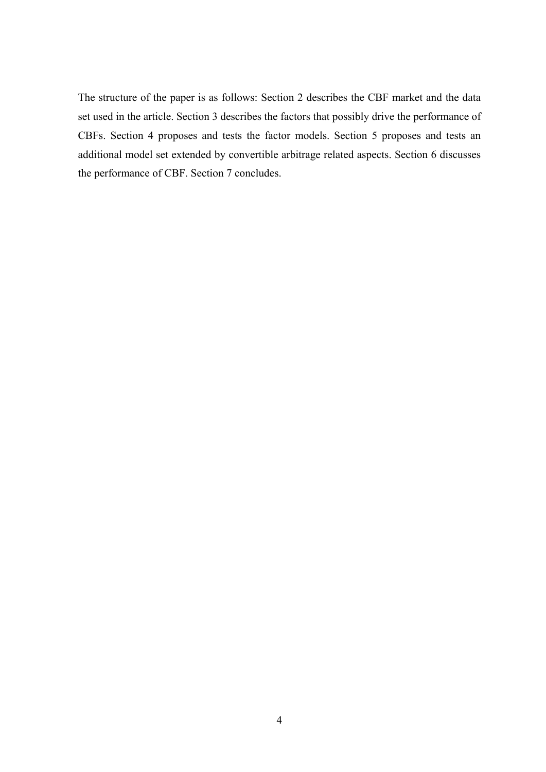The structure of the paper is as follows: Section 2 describes the CBF market and the data set used in the article. Section 3 describes the factors that possibly drive the performance of CBFs. Section 4 proposes and tests the factor models. Section 5 proposes and tests an additional model set extended by convertible arbitrage related aspects. Section 6 discusses the performance of CBF. Section 7 concludes.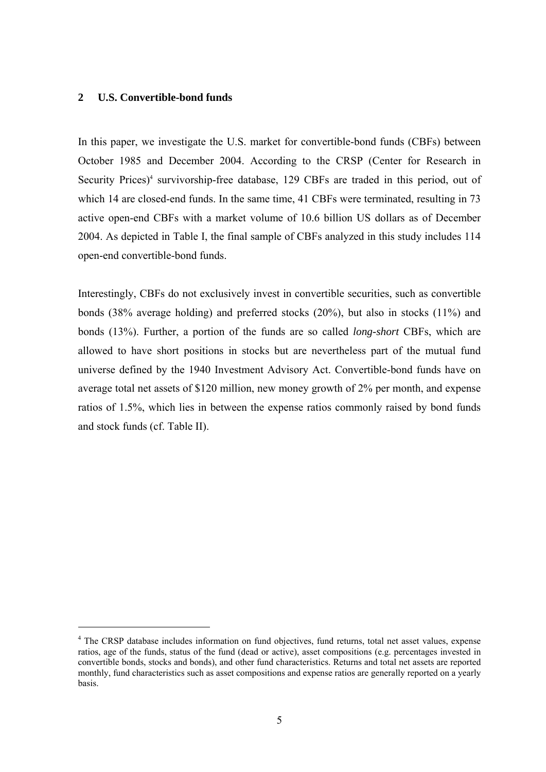## **2 U.S. Convertible-bond funds**

-

In this paper, we investigate the U.S. market for convertible-bond funds (CBFs) between October 1985 and December 2004. According to the CRSP (Center for Research in Security Prices)<sup>4</sup> survivorship-free database, 129 CBFs are traded in this period, out of which 14 are closed-end funds. In the same time, 41 CBFs were terminated, resulting in 73 active open-end CBFs with a market volume of 10.6 billion US dollars as of December 2004. As depicted in Table I, the final sample of CBFs analyzed in this study includes 114 open-end convertible-bond funds.

Interestingly, CBFs do not exclusively invest in convertible securities, such as convertible bonds (38% average holding) and preferred stocks (20%), but also in stocks (11%) and bonds (13%). Further, a portion of the funds are so called *long-short* CBFs, which are allowed to have short positions in stocks but are nevertheless part of the mutual fund universe defined by the 1940 Investment Advisory Act. Convertible-bond funds have on average total net assets of \$120 million, new money growth of 2% per month, and expense ratios of 1.5%, which lies in between the expense ratios commonly raised by bond funds and stock funds (cf. Table II).

<sup>&</sup>lt;sup>4</sup> The CRSP database includes information on fund objectives, fund returns, total net asset values, expense ratios, age of the funds, status of the fund (dead or active), asset compositions (e.g. percentages invested in convertible bonds, stocks and bonds), and other fund characteristics. Returns and total net assets are reported monthly, fund characteristics such as asset compositions and expense ratios are generally reported on a yearly basis.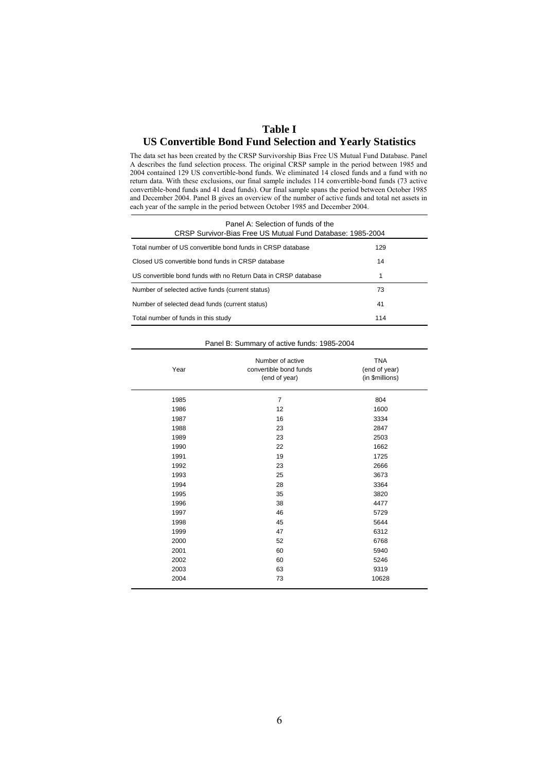## **Table I US Convertible Bond Fund Selection and Yearly Statistics**

The data set has been created by the CRSP Survivorship Bias Free US Mutual Fund Database. Panel A describes the fund selection process. The original CRSP sample in the period between 1985 and 2004 contained 129 US convertible-bond funds. We eliminated 14 closed funds and a fund with no return data. With these exclusions, our final sample includes 114 convertible-bond funds (73 active convertible-bond funds and 41 dead funds). Our final sample spans the period between October 1985 and December 2004. Panel B gives an overview of the number of active funds and total net assets in each year of the sample in the period between October 1985 and December 2004.

| Panel A: Selection of funds of the<br>CRSP Survivor-Bias Free US Mutual Fund Database: 1985-2004 |     |  |  |  |  |  |  |  |  |  |
|--------------------------------------------------------------------------------------------------|-----|--|--|--|--|--|--|--|--|--|
| Total number of US convertible bond funds in CRSP database                                       | 129 |  |  |  |  |  |  |  |  |  |
| Closed US convertible bond funds in CRSP database                                                | 14  |  |  |  |  |  |  |  |  |  |
| US convertible bond funds with no Return Data in CRSP database                                   | 1   |  |  |  |  |  |  |  |  |  |
| Number of selected active funds (current status)                                                 | 73  |  |  |  |  |  |  |  |  |  |
| Number of selected dead funds (current status)                                                   | 41  |  |  |  |  |  |  |  |  |  |
| Total number of funds in this study                                                              | 114 |  |  |  |  |  |  |  |  |  |

#### Panel B: Summary of active funds: 1985-2004

| Year | Number of active<br>convertible bond funds<br>(end of year) | <b>TNA</b><br>(end of year)<br>(in \$millions) |
|------|-------------------------------------------------------------|------------------------------------------------|
| 1985 | 7                                                           | 804                                            |
| 1986 | 12                                                          | 1600                                           |
| 1987 | 16                                                          | 3334                                           |
| 1988 | 23                                                          | 2847                                           |
| 1989 | 23                                                          | 2503                                           |
| 1990 | 22                                                          | 1662                                           |
| 1991 | 19                                                          | 1725                                           |
| 1992 | 23                                                          | 2666                                           |
| 1993 | 25                                                          | 3673                                           |
| 1994 | 28                                                          | 3364                                           |
| 1995 | 35                                                          | 3820                                           |
| 1996 | 38                                                          | 4477                                           |
| 1997 | 46                                                          | 5729                                           |
| 1998 | 45                                                          | 5644                                           |
| 1999 | 47                                                          | 6312                                           |
| 2000 | 52                                                          | 6768                                           |
| 2001 | 60                                                          | 5940                                           |
| 2002 | 60                                                          | 5246                                           |
| 2003 | 63                                                          | 9319                                           |
| 2004 | 73                                                          | 10628                                          |
|      |                                                             |                                                |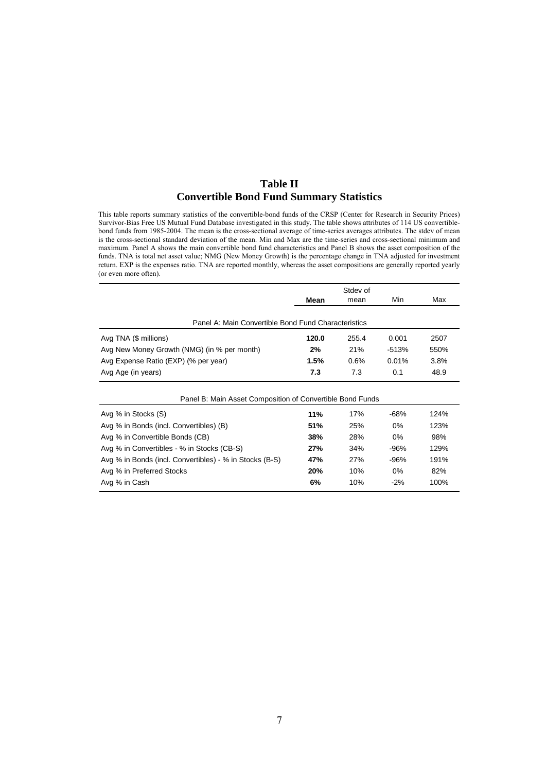## **Table II Convertible Bond Fund Summary Statistics**

This table reports summary statistics of the convertible-bond funds of the CRSP (Center for Research in Security Prices) Survivor-Bias Free US Mutual Fund Database investigated in this study. The table shows attributes of 114 US convertiblebond funds from 1985-2004. The mean is the cross-sectional average of time-series averages attributes. The stdev of mean is the cross-sectional standard deviation of the mean. Min and Max are the time-series and cross-sectional minimum and maximum. Panel A shows the main convertible bond fund characteristics and Panel B shows the asset composition of the funds. TNA is total net asset value; NMG (New Money Growth) is the percentage change in TNA adjusted for investment return. EXP is the expenses ratio. TNA are reported monthly, whereas the asset compositions are generally reported yearly (or even more often).

|                                                           | Mean  | mean  | Min     | Max  |
|-----------------------------------------------------------|-------|-------|---------|------|
|                                                           |       |       |         |      |
| Panel A: Main Convertible Bond Fund Characteristics       |       |       |         |      |
| Avg TNA (\$ millions)                                     | 120.0 | 255.4 | 0.001   | 2507 |
| Avg New Money Growth (NMG) (in % per month)               | 2%    | 21%   | $-513%$ | 550% |
| Avg Expense Ratio (EXP) (% per year)                      | 1.5%  | 0.6%  | 0.01%   | 3.8% |
| Avg Age (in years)                                        | 7.3   | 7.3   | 0.1     | 48.9 |
|                                                           |       |       |         |      |
| Panel B: Main Asset Composition of Convertible Bond Funds |       |       |         |      |
| Avg % in Stocks (S)                                       | 11%   | 17%   | -68%    | 124% |
| Avg % in Bonds (incl. Convertibles) (B)                   | 51%   | 25%   | 0%      | 123% |
| Avg % in Convertible Bonds (CB)                           | 38%   | 28%   | $0\%$   | 98%  |
| Avg % in Convertibles - % in Stocks (CB-S)                | 27%   | 34%   | $-96%$  | 129% |
| Avg % in Bonds (incl. Convertibles) - % in Stocks (B-S)   | 47%   | 27%   | $-96%$  | 191% |
| Avg % in Preferred Stocks                                 | 20%   | 10%   | 0%      | 82%  |
| Avg % in Cash                                             | 6%    | 10%   | $-2\%$  | 100% |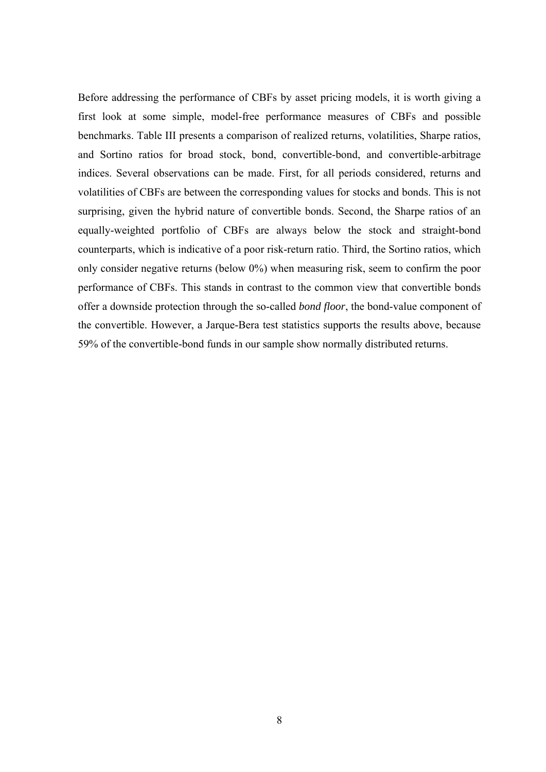Before addressing the performance of CBFs by asset pricing models, it is worth giving a first look at some simple, model-free performance measures of CBFs and possible benchmarks. Table III presents a comparison of realized returns, volatilities, Sharpe ratios, and Sortino ratios for broad stock, bond, convertible-bond, and convertible-arbitrage indices. Several observations can be made. First, for all periods considered, returns and volatilities of CBFs are between the corresponding values for stocks and bonds. This is not surprising, given the hybrid nature of convertible bonds. Second, the Sharpe ratios of an equally-weighted portfolio of CBFs are always below the stock and straight-bond counterparts, which is indicative of a poor risk-return ratio. Third, the Sortino ratios, which only consider negative returns (below 0%) when measuring risk, seem to confirm the poor performance of CBFs. This stands in contrast to the common view that convertible bonds offer a downside protection through the so-called *bond floor*, the bond-value component of the convertible. However, a Jarque-Bera test statistics supports the results above, because 59% of the convertible-bond funds in our sample show normally distributed returns.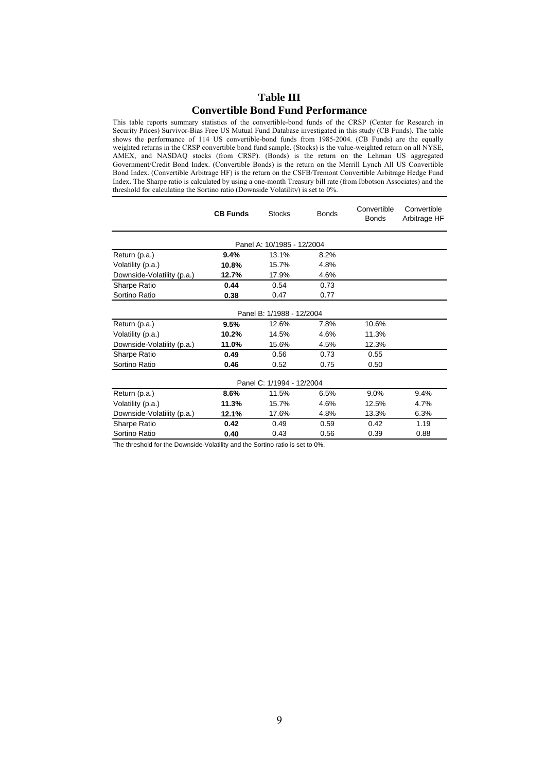## **Table III Convertible Bond Fund Performance**

This table reports summary statistics of the convertible-bond funds of the CRSP (Center for Research in Security Prices) Survivor-Bias Free US Mutual Fund Database investigated in this study (CB Funds). The table shows the performance of 114 US convertible-bond funds from 1985-2004. (CB Funds) are the equally weighted returns in the CRSP convertible bond fund sample. (Stocks) is the value-weighted return on all NYSE, AMEX, and NASDAQ stocks (from CRSP). (Bonds) is the return on the Lehman US aggregated Government/Credit Bond Index. (Convertible Bonds) is the return on the Merrill Lynch All US Convertible Bond Index. (Convertible Arbitrage HF) is the return on the CSFB/Tremont Convertible Arbitrage Hedge Fund Index. The Sharpe ratio is calculated by using a one-month Treasury bill rate (from Ibbotson Associates) and the threshold for calculating the Sortino ratio (Downside Volatility) is set to 0%.

|                            | <b>CB Funds</b> | <b>Stocks</b>              | <b>Bonds</b> | Convertible<br><b>Bonds</b> | Convertible<br>Arbitrage HF |  |  |  |  |  |  |  |
|----------------------------|-----------------|----------------------------|--------------|-----------------------------|-----------------------------|--|--|--|--|--|--|--|
|                            |                 | Panel A: 10/1985 - 12/2004 |              |                             |                             |  |  |  |  |  |  |  |
| Return (p.a.)              | 9.4%            | 13.1%                      | 8.2%         |                             |                             |  |  |  |  |  |  |  |
| Volatility (p.a.)          | 10.8%           | 15.7%                      | 4.8%         |                             |                             |  |  |  |  |  |  |  |
| Downside-Volatility (p.a.) | 12.7%           | 17.9%                      | 4.6%         |                             |                             |  |  |  |  |  |  |  |
| Sharpe Ratio               | 0.44            | 0.54                       | 0.73         |                             |                             |  |  |  |  |  |  |  |
| Sortino Ratio              | 0.38            | 0.47                       | 0.77         |                             |                             |  |  |  |  |  |  |  |
| Panel B: 1/1988 - 12/2004  |                 |                            |              |                             |                             |  |  |  |  |  |  |  |
| Return (p.a.)              | 9.5%            | 12.6%                      | 7.8%         | 10.6%                       |                             |  |  |  |  |  |  |  |
| Volatility (p.a.)          | 10.2%           | 14.5%                      | 4.6%         | 11.3%                       |                             |  |  |  |  |  |  |  |
| Downside-Volatility (p.a.) | 11.0%           | 15.6%                      | 4.5%         | 12.3%                       |                             |  |  |  |  |  |  |  |
| Sharpe Ratio               | 0.49            | 0.56                       | 0.73         | 0.55                        |                             |  |  |  |  |  |  |  |
| Sortino Ratio              | 0.46            | 0.52                       | 0.75         | 0.50                        |                             |  |  |  |  |  |  |  |
|                            |                 | Panel C: 1/1994 - 12/2004  |              |                             |                             |  |  |  |  |  |  |  |
| Return (p.a.)              | 8.6%            | 11.5%                      | 6.5%         | 9.0%                        | 9.4%                        |  |  |  |  |  |  |  |
| Volatility (p.a.)          | 11.3%           | 15.7%                      | 4.6%         | 12.5%                       | 4.7%                        |  |  |  |  |  |  |  |
| Downside-Volatility (p.a.) | 12.1%           | 17.6%                      | 4.8%         | 13.3%                       | 6.3%                        |  |  |  |  |  |  |  |
| Sharpe Ratio               | 0.42            | 0.49                       | 0.59         | 0.42                        | 1.19                        |  |  |  |  |  |  |  |
| Sortino Ratio              | 0.40            | 0.43                       | 0.56         | 0.39                        | 0.88                        |  |  |  |  |  |  |  |

The threshold for the Downside-Volatility and the Sortino ratio is set to 0%.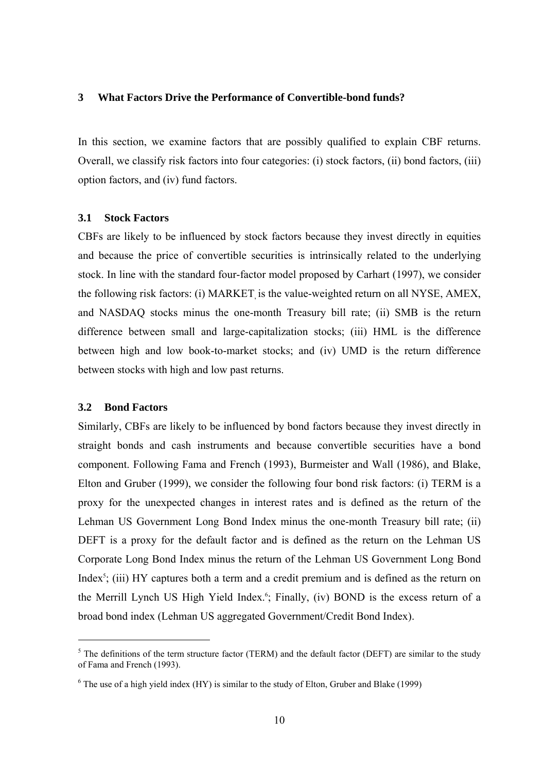## **3 What Factors Drive the Performance of Convertible-bond funds?**

In this section, we examine factors that are possibly qualified to explain CBF returns. Overall, we classify risk factors into four categories: (i) stock factors, (ii) bond factors, (iii) option factors, and (iv) fund factors.

#### **3.1 Stock Factors**

CBFs are likely to be influenced by stock factors because they invest directly in equities and because the price of convertible securities is intrinsically related to the underlying stock. In line with the standard four-factor model proposed by Carhart (1997), we consider the following risk factors: (i) MARKET is the value-weighted return on all NYSE, AMEX, and NASDAQ stocks minus the one-month Treasury bill rate; (ii) SMB is the return difference between small and large-capitalization stocks; (iii) HML is the difference between high and low book-to-market stocks; and (iv) UMD is the return difference between stocks with high and low past returns.

## **3.2 Bond Factors**

1

Similarly, CBFs are likely to be influenced by bond factors because they invest directly in straight bonds and cash instruments and because convertible securities have a bond component. Following Fama and French (1993), Burmeister and Wall (1986), and Blake, Elton and Gruber (1999), we consider the following four bond risk factors: (i) TERM is a proxy for the unexpected changes in interest rates and is defined as the return of the Lehman US Government Long Bond Index minus the one-month Treasury bill rate; (ii) DEFT is a proxy for the default factor and is defined as the return on the Lehman US Corporate Long Bond Index minus the return of the Lehman US Government Long Bond Index<sup>5</sup>; (iii) HY captures both a term and a credit premium and is defined as the return on the Merrill Lynch US High Yield Index.<sup>6</sup>; Finally, (iv) BOND is the excess return of a broad bond index (Lehman US aggregated Government/Credit Bond Index).

 $<sup>5</sup>$  The definitions of the term structure factor (TERM) and the default factor (DEFT) are similar to the study</sup> of Fama and French (1993).

 $6$  The use of a high yield index (HY) is similar to the study of Elton, Gruber and Blake (1999)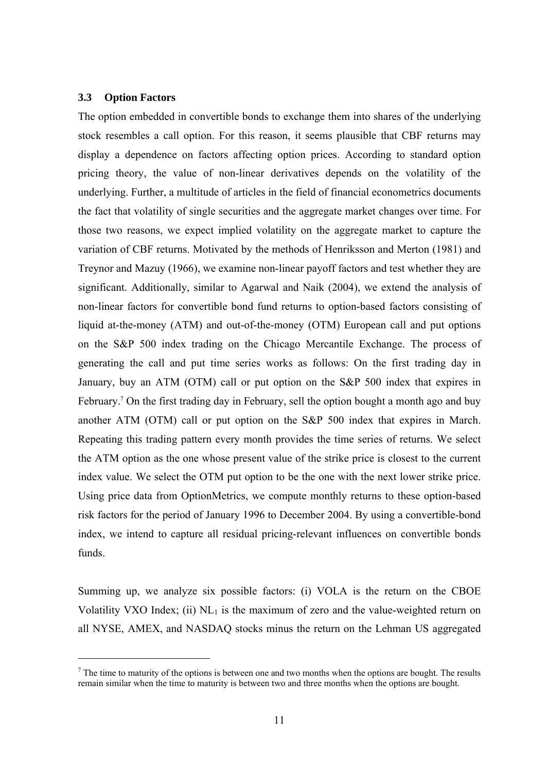## **3.3 Option Factors**

-

The option embedded in convertible bonds to exchange them into shares of the underlying stock resembles a call option. For this reason, it seems plausible that CBF returns may display a dependence on factors affecting option prices. According to standard option pricing theory, the value of non-linear derivatives depends on the volatility of the underlying. Further, a multitude of articles in the field of financial econometrics documents the fact that volatility of single securities and the aggregate market changes over time. For those two reasons, we expect implied volatility on the aggregate market to capture the variation of CBF returns. Motivated by the methods of Henriksson and Merton (1981) and Treynor and Mazuy (1966), we examine non-linear payoff factors and test whether they are significant. Additionally, similar to Agarwal and Naik (2004), we extend the analysis of non-linear factors for convertible bond fund returns to option-based factors consisting of liquid at-the-money (ATM) and out-of-the-money (OTM) European call and put options on the S&P 500 index trading on the Chicago Mercantile Exchange. The process of generating the call and put time series works as follows: On the first trading day in January, buy an ATM (OTM) call or put option on the S&P 500 index that expires in February.<sup>7</sup> On the first trading day in February, sell the option bought a month ago and buy another ATM (OTM) call or put option on the S&P 500 index that expires in March. Repeating this trading pattern every month provides the time series of returns. We select the ATM option as the one whose present value of the strike price is closest to the current index value. We select the OTM put option to be the one with the next lower strike price. Using price data from OptionMetrics, we compute monthly returns to these option-based risk factors for the period of January 1996 to December 2004. By using a convertible-bond index, we intend to capture all residual pricing-relevant influences on convertible bonds funds.

Summing up, we analyze six possible factors: (i) VOLA is the return on the CBOE Volatility VXO Index; (ii)  $NL_1$  is the maximum of zero and the value-weighted return on all NYSE, AMEX, and NASDAQ stocks minus the return on the Lehman US aggregated

 $<sup>7</sup>$  The time to maturity of the options is between one and two months when the options are bought. The results</sup> remain similar when the time to maturity is between two and three months when the options are bought.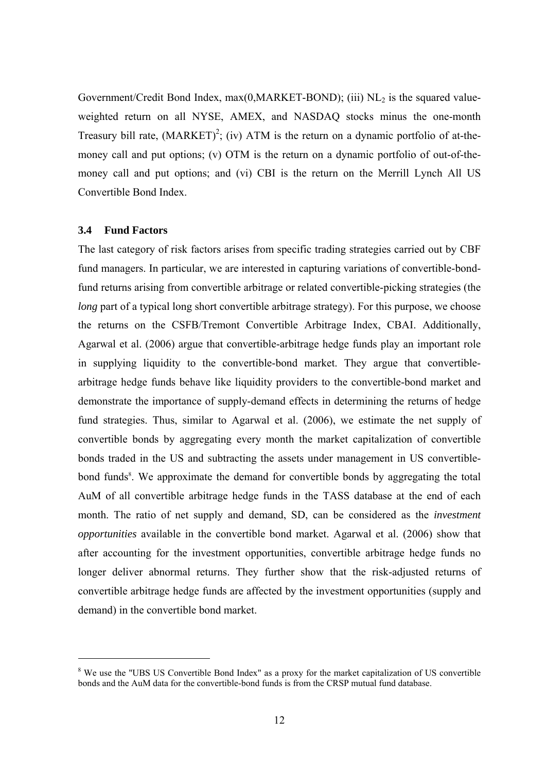Government/Credit Bond Index,  $max(0, MARKET-BOND)$ ; (iii)  $NL<sub>2</sub>$  is the squared valueweighted return on all NYSE, AMEX, and NASDAQ stocks minus the one-month Treasury bill rate,  $(MARKET)^2$ ; (iv) ATM is the return on a dynamic portfolio of at-themoney call and put options; (v) OTM is the return on a dynamic portfolio of out-of-themoney call and put options; and (vi) CBI is the return on the Merrill Lynch All US Convertible Bond Index.

## **3.4 Fund Factors**

-

The last category of risk factors arises from specific trading strategies carried out by CBF fund managers. In particular, we are interested in capturing variations of convertible-bondfund returns arising from convertible arbitrage or related convertible-picking strategies (the *long* part of a typical long short convertible arbitrage strategy). For this purpose, we choose the returns on the CSFB/Tremont Convertible Arbitrage Index, CBAI. Additionally, Agarwal et al. (2006) argue that convertible-arbitrage hedge funds play an important role in supplying liquidity to the convertible-bond market. They argue that convertiblearbitrage hedge funds behave like liquidity providers to the convertible-bond market and demonstrate the importance of supply-demand effects in determining the returns of hedge fund strategies. Thus, similar to Agarwal et al. (2006), we estimate the net supply of convertible bonds by aggregating every month the market capitalization of convertible bonds traded in the US and subtracting the assets under management in US convertiblebond funds<sup>8</sup>. We approximate the demand for convertible bonds by aggregating the total AuM of all convertible arbitrage hedge funds in the TASS database at the end of each month. The ratio of net supply and demand, SD, can be considered as the *investment opportunities* available in the convertible bond market. Agarwal et al. (2006) show that after accounting for the investment opportunities, convertible arbitrage hedge funds no longer deliver abnormal returns. They further show that the risk-adjusted returns of convertible arbitrage hedge funds are affected by the investment opportunities (supply and demand) in the convertible bond market.

<sup>&</sup>lt;sup>8</sup> We use the "UBS US Convertible Bond Index" as a proxy for the market capitalization of US convertible bonds and the AuM data for the convertible-bond funds is from the CRSP mutual fund database.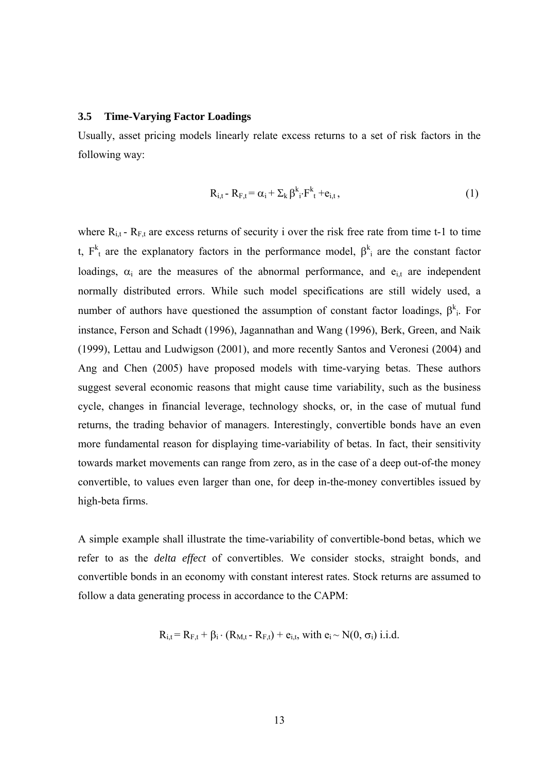## **3.5 Time-Varying Factor Loadings**

Usually, asset pricing models linearly relate excess returns to a set of risk factors in the following way:

$$
R_{i,t} - R_{F,t} = \alpha_i + \sum_k \beta^k_i \cdot F^k_t + e_{i,t}, \qquad (1)
$$

where  $R_{i,t}$  -  $R_{F,t}$  are excess returns of security i over the risk free rate from time t-1 to time t,  $F_t^k$  are the explanatory factors in the performance model,  $\beta_i^k$  are the constant factor loadings,  $\alpha_i$  are the measures of the abnormal performance, and  $e_{i,t}$  are independent normally distributed errors. While such model specifications are still widely used, a number of authors have questioned the assumption of constant factor loadings,  $\beta^{k}$ . For instance, Ferson and Schadt (1996), Jagannathan and Wang (1996), Berk, Green, and Naik (1999), Lettau and Ludwigson (2001), and more recently Santos and Veronesi (2004) and Ang and Chen (2005) have proposed models with time-varying betas. These authors suggest several economic reasons that might cause time variability, such as the business cycle, changes in financial leverage, technology shocks, or, in the case of mutual fund returns, the trading behavior of managers. Interestingly, convertible bonds have an even more fundamental reason for displaying time-variability of betas. In fact, their sensitivity towards market movements can range from zero, as in the case of a deep out-of-the money convertible, to values even larger than one, for deep in-the-money convertibles issued by high-beta firms.

A simple example shall illustrate the time-variability of convertible-bond betas, which we refer to as the *delta effect* of convertibles. We consider stocks, straight bonds, and convertible bonds in an economy with constant interest rates. Stock returns are assumed to follow a data generating process in accordance to the CAPM:

$$
R_{i,t} = R_{F,t} + \beta_i \cdot (R_{M,t} - R_{F,t}) + e_{i,t}
$$
, with  $e_i \sim N(0, \sigma_i)$  i.i.d.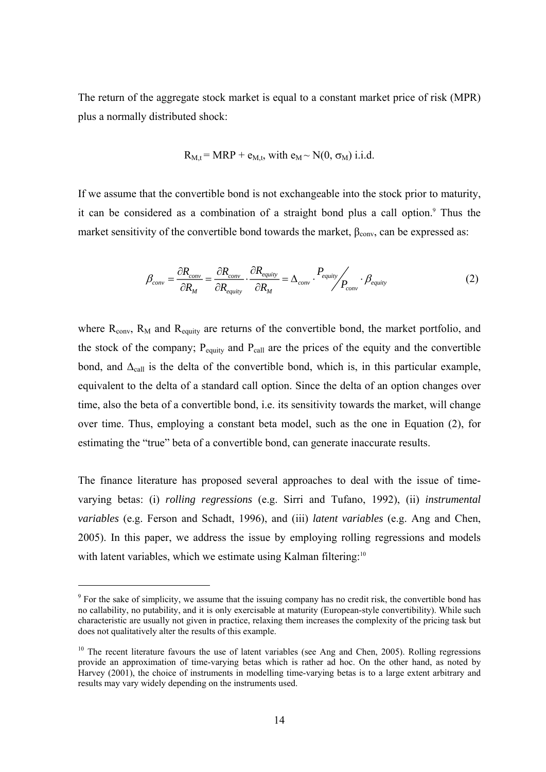The return of the aggregate stock market is equal to a constant market price of risk (MPR) plus a normally distributed shock:

$$
R_{M,t} = MRP + e_{M,t}
$$
, with  $e_M \sim N(0, \sigma_M)$  i.i.d.

If we assume that the convertible bond is not exchangeable into the stock prior to maturity, it can be considered as a combination of a straight bond plus a call option.<sup>9</sup> Thus the market sensitivity of the convertible bond towards the market,  $\beta_{\text{conv}}$ , can be expressed as:

$$
\beta_{conv} = \frac{\partial R_{conv}}{\partial R_M} = \frac{\partial R_{conv}}{\partial R_{equity}} \cdot \frac{\partial R_{equity}}{\partial R_M} = \Delta_{conv} \cdot \frac{P_{equity}}{P_{conv}} \cdot \beta_{equity}
$$
(2)

where  $R_{conv}$ ,  $R_M$  and  $R_{equiv}$  are returns of the convertible bond, the market portfolio, and the stock of the company;  $P_{\text{equiv}}$  and  $P_{\text{call}}$  are the prices of the equity and the convertible bond, and  $\Delta_{\text{call}}$  is the delta of the convertible bond, which is, in this particular example, equivalent to the delta of a standard call option. Since the delta of an option changes over time, also the beta of a convertible bond, i.e. its sensitivity towards the market, will change over time. Thus, employing a constant beta model, such as the one in Equation (2), for estimating the "true" beta of a convertible bond, can generate inaccurate results.

The finance literature has proposed several approaches to deal with the issue of timevarying betas: (i) *rolling regressions* (e.g. Sirri and Tufano, 1992), (ii) *instrumental variables* (e.g. Ferson and Schadt, 1996), and (iii) *latent variables* (e.g. Ang and Chen, 2005). In this paper, we address the issue by employing rolling regressions and models with latent variables, which we estimate using Kalman filtering:<sup>10</sup>

-

<sup>&</sup>lt;sup>9</sup> For the sake of simplicity, we assume that the issuing company has no credit risk, the convertible bond has no callability, no putability, and it is only exercisable at maturity (European-style convertibility). While such characteristic are usually not given in practice, relaxing them increases the complexity of the pricing task but does not qualitatively alter the results of this example.

<sup>&</sup>lt;sup>10</sup> The recent literature favours the use of latent variables (see Ang and Chen, 2005). Rolling regressions provide an approximation of time-varying betas which is rather ad hoc. On the other hand, as noted by Harvey (2001), the choice of instruments in modelling time-varying betas is to a large extent arbitrary and results may vary widely depending on the instruments used.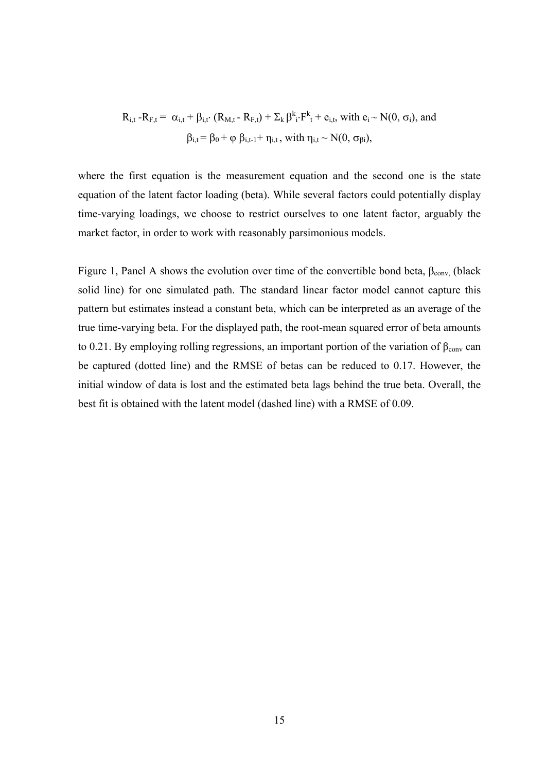$$
R_{i,t} - R_{F,t} = \alpha_{i,t} + \beta_{i,t} \cdot (R_{M,t} - R_{F,t}) + \sum_{k} \beta^{k}_{i} \cdot F^{k}_{t} + e_{i,t}, \text{ with } e_{i} \sim N(0, \sigma_{i}), \text{ and}
$$

$$
\beta_{i,t} = \beta_{0} + \varphi \beta_{i,t-1} + \eta_{i,t}, \text{ with } \eta_{i,t} \sim N(0, \sigma_{\beta i}),
$$

where the first equation is the measurement equation and the second one is the state equation of the latent factor loading (beta). While several factors could potentially display time-varying loadings, we choose to restrict ourselves to one latent factor, arguably the market factor, in order to work with reasonably parsimonious models.

Figure 1, Panel A shows the evolution over time of the convertible bond beta,  $\beta_{\text{conv}}$  (black solid line) for one simulated path. The standard linear factor model cannot capture this pattern but estimates instead a constant beta, which can be interpreted as an average of the true time-varying beta. For the displayed path, the root-mean squared error of beta amounts to 0.21. By employing rolling regressions, an important portion of the variation of  $\beta_{\text{conv}}$  can be captured (dotted line) and the RMSE of betas can be reduced to 0.17. However, the initial window of data is lost and the estimated beta lags behind the true beta. Overall, the best fit is obtained with the latent model (dashed line) with a RMSE of 0.09.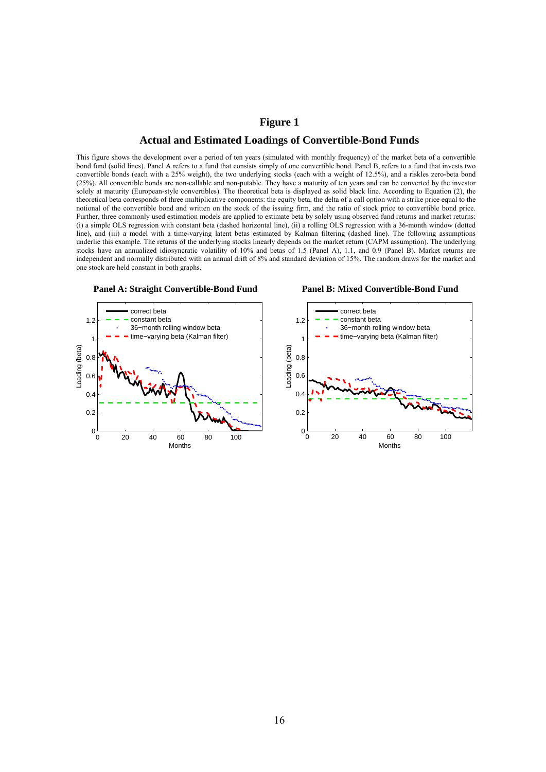# **Figure 1 Actual and Estimated Loadings of Convertible-Bond Funds**

This figure shows the development over a period of ten years (simulated with monthly frequency) of the market beta of a convertible bond fund (solid lines). Panel A refers to a fund that consists simply of one convertible bond. Panel B, refers to a fund that invests two convertible bonds (each with a 25% weight), the two underlying stocks (each with a weight of 12.5%), and a riskles zero-beta bond (25%). All convertible bonds are non-callable and non-putable. They have a maturity of ten years and can be converted by the investor solely at maturity (European-style convertibles). The theoretical beta is displayed as solid black line. According to Equation (2), the theoretical beta corresponds of three multiplicative components: the equity beta, the delta of a call option with a strike price equal to the notional of the convertible bond and written on the stock of the issuing firm, and the ratio of stock price to convertible bond price. Further, three commonly used estimation models are applied to estimate beta by solely using observed fund returns and market returns: (i) a simple OLS regression with constant beta (dashed horizontal line), (ii) a rolling OLS regression with a 36-month window (dotted line), and (iii) a model with a time-varying latent betas estimated by Kalman filtering (dashed line). The following assumptions underlie this example. The returns of the underlying stocks linearly depends on the market return (CAPM assumption). The underlying stocks have an annualized idiosyncratic volatility of 10% and betas of 1.5 (Panel A), 1.1, and 0.9 (Panel B). Market returns are independent and normally distributed with an annual drift of 8% and standard deviation of 15%. The random draws for the market and one stock are held constant in both graphs.



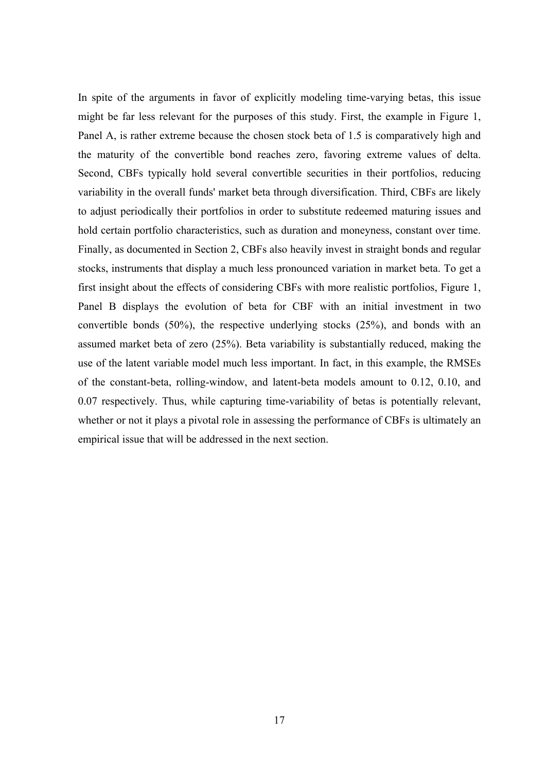In spite of the arguments in favor of explicitly modeling time-varying betas, this issue might be far less relevant for the purposes of this study. First, the example in Figure 1, Panel A, is rather extreme because the chosen stock beta of 1.5 is comparatively high and the maturity of the convertible bond reaches zero, favoring extreme values of delta. Second, CBFs typically hold several convertible securities in their portfolios, reducing variability in the overall funds' market beta through diversification. Third, CBFs are likely to adjust periodically their portfolios in order to substitute redeemed maturing issues and hold certain portfolio characteristics, such as duration and moneyness, constant over time. Finally, as documented in Section 2, CBFs also heavily invest in straight bonds and regular stocks, instruments that display a much less pronounced variation in market beta. To get a first insight about the effects of considering CBFs with more realistic portfolios, Figure 1, Panel B displays the evolution of beta for CBF with an initial investment in two convertible bonds (50%), the respective underlying stocks (25%), and bonds with an assumed market beta of zero (25%). Beta variability is substantially reduced, making the use of the latent variable model much less important. In fact, in this example, the RMSEs of the constant-beta, rolling-window, and latent-beta models amount to 0.12, 0.10, and 0.07 respectively. Thus, while capturing time-variability of betas is potentially relevant, whether or not it plays a pivotal role in assessing the performance of CBFs is ultimately an empirical issue that will be addressed in the next section.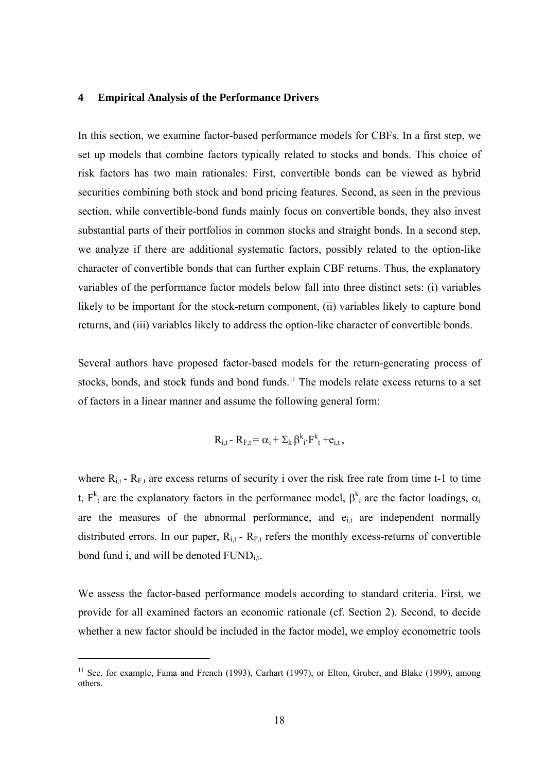#### **4 Empirical Analysis of the Performance Drivers**

In this section, we examine factor-based performance models for CBFs. In a first step, we set up models that combine factors typically related to stocks and bonds. This choice of risk factors has two main rationales: First, convertible bonds can be viewed as hybrid securities combining both stock and bond pricing features. Second, as seen in the previous section, while convertible-bond funds mainly focus on convertible bonds, they also invest substantial parts of their portfolios in common stocks and straight bonds. In a second step, we analyze if there are additional systematic factors, possibly related to the option-like character of convertible bonds that can further explain CBF returns. Thus, the explanatory variables of the performance factor models below fall into three distinct sets: (i) variables likely to be important for the stock-return component, (ii) variables likely to capture bond returns, and (iii) variables likely to address the option-like character of convertible bonds.

Several authors have proposed factor-based models for the return-generating process of stocks, bonds, and stock funds and bond funds.<sup>11</sup> The models relate excess returns to a set of factors in a linear manner and assume the following general form:

$$
R_{i,t} - R_{F,t} = \alpha_i + \Sigma_k \beta^k_i \cdot F^k_t + e_{i,t},
$$

where  $R_{i,t}$  -  $R_{F,t}$  are excess returns of security i over the risk free rate from time t-1 to time t,  $F_t^k$  are the explanatory factors in the performance model,  $\beta_i^k$  are the factor loadings,  $\alpha_i$ are the measures of the abnormal performance, and  $e_{i,t}$  are independent normally distributed errors. In our paper,  $R_{i,t}$  -  $R_{F,t}$  refers the monthly excess-returns of convertible bond fund i, and will be denoted  $FUND<sub>i</sub>$ .

We assess the factor-based performance models according to standard criteria. First, we provide for all examined factors an economic rationale (cf. Section 2). Second, to decide whether a new factor should be included in the factor model, we employ econometric tools

-

<sup>&</sup>lt;sup>11</sup> See, for example, Fama and French (1993), Carhart (1997), or Elton, Gruber, and Blake (1999), among others.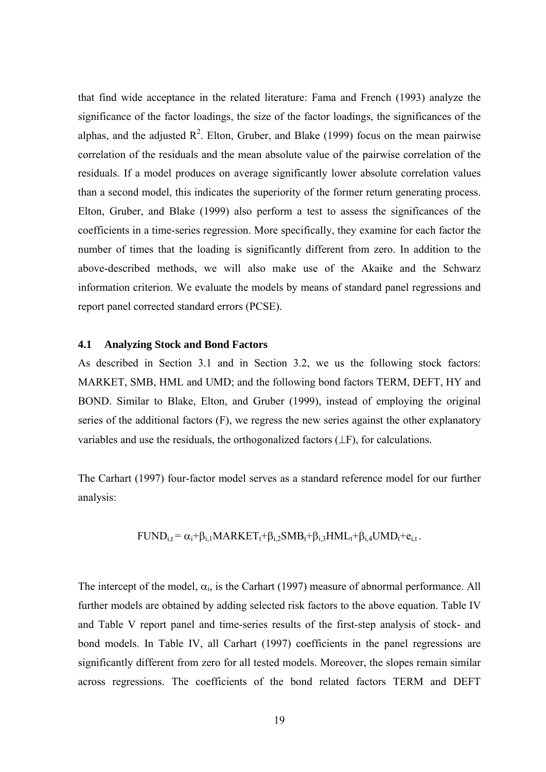that find wide acceptance in the related literature: Fama and French (1993) analyze the significance of the factor loadings, the size of the factor loadings, the significances of the alphas, and the adjusted  $\mathbb{R}^2$ . Elton, Gruber, and Blake (1999) focus on the mean pairwise correlation of the residuals and the mean absolute value of the pairwise correlation of the residuals. If a model produces on average significantly lower absolute correlation values than a second model, this indicates the superiority of the former return generating process. Elton, Gruber, and Blake (1999) also perform a test to assess the significances of the coefficients in a time-series regression. More specifically, they examine for each factor the number of times that the loading is significantly different from zero. In addition to the above-described methods, we will also make use of the Akaike and the Schwarz information criterion. We evaluate the models by means of standard panel regressions and report panel corrected standard errors (PCSE).

#### **4.1 Analyzing Stock and Bond Factors**

As described in Section 3.1 and in Section 3.2, we us the following stock factors: MARKET, SMB, HML and UMD; and the following bond factors TERM, DEFT, HY and BOND. Similar to Blake, Elton, and Gruber (1999), instead of employing the original series of the additional factors (F), we regress the new series against the other explanatory variables and use the residuals, the orthogonalized factors (⊥F), for calculations.

The Carhart (1997) four-factor model serves as a standard reference model for our further analysis:

$$
FUND_{i,t} = \alpha_i + \beta_{i,1} MARKET_t + \beta_{i,2} SMB_t + \beta_{i,3} HML_t + \beta_{i,4} UMD_t + e_{i,t}.
$$

The intercept of the model,  $\alpha_i$ , is the Carhart (1997) measure of abnormal performance. All further models are obtained by adding selected risk factors to the above equation. Table IV and Table V report panel and time-series results of the first-step analysis of stock- and bond models. In Table IV, all Carhart (1997) coefficients in the panel regressions are significantly different from zero for all tested models. Moreover, the slopes remain similar across regressions. The coefficients of the bond related factors TERM and DEFT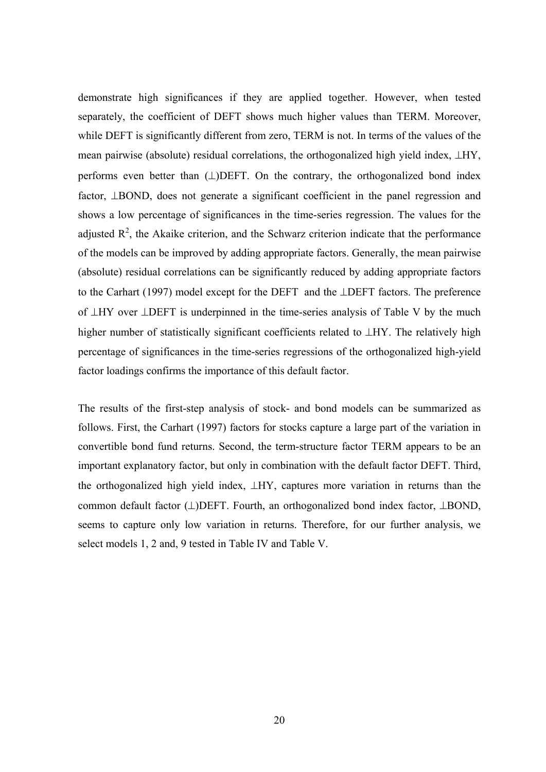demonstrate high significances if they are applied together. However, when tested separately, the coefficient of DEFT shows much higher values than TERM. Moreover, while DEFT is significantly different from zero, TERM is not. In terms of the values of the mean pairwise (absolute) residual correlations, the orthogonalized high yield index, ⊥HY, performs even better than  $(\perp)$ DEFT. On the contrary, the orthogonalized bond index factor, ⊥BOND, does not generate a significant coefficient in the panel regression and shows a low percentage of significances in the time-series regression. The values for the adjusted  $\mathbb{R}^2$ , the Akaike criterion, and the Schwarz criterion indicate that the performance of the models can be improved by adding appropriate factors. Generally, the mean pairwise (absolute) residual correlations can be significantly reduced by adding appropriate factors to the Carhart (1997) model except for the DEFT and the ⊥DEFT factors. The preference of ⊥HY over ⊥DEFT is underpinned in the time-series analysis of Table V by the much higher number of statistically significant coefficients related to ⊥HY. The relatively high percentage of significances in the time-series regressions of the orthogonalized high-yield factor loadings confirms the importance of this default factor.

The results of the first-step analysis of stock- and bond models can be summarized as follows. First, the Carhart (1997) factors for stocks capture a large part of the variation in convertible bond fund returns. Second, the term-structure factor TERM appears to be an important explanatory factor, but only in combination with the default factor DEFT. Third, the orthogonalized high yield index, ⊥HY, captures more variation in returns than the common default factor (⊥)DEFT. Fourth, an orthogonalized bond index factor, ⊥BOND, seems to capture only low variation in returns. Therefore, for our further analysis, we select models 1, 2 and, 9 tested in Table IV and Table V.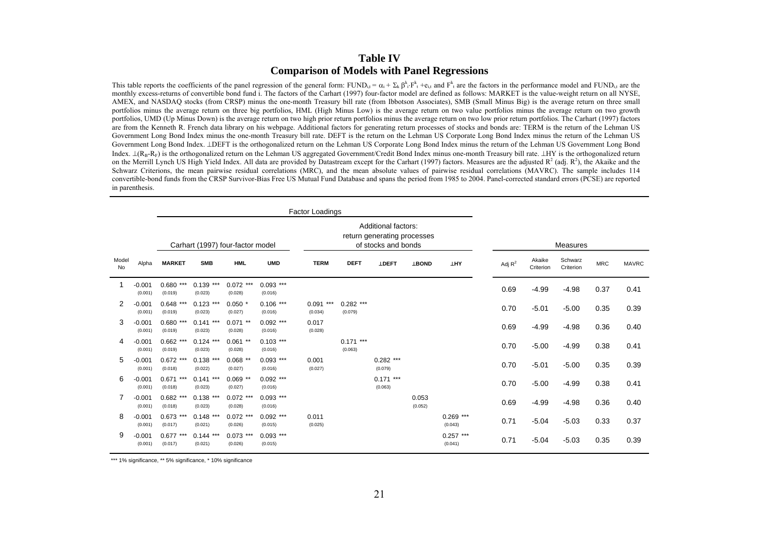## **Table IV Comparison of Models with Panel Regressions**

This table reports the coefficients of the panel regression of the general form: FUND<sub>i</sub> =  $\alpha_i + \sum_k \beta_i \cdot F_k + \epsilon_i$ , and  $F_k$  are the factors in the performance model and FUND<sub>i</sub>, are the monthly excess-returns of convertible bond fund i. The factors of the Carhart (1997) four-factor model are defined as follows: MARKET is the value-weight return on all NYSE AMEX, and NASDAQ stocks (from CRSP) minus the one-month Treasury bill rate (from Ibbotson Associates), SMB (Small Minus Big) is the average return on three small portfolios minus the average return on three big portfolios, HML (High Minus Low) is the average return on two value portfolios minus the average return on two growth portfolios, UMD (Up Minus Down) is the average return on two high prior return portfolios minus the average return on two low prior return portfolios. The Carhart (1997) factors are from the Kenneth R. French data library on his webpage. Additional factors for generating return processes of stocks and bonds are: TERM is the return of the Lehman US Government Long Bond Index minus the one-month Treasury bill rate. DEFT is the return on the Lehman US Corporate Long Bond Index minus the return of the Lehman US Government Long Bond Index. ⊥DEFT is the orthogonalized return on the Lehman US Corporate Long Bond Index minus the return of the Lehman US Government Long Bond Index.  $\perp (R_B-R_F)$  is the orthogonalized return on the Lehman US aggregated Government/Credit Bond Index minus one-month Treasury bill rate. ⊥HY is the orthogonalized return on the Merrill Lynch US High Yield Index. All data are provided by Datastream except for the Carhart (1997) factors. Measures are the adjusted  $R^2$  (adj.  $R^2$ ), the Akaike and the Schwarz Criterions, the mean pairwise residual correlations (MRC), and the mean absolute values of pairwise residual correlations (MAVRC). The sample includes 114 convertible-bond funds from the CRSP Survivor-Bias Free US Mutual Fund Database and spans the period from 1985 to 2004. Panel-corrected standard errors (PCSE) are reported in parenthesis.

|                |                     | Factor Loadings           |                         |                                  |                        |                        |                        |                                                                           |                  |                        |           |                     |                      |            |              |
|----------------|---------------------|---------------------------|-------------------------|----------------------------------|------------------------|------------------------|------------------------|---------------------------------------------------------------------------|------------------|------------------------|-----------|---------------------|----------------------|------------|--------------|
|                |                     |                           |                         | Carhart (1997) four-factor model |                        |                        |                        | Additional factors:<br>return generating processes<br>of stocks and bonds |                  |                        |           |                     | Measures             |            |              |
| Model<br>No    | Alpha               | <b>MARKET</b>             | <b>SMB</b>              | <b>HML</b>                       | <b>UMD</b>             | <b>TERM</b>            | <b>DEFT</b>            | <b>LDEFT</b>                                                              | <b>LBOND</b>     | <b>THA</b>             | Adj $R^2$ | Akaike<br>Criterion | Schwarz<br>Criterion | <b>MRC</b> | <b>MAVRC</b> |
|                | $-0.001$<br>(0.001) | ***<br>0.680<br>(0.019)   | ***<br>0.139<br>(0.023) | $0.072$ ***<br>(0.028)           | $0.093$ ***<br>(0.016) |                        |                        |                                                                           |                  |                        | 0.69      | $-4.99$             | $-4.98$              | 0.37       | 0.41         |
| $\overline{2}$ | $-0.001$<br>(0.001) | 0.648<br>***<br>(0.019)   | $0.123$ ***<br>(0.023)  | $0.050*$<br>(0.027)              | $0.106$ ***<br>(0.016) | $0.091$ ***<br>(0.034) | $0.282$ ***<br>(0.079) |                                                                           |                  |                        | 0.70      | $-5.01$             | $-5.00$              | 0.35       | 0.39         |
| 3              | $-0.001$<br>(0.001) | $0.680$ ***<br>(0.019)    | $0.141***$<br>(0.023)   | $0.071$ **<br>(0.028)            | $0.092$ ***<br>(0.016) | 0.017<br>(0.028)       |                        |                                                                           |                  |                        | 0.69      | $-4.99$             | $-4.98$              | 0.36       | 0.40         |
| 4              | $-0.001$<br>(0.001) | 0.662<br>$***$<br>(0.019) | $0.124$ ***<br>(0.023)  | $**$<br>0.061<br>(0.028)         | $0.103$ ***<br>(0.016) |                        | $0.171$ ***<br>(0.063) |                                                                           |                  |                        | 0.70      | $-5.00$             | $-4.99$              | 0.38       | 0.41         |
| 5              | $-0.001$<br>(0.001) | $0.672$ ***<br>(0.018)    | $0.138$ ***<br>(0.022)  | $0.068$ **<br>(0.027)            | $0.093$ ***<br>(0.016) | 0.001<br>(0.027)       |                        | $0.282$ ***<br>(0.079)                                                    |                  |                        | 0.70      | $-5.01$             | $-5.00$              | 0.35       | 0.39         |
| 6              | $-0.001$<br>(0.001) | $0.671$ ***<br>(0.018)    | $0.141***$<br>(0.023)   | $0.069$ **<br>(0.027)            | $0.092$ ***<br>(0.016) |                        |                        | $0.171$ ***<br>(0.063)                                                    |                  |                        | 0.70      | $-5.00$             | $-4.99$              | 0.38       | 0.41         |
| 7              | $-0.001$<br>(0.001) | 0.682<br>(0.018)          | $0.138$ ***<br>(0.023)  | $0.072$ ***<br>(0.028)           | $0.093$ ***<br>(0.016) |                        |                        |                                                                           | 0.053<br>(0.052) |                        | 0.69      | $-4.99$             | $-4.98$              | 0.36       | 0.40         |
| 8              | $-0.001$<br>(0.001) | 0.673<br>***<br>(0.017)   | $0.148$ ***<br>(0.021)  | $0.072$ ***<br>(0.026)           | $0.092$ ***<br>(0.015) | 0.011<br>(0.025)       |                        |                                                                           |                  | $0.269$ ***<br>(0.043) | 0.71      | $-5.04$             | $-5.03$              | 0.33       | 0.37         |
| 9              | $-0.001$<br>(0.001) | $0.677$ ***<br>(0.017)    | $0.144$ ***<br>(0.021)  | $0.073$ ***<br>(0.026)           | $0.093$ ***<br>(0.015) |                        |                        |                                                                           |                  | $0.257***$<br>(0.041)  | 0.71      | $-5.04$             | $-5.03$              | 0.35       | 0.39         |

\*\*\* 1% significance, \*\* 5% significance, \* 10% significance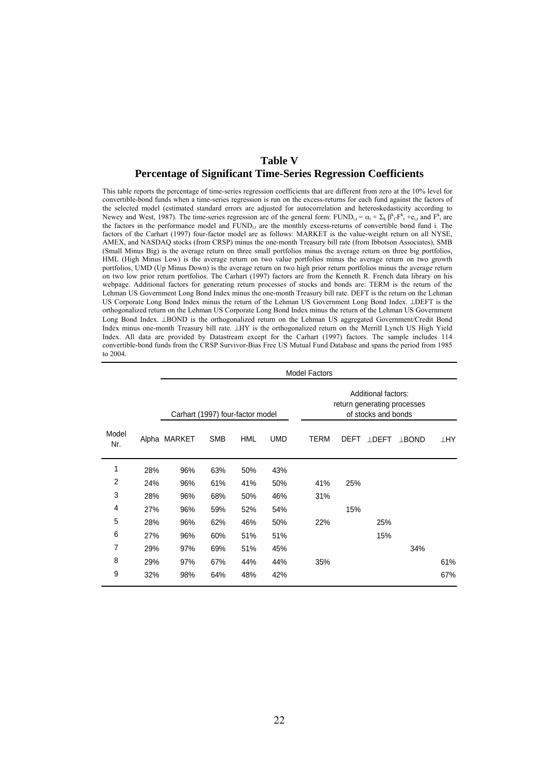## **Table V Percentage of Significant Time-Series Regression Coefficients**

This table reports the percentage of time-series regression coefficients that are different from zero at the 10% level for convertible-bond funds when a time-series regression is run on the excess-returns for each fund against the factors of the selected model (estimated standard errors are adjusted for autocorrelation and heteroskedasticity according to Newey and West, 1987). The time-series regression are of the general form:  $FUND_{i,t} = \alpha_i + \sum_k \beta_i^k \cdot F_{t}^k + e_{i,t}$  and  $F_{t}^k$  are the factors in the performance model and FUND<sub>i,t</sub> are the monthly excess-returns of convertible bond fund i. The factors of the Carhart (1997) four-factor model are as follows: MARKET is the value-weight return on all NYSE, AMEX, and NASDAQ stocks (from CRSP) minus the one-month Treasury bill rate (from Ibbotson Associates), SMB (Small Minus Big) is the average return on three small portfolios minus the average return on three big portfolios, HML (High Minus Low) is the average return on two value portfolios minus the average return on two growth portfolios, UMD (Up Minus Down) is the average return on two high prior return portfolios minus the average return on two low prior return portfolios. The Carhart (1997) factors are from the Kenneth R. French data library on his webpage. Additional factors for generating return processes of stocks and bonds are: TERM is the return of the Lehman US Government Long Bond Index minus the one-month Treasury bill rate. DEFT is the return on the Lehman US Corporate Long Bond Index minus the return of the Lehman US Government Long Bond Index. ⊥DEFT is the orthogonalized return on the Lehman US Corporate Long Bond Index minus the return of the Lehman US Government Long Bond Index. ⊥BOND is the orthogonalized return on the Lehman US aggregated Government/Credit Bond Index minus one-month Treasury bill rate. ⊥HY is the orthogonalized return on the Merrill Lynch US High Yield Index. All data are provided by Datastream except for the Carhart (1997) factors. The sample includes 114 convertible-bond funds from the CRSP Survivor-Bias Free US Mutual Fund Database and spans the period from 1985 to 2004.

|              |     |                                                                                                               |            |            |            | <b>Model Factors</b> |      |              |              |            |
|--------------|-----|---------------------------------------------------------------------------------------------------------------|------------|------------|------------|----------------------|------|--------------|--------------|------------|
|              |     | Additional factors:<br>return generating processes<br>of stocks and bonds<br>Carhart (1997) four-factor model |            |            |            |                      |      |              |              |            |
| Model<br>Nr. |     | Alpha MARKET                                                                                                  | <b>SMB</b> | <b>HML</b> | <b>UMD</b> | <b>TERM</b>          | DEFT | <b>LDEFT</b> | <b>LBOND</b> | <b>THA</b> |
| 1            | 28% | 96%                                                                                                           | 63%        | 50%        | 43%        |                      |      |              |              |            |
| 2            | 24% | 96%                                                                                                           | 61%        | 41%        | 50%        | 41%                  | 25%  |              |              |            |
| 3            | 28% | 96%                                                                                                           | 68%        | 50%        | 46%        | 31%                  |      |              |              |            |
| 4            | 27% | 96%                                                                                                           | 59%        | 52%        | 54%        |                      | 15%  |              |              |            |
| 5            | 28% | 96%                                                                                                           | 62%        | 46%        | 50%        | 22%                  |      | 25%          |              |            |
| 6            | 27% | 96%                                                                                                           | 60%        | 51%        | 51%        |                      |      | 15%          |              |            |
| 7            | 29% | 97%                                                                                                           | 69%        | 51%        | 45%        |                      |      |              | 34%          |            |
| 8            | 29% | 97%                                                                                                           | 67%        | 44%        | 44%        | 35%                  |      |              |              | 61%        |
| 9            | 32% | 98%                                                                                                           | 64%        | 48%        | 42%        |                      |      |              |              | 67%        |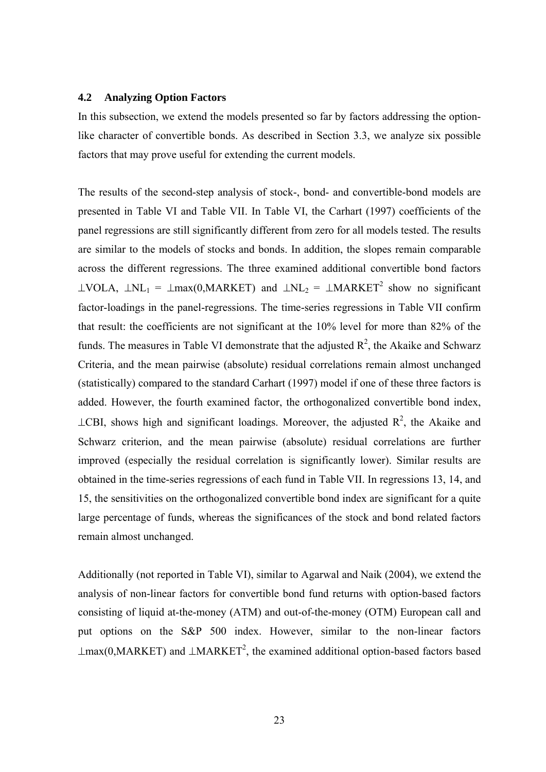#### **4.2 Analyzing Option Factors**

In this subsection, we extend the models presented so far by factors addressing the optionlike character of convertible bonds. As described in Section 3.3, we analyze six possible factors that may prove useful for extending the current models.

The results of the second-step analysis of stock-, bond- and convertible-bond models are presented in Table VI and Table VII. In Table VI, the Carhart (1997) coefficients of the panel regressions are still significantly different from zero for all models tested. The results are similar to the models of stocks and bonds. In addition, the slopes remain comparable across the different regressions. The three examined additional convertible bond factors  $\perp$ VOLA,  $\perp$ NL<sub>1</sub> =  $\perp$ max(0,MARKET) and  $\perp$ NL<sub>2</sub> =  $\perp$ MARKET<sup>2</sup> show no significant factor-loadings in the panel-regressions. The time-series regressions in Table VII confirm that result: the coefficients are not significant at the 10% level for more than 82% of the funds. The measures in Table VI demonstrate that the adjusted  $R^2$ , the Akaike and Schwarz Criteria, and the mean pairwise (absolute) residual correlations remain almost unchanged (statistically) compared to the standard Carhart (1997) model if one of these three factors is added. However, the fourth examined factor, the orthogonalized convertible bond index,  $\perp$ CBI, shows high and significant loadings. Moreover, the adjusted R<sup>2</sup>, the Akaike and Schwarz criterion, and the mean pairwise (absolute) residual correlations are further improved (especially the residual correlation is significantly lower). Similar results are obtained in the time-series regressions of each fund in Table VII. In regressions 13, 14, and 15, the sensitivities on the orthogonalized convertible bond index are significant for a quite large percentage of funds, whereas the significances of the stock and bond related factors remain almost unchanged.

Additionally (not reported in Table VI), similar to Agarwal and Naik (2004), we extend the analysis of non-linear factors for convertible bond fund returns with option-based factors consisting of liquid at-the-money (ATM) and out-of-the-money (OTM) European call and put options on the S&P 500 index. However, similar to the non-linear factors  $\perp$ max(0,MARKET) and  $\perp$ MARKET<sup>2</sup>, the examined additional option-based factors based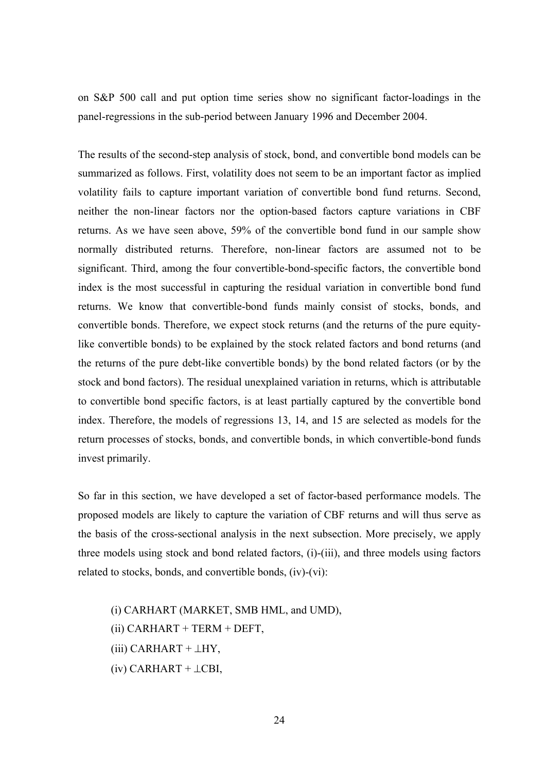on S&P 500 call and put option time series show no significant factor-loadings in the panel-regressions in the sub-period between January 1996 and December 2004.

The results of the second-step analysis of stock, bond, and convertible bond models can be summarized as follows. First, volatility does not seem to be an important factor as implied volatility fails to capture important variation of convertible bond fund returns. Second, neither the non-linear factors nor the option-based factors capture variations in CBF returns. As we have seen above, 59% of the convertible bond fund in our sample show normally distributed returns. Therefore, non-linear factors are assumed not to be significant. Third, among the four convertible-bond-specific factors, the convertible bond index is the most successful in capturing the residual variation in convertible bond fund returns. We know that convertible-bond funds mainly consist of stocks, bonds, and convertible bonds. Therefore, we expect stock returns (and the returns of the pure equitylike convertible bonds) to be explained by the stock related factors and bond returns (and the returns of the pure debt-like convertible bonds) by the bond related factors (or by the stock and bond factors). The residual unexplained variation in returns, which is attributable to convertible bond specific factors, is at least partially captured by the convertible bond index. Therefore, the models of regressions 13, 14, and 15 are selected as models for the return processes of stocks, bonds, and convertible bonds, in which convertible-bond funds invest primarily.

So far in this section, we have developed a set of factor-based performance models. The proposed models are likely to capture the variation of CBF returns and will thus serve as the basis of the cross-sectional analysis in the next subsection. More precisely, we apply three models using stock and bond related factors, (i)-(iii), and three models using factors related to stocks, bonds, and convertible bonds, (iv)-(vi):

(i) CARHART (MARKET, SMB HML, and UMD), (ii) CARHART + TERM + DEFT, (iii) CARHART +  $\perp$ HY,  $(iv)$  CARHART +  $\perp$ CBI,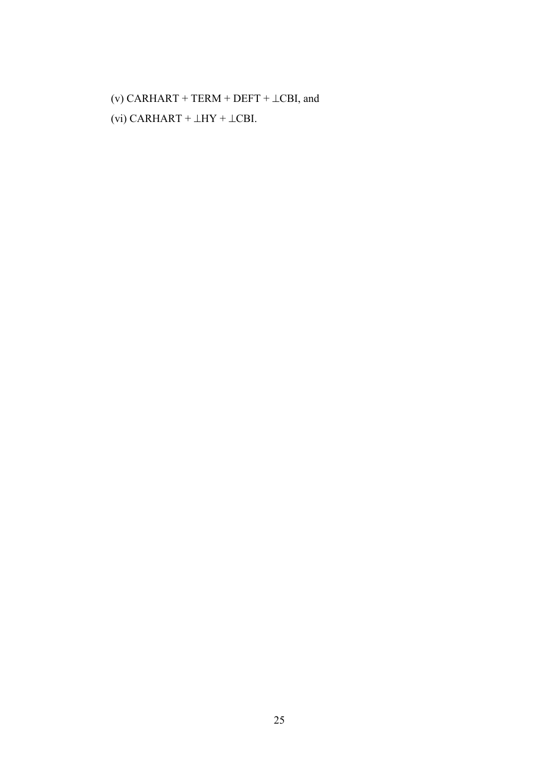(v) CARHART + TERM + DEFT +  $\bot$ CBI, and (vi) CARHART +  $\perp$ HY +  $\perp$ CBI.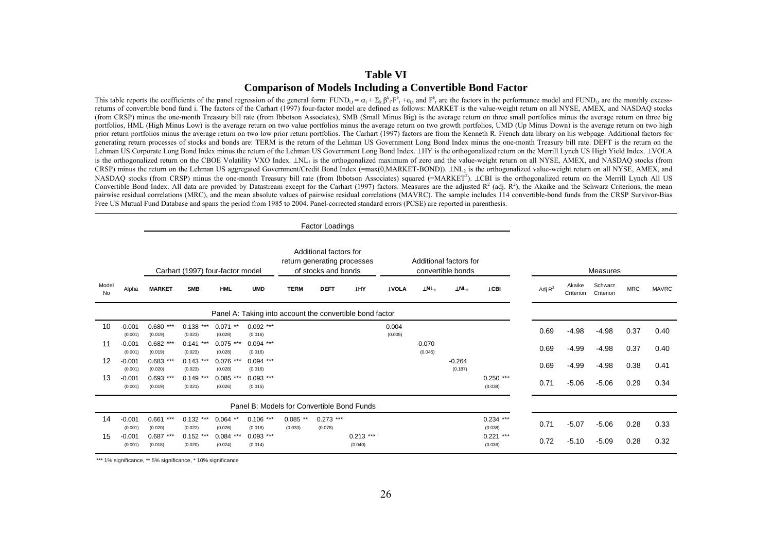## **Table VI Comparison of Models Including a Convertible Bond Factor**

This table reports the coefficients of the panel regression of the general form: FUND<sub>i</sub> =  $\alpha_i + \Sigma_k \beta_i \cdot F_k + \epsilon_i$ , and  $F_k$  are the factors in the performance model and FUND<sub>i</sub>, are the monthly excessreturns of convertible bond fund i. The factors of the Carhart (1997) four-factor model are defined as follows: MARKET is the value-weight return on all NYSE, AMEX, and NASDAQ stocks (from CRSP) minus the one-month Treasury bill rate (from Ibbotson Associates), SMB (Small Minus Big) is the average return on three small portfolios minus the average return on three big portfolios, HML (High Minus Low) is the average return on two value portfolios minus the average return on two growth portfolios, UMD (Up Minus Down) is the average return on two high prior return portfolios minus the average return on two low prior return portfolios. The Carhart (1997) factors are from the Kenneth R. French data library on his webpage. Additional factors for generating return processes of stocks and bonds are: TERM is the return of the Lehman US Government Long Bond Index minus the one-month Treasury bill rate. DEFT is the return on the Lehman US Corporate Long Bond Index minus the return of the Lehman US Government Long Bond Index. ⊥HY is the orthogonalized return on the Merrill Lynch US High Yield Index. ⊥VOLA is the orthogonalized return on the CBOE Volatility VXO Index. ⊥NL<sub>1</sub> is the orthogonalized maximum of zero and the value-weight return on all NYSE, AMEX, and NASDAQ stocks (from CRSP) minus the return on the Lehman US aggregated Government/Credit Bond Index (=max(0,MARKET-BOND)). ⊥NL2 is the orthogonalized value-weight return on all NYSE, AMEX, and NASDAQ stocks (from CRSP) minus the one-month Treasury bill rate (from Ibbotson Associates) squared (=MARKET<sup>2</sup>). ⊥CBI is the orthogonalized return on the Merrill Lynch All US Convertible Bond Index. All data are provided by Datastream except for the Carhart (1997) factors. Measures are the adjusted  $R^2$  (adj.  $R^2$ ), the Akaike and the Schwarz Criterions, the mean pairwise residual correlations (MRC), and the mean absolute values of pairwise residual correlations (MAVRC). The sample includes 114 convertible-bond funds from the CRSP Survivor-Bias Free US Mutual Fund Database and spans the period from 1985 to 2004. Panel-corrected standard errors (PCSE) are reported in parenthesis.

|             |                     | Additional factors for<br>Additional factors for<br>return generating processes<br>convertible bonds<br>Carhart (1997) four-factor model<br>of stocks and bonds |                         |                          |                                            |                       |                        |                                                          |                  |                         |                     |                        |           |                     | Measures             |            |              |
|-------------|---------------------|-----------------------------------------------------------------------------------------------------------------------------------------------------------------|-------------------------|--------------------------|--------------------------------------------|-----------------------|------------------------|----------------------------------------------------------|------------------|-------------------------|---------------------|------------------------|-----------|---------------------|----------------------|------------|--------------|
| Model<br>No | Alpha               | <b>MARKET</b>                                                                                                                                                   | <b>SMB</b>              | <b>HML</b>               | <b>UMD</b>                                 | <b>TERM</b>           | <b>DEFT</b>            | <b>LHY</b>                                               | <b>LVOLA</b>     | $\perp$ NL <sub>1</sub> | LNL <sub>2</sub>    | <b>TCBI</b>            | Adj $R^2$ | Akaike<br>Criterion | Schwarz<br>Criterion | <b>MRC</b> | <b>MAVRC</b> |
|             |                     |                                                                                                                                                                 |                         |                          |                                            |                       |                        | Panel A: Taking into account the convertible bond factor |                  |                         |                     |                        |           |                     |                      |            |              |
| 10          | $-0.001$<br>(0.001) | $0.680$ ***<br>(0.019)                                                                                                                                          | $0.138***$<br>(0.023)   | $**$<br>0.071<br>(0.028) | $0.092$ ***<br>(0.016)                     |                       |                        |                                                          | 0.004<br>(0.005) |                         |                     |                        | 0.69      | $-4.98$             | $-4.98$              | 0.37       | 0.40         |
| 11          | $-0.001$<br>(0.001) | $0.682$ ***<br>(0.019)                                                                                                                                          | ***<br>0.141<br>(0.023) | $0.075$ ***<br>(0.028)   | $0.094$ ***<br>(0.016)                     |                       |                        |                                                          |                  | $-0.070$<br>(0.045)     |                     |                        | 0.69      | $-4.99$             | $-4.98$              | 0.37       | 0.40         |
| 12          | $-0.001$<br>(0.001) | 0.683<br>***<br>(0.020)                                                                                                                                         | $0.143$ ***<br>(0.023)  | $0.076$ ***<br>(0.028)   | $0.094$ ***<br>(0.016)                     |                       |                        |                                                          |                  |                         | $-0.264$<br>(0.187) |                        | 0.69      | $-4.99$             | $-4.98$              | 0.38       | 0.41         |
| 13          | $-0.001$<br>(0.001) | $0.693$ ***<br>(0.019)                                                                                                                                          | $0.149$ ***<br>(0.021)  | $0.085$ ***<br>(0.026)   | $0.093$ ***<br>(0.015)                     |                       |                        |                                                          |                  |                         |                     | $0.250$ ***<br>(0.038) | 0.71      | $-5.06$             | $-5.06$              | 0.29       | 0.34         |
|             |                     |                                                                                                                                                                 |                         |                          | Panel B: Models for Convertible Bond Funds |                       |                        |                                                          |                  |                         |                     |                        |           |                     |                      |            |              |
| 14          | $-0.001$<br>(0.001) | 0.661<br>***<br>(0.020)                                                                                                                                         | $0.132$ ***<br>(0.022)  | $0.064$ **<br>(0.026)    | $0.106$ ***<br>(0.016)                     | $0.085$ **<br>(0.033) | $0.273$ ***<br>(0.078) |                                                          |                  |                         |                     | $0.234$ ***<br>(0.038) | 0.71      | $-5.07$             | $-5.06$              | 0.28       | 0.33         |
| 15          | $-0.001$<br>(0.001) | $0.687$ ***<br>(0.018)                                                                                                                                          | $0.152$ ***<br>(0.020)  | $0.084$ ***<br>(0.024)   | $0.093$ ***<br>(0.014)                     |                       |                        | $0.213$ ***<br>(0.040)                                   |                  |                         |                     | $0.221$ ***<br>(0.036) | 0.72      | $-5.10$             | $-5.09$              | 0.28       | 0.32         |

\*\*\* 1% significance, \*\* 5% significance, \* 10% significance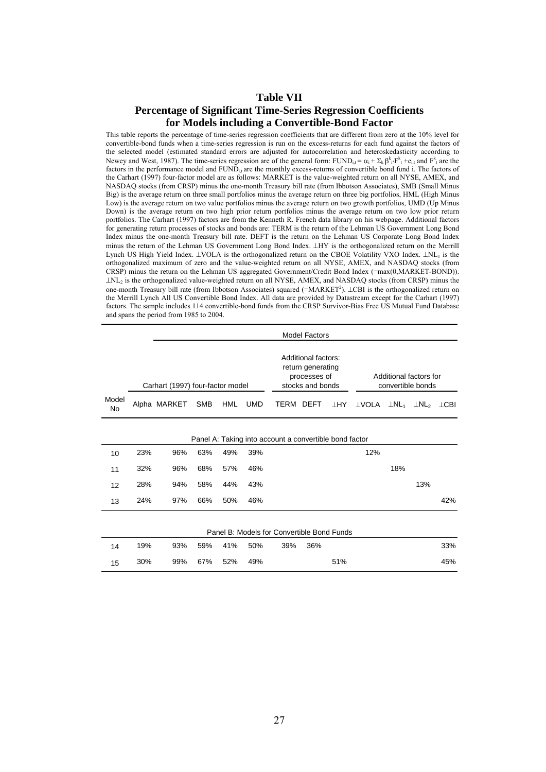## **Table VII**

## **Percentage of Significant Time-Series Regression Coefficients for Models including a Convertible-Bond Factor**

This table reports the percentage of time-series regression coefficients that are different from zero at the 10% level for convertible-bond funds when a time-series regression is run on the excess-returns for each fund against the factors of the selected model (estimated standard errors are adjusted for autocorrelation and heteroskedasticity according to Newey and West, 1987). The time-series regression are of the general form:  $FUND_{i,t} = \alpha_i + \sum_k \beta_i^k \cdot F_{t}^k + e_{i,t}$  and  $F_{t}^k$  are the factors in the performance model and  $FUND_{i}$  are the monthly excess-returns of convertible bond fund i. The factors of the Carhart (1997) four-factor model are as follows: MARKET is the value-weighted return on all NYSE, AMEX, and NASDAQ stocks (from CRSP) minus the one-month Treasury bill rate (from Ibbotson Associates), SMB (Small Minus Big) is the average return on three small portfolios minus the average return on three big portfolios, HML (High Minus Low) is the average return on two value portfolios minus the average return on two growth portfolios, UMD (Up Minus Down) is the average return on two high prior return portfolios minus the average return on two low prior return portfolios. The Carhart (1997) factors are from the Kenneth R. French data library on his webpage. Additional factors for generating return processes of stocks and bonds are: TERM is the return of the Lehman US Government Long Bond Index minus the one-month Treasury bill rate. DEFT is the return on the Lehman US Corporate Long Bond Index minus the return of the Lehman US Government Long Bond Index. ⊥HY is the orthogonalized return on the Merrill Lynch US High Yield Index. ⊥VOLA is the orthogonalized return on the CBOE Volatility VXO Index. ⊥NL1 is the orthogonalized maximum of zero and the value-weighted return on all NYSE, AMEX, and NASDAQ stocks (from CRSP) minus the return on the Lehman US aggregated Government/Credit Bond Index (=max(0,MARKET-BOND)). ⊥NL2 is the orthogonalized value-weighted return on all NYSE, AMEX, and NASDAQ stocks (from CRSP) minus the one-month Treasury bill rate (from Ibbotson Associates) squared (=MARKET<sup>2</sup>). ⊥CBI is the orthogonalized return on the Merrill Lynch All US Convertible Bond Index. All data are provided by Datastream except for the Carhart (1997) factors. The sample includes 114 convertible-bond funds from the CRSP Survivor-Bias Free US Mutual Fund Database and spans the period from 1985 to 2004.

|                    |     |                                  |            |            |            |                                                        | <b>Model Factors</b>                                                         |            |                                             |                         |                         |             |
|--------------------|-----|----------------------------------|------------|------------|------------|--------------------------------------------------------|------------------------------------------------------------------------------|------------|---------------------------------------------|-------------------------|-------------------------|-------------|
|                    |     | Carhart (1997) four-factor model |            |            |            |                                                        | Additional factors:<br>return generating<br>processes of<br>stocks and bonds |            | Additional factors for<br>convertible bonds |                         |                         |             |
| Model<br><b>No</b> |     | Alpha MARKET                     | <b>SMB</b> | <b>HML</b> | <b>UMD</b> | TERM DEFT                                              |                                                                              | <b>LHY</b> | ⊥VOLA                                       | $\perp$ NL <sub>1</sub> | $\perp$ NL <sub>2</sub> | $\perp$ CBI |
|                    |     |                                  |            |            |            | Panel A: Taking into account a convertible bond factor |                                                                              |            |                                             |                         |                         |             |
| 10                 | 23% | 96%                              | 63%        | 49%        | 39%        |                                                        |                                                                              |            | 12%                                         |                         |                         |             |
| 11                 | 32% | 96%                              | 68%        | 57%        | 46%        |                                                        |                                                                              |            |                                             | 18%                     |                         |             |
| 12                 | 28% | 94%                              | 58%        | 44%        | 43%        |                                                        |                                                                              |            |                                             |                         | 13%                     |             |
| 13                 | 24% | 97%                              | 66%        | 50%        | 46%        |                                                        |                                                                              |            |                                             |                         |                         | 42%         |
|                    |     |                                  |            |            |            | Panel B: Models for Convertible Bond Funds             |                                                                              |            |                                             |                         |                         |             |
| 14                 | 19% | 93%                              | 59%        | 41%        | 50%        | 39%                                                    | 36%                                                                          |            |                                             |                         |                         | 33%         |
| 15                 | 30% | 99%                              | 67%        | 52%        | 49%        |                                                        |                                                                              | 51%        |                                             |                         |                         | 45%         |
|                    |     |                                  |            |            |            |                                                        |                                                                              |            |                                             |                         |                         |             |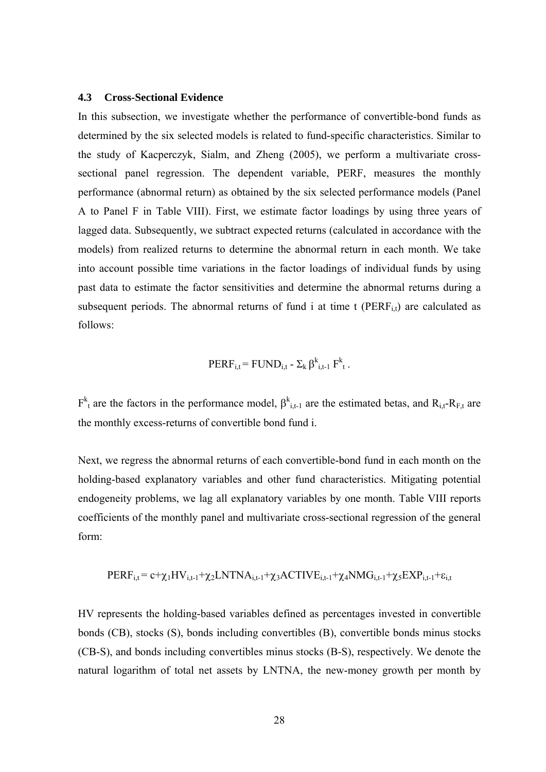#### **4.3 Cross-Sectional Evidence**

In this subsection, we investigate whether the performance of convertible-bond funds as determined by the six selected models is related to fund-specific characteristics. Similar to the study of Kacperczyk, Sialm, and Zheng (2005), we perform a multivariate crosssectional panel regression. The dependent variable, PERF, measures the monthly performance (abnormal return) as obtained by the six selected performance models (Panel A to Panel F in Table VIII). First, we estimate factor loadings by using three years of lagged data. Subsequently, we subtract expected returns (calculated in accordance with the models) from realized returns to determine the abnormal return in each month. We take into account possible time variations in the factor loadings of individual funds by using past data to estimate the factor sensitivities and determine the abnormal returns during a subsequent periods. The abnormal returns of fund i at time  $t$  (PERF<sub>it</sub>) are calculated as follows:

$$
PERF_{i,t} = FUND_{i,t} - \Sigma_k \beta_{i,t-1}^k F_t^k.
$$

 $F^{k}$  are the factors in the performance model,  $\beta^{k}$ <sub>i,t-1</sub> are the estimated betas, and R<sub>i,t</sub>-R<sub>F,t</sub> are the monthly excess-returns of convertible bond fund i.

Next, we regress the abnormal returns of each convertible-bond fund in each month on the holding-based explanatory variables and other fund characteristics. Mitigating potential endogeneity problems, we lag all explanatory variables by one month. Table VIII reports coefficients of the monthly panel and multivariate cross-sectional regression of the general form:

$$
PERF_{i,t} = c + \chi_1 HV_{i,t-1} + \chi_2 LNTNA_{i,t-1} + \chi_3 ACTIVE_{i,t-1} + \chi_4 NMG_{i,t-1} + \chi_5 EXP_{i,t-1} + \epsilon_{i,t}
$$

HV represents the holding-based variables defined as percentages invested in convertible bonds (CB), stocks (S), bonds including convertibles (B), convertible bonds minus stocks (CB-S), and bonds including convertibles minus stocks (B-S), respectively. We denote the natural logarithm of total net assets by LNTNA, the new-money growth per month by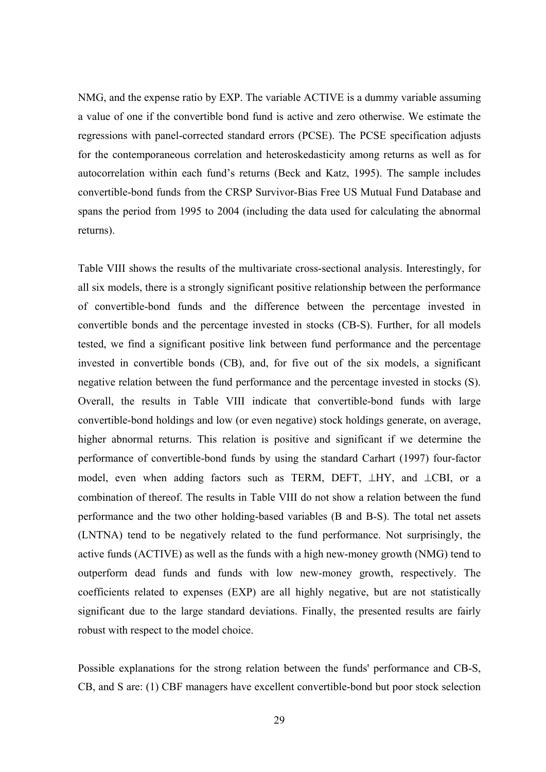NMG, and the expense ratio by EXP. The variable ACTIVE is a dummy variable assuming a value of one if the convertible bond fund is active and zero otherwise. We estimate the regressions with panel-corrected standard errors (PCSE). The PCSE specification adjusts for the contemporaneous correlation and heteroskedasticity among returns as well as for autocorrelation within each fund's returns (Beck and Katz, 1995). The sample includes convertible-bond funds from the CRSP Survivor-Bias Free US Mutual Fund Database and spans the period from 1995 to 2004 (including the data used for calculating the abnormal returns).

Table VIII shows the results of the multivariate cross-sectional analysis. Interestingly, for all six models, there is a strongly significant positive relationship between the performance of convertible-bond funds and the difference between the percentage invested in convertible bonds and the percentage invested in stocks (CB-S). Further, for all models tested, we find a significant positive link between fund performance and the percentage invested in convertible bonds (CB), and, for five out of the six models, a significant negative relation between the fund performance and the percentage invested in stocks (S). Overall, the results in Table VIII indicate that convertible-bond funds with large convertible-bond holdings and low (or even negative) stock holdings generate, on average, higher abnormal returns. This relation is positive and significant if we determine the performance of convertible-bond funds by using the standard Carhart (1997) four-factor model, even when adding factors such as TERM, DEFT, ⊥HY, and ⊥CBI, or a combination of thereof. The results in Table VIII do not show a relation between the fund performance and the two other holding-based variables (B and B-S). The total net assets (LNTNA) tend to be negatively related to the fund performance. Not surprisingly, the active funds (ACTIVE) as well as the funds with a high new-money growth (NMG) tend to outperform dead funds and funds with low new-money growth, respectively. The coefficients related to expenses (EXP) are all highly negative, but are not statistically significant due to the large standard deviations. Finally, the presented results are fairly robust with respect to the model choice.

Possible explanations for the strong relation between the funds' performance and CB-S, CB, and S are: (1) CBF managers have excellent convertible-bond but poor stock selection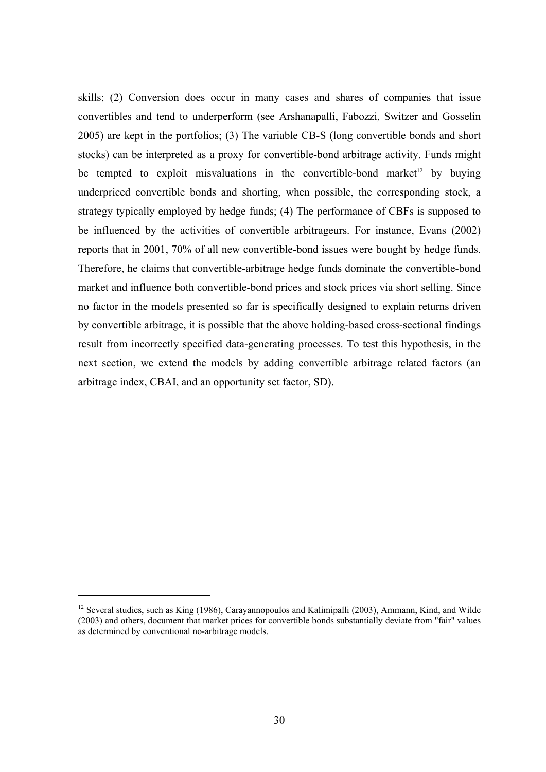skills; (2) Conversion does occur in many cases and shares of companies that issue convertibles and tend to underperform (see Arshanapalli, Fabozzi, Switzer and Gosselin 2005) are kept in the portfolios; (3) The variable CB-S (long convertible bonds and short stocks) can be interpreted as a proxy for convertible-bond arbitrage activity. Funds might be tempted to exploit misvaluations in the convertible-bond market<sup>12</sup> by buying underpriced convertible bonds and shorting, when possible, the corresponding stock, a strategy typically employed by hedge funds; (4) The performance of CBFs is supposed to be influenced by the activities of convertible arbitrageurs. For instance, Evans (2002) reports that in 2001, 70% of all new convertible-bond issues were bought by hedge funds. Therefore, he claims that convertible-arbitrage hedge funds dominate the convertible-bond market and influence both convertible-bond prices and stock prices via short selling. Since no factor in the models presented so far is specifically designed to explain returns driven by convertible arbitrage, it is possible that the above holding-based cross-sectional findings result from incorrectly specified data-generating processes. To test this hypothesis, in the next section, we extend the models by adding convertible arbitrage related factors (an arbitrage index, CBAI, and an opportunity set factor, SD).

1

<sup>&</sup>lt;sup>12</sup> Several studies, such as King (1986), Carayannopoulos and Kalimipalli (2003), Ammann, Kind, and Wilde (2003) and others, document that market prices for convertible bonds substantially deviate from "fair" values as determined by conventional no-arbitrage models.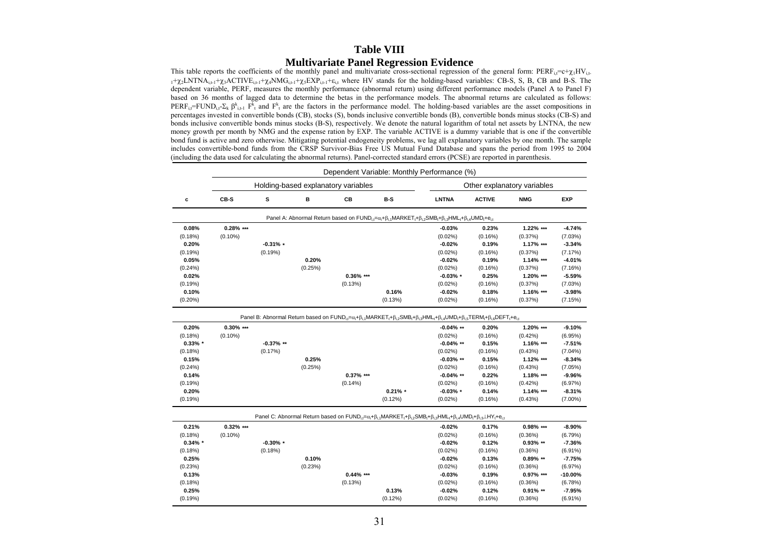#### **Table VIII Multivariate Panel Regression Evidence**

This table reports the coefficients of the monthly panel and multivariate cross-sectional regression of the general form:  $PERF_i = c + \gamma_1HV_i$ .  $1+\chi_2 LNTNA_{i,t-1}+\chi_3 ACTIVE_{i,t-1}+\chi_4 NMG_{i,t-1}+\chi_5 EXP_{i,t-1}+\varepsilon_{i,t}$  where HV stands for the holding-based variables: CB-S, S, B, CB and B-S. The dependent variable, PERF, measures the monthly performance (abnormal return) using different performance models (Panel A to Panel F) based on 36 months of lagged data to determine the betas in the performance models. The abnormal returns are calculated as follows: PERF<sub>i</sub> $=$ FUND<sub>i</sub> $\cdot$ Σ<sub>k</sub> β<sup>k</sup><sub>i+1</sub> F<sup>k</sup><sub>t</sub> and F<sup>k</sup><sub>t</sub> are the factors in the performance model. The holding-based variables are the asset compositions in percentages invested in convertible bonds (CB), stocks (S), bonds inclusive convertible bonds (B), convertible bonds minus stocks (CB-S) and bonds inclusive convertible bonds minus stocks (B-S), respectively. We denote the natural logarithm of total net assets by LNTNA, the new money growth per month by NMG and the expense ration by EXP. The variable ACTIVE is a dummy variable that is one if the convertible bond fund is active and zero otherwise. Mitigating potential endogeneity problems, we lag all explanatory variables by one month. The sample includes convertible-bond funds from the CRSP Survivor-Bias Free US Mutual Fund Database and spans the period from 1995 to 2004 (including the data used for calculating the abnormal returns). Panel-corrected standard errors (PCSE) are reported in parenthesis.

|            | Dependent Variable: Monthly Performance (%) |              |         |                                     |            |                                                                                                                                                                                                                                                                                                                                                  |               |              |            |  |  |  |  |
|------------|---------------------------------------------|--------------|---------|-------------------------------------|------------|--------------------------------------------------------------------------------------------------------------------------------------------------------------------------------------------------------------------------------------------------------------------------------------------------------------------------------------------------|---------------|--------------|------------|--|--|--|--|
|            |                                             |              |         | Holding-based explanatory variables |            | Other explanatory variables                                                                                                                                                                                                                                                                                                                      |               |              |            |  |  |  |  |
| c          | CB-S                                        | s            | В       | CВ                                  | B-S        | <b>LNTNA</b>                                                                                                                                                                                                                                                                                                                                     | <b>ACTIVE</b> | <b>NMG</b>   | <b>EXP</b> |  |  |  |  |
|            |                                             |              |         |                                     |            | Panel A: Abnormal Return based on $FUND_{i,t} = \alpha_i + \beta_{i,1} MARKET_t + \beta_{i,2} SMB_t + \beta_{i,3} HML_t + \beta_{i,4} UMD_t + e_{i,t}$                                                                                                                                                                                           |               |              |            |  |  |  |  |
| 0.08%      | $0.28\%$ ***                                |              |         |                                     |            | $-0.03%$                                                                                                                                                                                                                                                                                                                                         | 0.23%         | 1.22% ***    | $-4.74%$   |  |  |  |  |
| (0.18%)    | $(0.10\%)$                                  |              |         |                                     |            | $(0.02\%)$                                                                                                                                                                                                                                                                                                                                       | (0.16%)       | (0.37%)      | (7.03%)    |  |  |  |  |
| 0.20%      |                                             | $-0.31%$ *   |         |                                     |            | $-0.02%$                                                                                                                                                                                                                                                                                                                                         | 0.19%         | 1.17% ***    | $-3.34%$   |  |  |  |  |
| (0.19%)    |                                             | (0.19%)      |         |                                     |            | $(0.02\%)$                                                                                                                                                                                                                                                                                                                                       | (0.16%)       | (0.37%)      | (7.17%)    |  |  |  |  |
| 0.05%      |                                             |              | 0.20%   |                                     |            | $-0.02%$                                                                                                                                                                                                                                                                                                                                         | 0.19%         | $1.14\%$ *** | $-4.01%$   |  |  |  |  |
| (0.24%)    |                                             |              | (0.25%) |                                     |            | $(0.02\%)$                                                                                                                                                                                                                                                                                                                                       | (0.16%)       | (0.37%)      | (7.16%)    |  |  |  |  |
| 0.02%      |                                             |              |         | $0.36\%$ ***                        |            | $-0.03\%$ *                                                                                                                                                                                                                                                                                                                                      | 0.25%         | 1.20% ***    | $-5.59%$   |  |  |  |  |
| (0.19%)    |                                             |              |         | (0.13%)                             |            | $(0.02\%)$                                                                                                                                                                                                                                                                                                                                       | (0.16%)       | (0.37%)      | (7.03%)    |  |  |  |  |
| 0.10%      |                                             |              |         |                                     | 0.16%      | $-0.02%$                                                                                                                                                                                                                                                                                                                                         | 0.18%         | 1.16% ***    | $-3.98%$   |  |  |  |  |
| $(0.20\%)$ |                                             |              |         |                                     | (0.13%)    | (0.02%)                                                                                                                                                                                                                                                                                                                                          | (0.16%)       | (0.37%)      | (7.15%)    |  |  |  |  |
|            |                                             |              |         |                                     |            | Panel B: Abnormal Return based on FUND <sub>i</sub> = $\alpha_i + \beta_{i,1}$ MARKET <sub>1</sub> + $\beta_i$ <sub>2</sub> SMB <sub>1</sub> + $\beta_i$ <sub>3</sub> HML <sub>1</sub> + $\beta_i$ <sub>4</sub> UMD <sub>1</sub> + $\beta_i$ <sub>5</sub> TERM <sub>1</sub> + $\beta_i$ <sub>6</sub> DEFT <sub>1</sub> + $\theta_i$ <sub>1</sub> |               |              |            |  |  |  |  |
| 0.20%      | $0.30\%$ ***                                |              |         |                                     |            | $-0.04\%$ **                                                                                                                                                                                                                                                                                                                                     | 0.20%         | 1.20% ***    | $-9.10%$   |  |  |  |  |
| (0.18%)    | $(0.10\%)$                                  |              |         |                                     |            | (0.02%)                                                                                                                                                                                                                                                                                                                                          | (0.16%)       | (0.42%)      | (6.95%)    |  |  |  |  |
| $0.33\%$ * |                                             | $-0.37\%$ ** |         |                                     |            | $-0.04\%$ **                                                                                                                                                                                                                                                                                                                                     | 0.15%         | 1.16% ***    | $-7.51%$   |  |  |  |  |
| (0.18%)    |                                             | (0.17%)      |         |                                     |            | $(0.02\%)$                                                                                                                                                                                                                                                                                                                                       | (0.16%)       | (0.43%)      | $(7.04\%)$ |  |  |  |  |
| 0.15%      |                                             |              | 0.25%   |                                     |            | $-0.03\%$ **                                                                                                                                                                                                                                                                                                                                     | 0.15%         | 1.12% ***    | $-8.34%$   |  |  |  |  |
| (0.24%)    |                                             |              | (0.25%) |                                     |            | (0.02%)                                                                                                                                                                                                                                                                                                                                          | (0.16%)       | (0.43%)      | (7.05%)    |  |  |  |  |
| 0.14%      |                                             |              |         | $0.37\%$ ***                        |            | $-0.04\%$ **                                                                                                                                                                                                                                                                                                                                     | 0.22%         | 1.18% ***    | $-9.96%$   |  |  |  |  |
| (0.19%)    |                                             |              |         | $(0.14\%)$                          |            | (0.02%)                                                                                                                                                                                                                                                                                                                                          | (0.16%)       | (0.42%)      | (6.97%)    |  |  |  |  |
| 0.20%      |                                             |              |         |                                     | $0.21\% *$ | $-0.03%$ *                                                                                                                                                                                                                                                                                                                                       | 0.14%         | 1.14% ***    | $-8.31%$   |  |  |  |  |
| (0.19%)    |                                             |              |         |                                     | $(0.12\%)$ | (0.02%)                                                                                                                                                                                                                                                                                                                                          | (0.16%)       | (0.43%)      | $(7.00\%)$ |  |  |  |  |
|            |                                             |              |         |                                     |            | Panel C: Abnormal Return based on $FUND_{i,t} = \alpha_t + \beta_{i,t} MARKET_t + \beta_{i,2} SMB_t + \beta_{i,3} HML_t + \beta_{i,4} UMD_t + \beta_{i,5} LHY_t + e_{i,t}$                                                                                                                                                                       |               |              |            |  |  |  |  |
| 0.21%      | $0.32\%$ ***                                |              |         |                                     |            | $-0.02%$                                                                                                                                                                                                                                                                                                                                         | 0.17%         | 0.98% ***    | $-8.90%$   |  |  |  |  |
| (0.18%)    | $(0.10\%)$                                  |              |         |                                     |            | $(0.02\%)$                                                                                                                                                                                                                                                                                                                                       | (0.16%)       | (0.36%)      | (6.79%)    |  |  |  |  |
| $0.34\%$ * |                                             | $-0.30\%$ *  |         |                                     |            | $-0.02%$                                                                                                                                                                                                                                                                                                                                         | 0.12%         | $0.93\%$ **  | $-7.36%$   |  |  |  |  |
| (0.18%)    |                                             | (0.18%)      |         |                                     |            | $(0.02\%)$                                                                                                                                                                                                                                                                                                                                       | (0.16%)       | (0.36%)      | $(6.91\%)$ |  |  |  |  |
| 0.25%      |                                             |              | 0.10%   |                                     |            | $-0.02%$                                                                                                                                                                                                                                                                                                                                         | 0.13%         | $0.89\%$ **  | $-7.75%$   |  |  |  |  |
| (0.23%)    |                                             |              | (0.23%) |                                     |            | $(0.02\%)$                                                                                                                                                                                                                                                                                                                                       | (0.16%)       | (0.36%)      | (6.97%)    |  |  |  |  |
| 0.13%      |                                             |              |         | $0.44\%$ ***                        |            | $-0.03%$                                                                                                                                                                                                                                                                                                                                         | 0.19%         | $0.97\%$ *** | -10.00%    |  |  |  |  |
| (0.18%)    |                                             |              |         | (0.13%)                             |            | (0.02%)                                                                                                                                                                                                                                                                                                                                          | (0.16%)       | (0.36%)      | (6.78%)    |  |  |  |  |
| 0.25%      |                                             |              |         |                                     | 0.13%      | $-0.02%$                                                                                                                                                                                                                                                                                                                                         | 0.12%         | $0.91\%$ **  | $-7.95%$   |  |  |  |  |
| (0.19%)    |                                             |              |         |                                     | $(0.12\%)$ | $(0.02\%)$                                                                                                                                                                                                                                                                                                                                       | (0.16%)       | (0.36%)      | $(6.91\%)$ |  |  |  |  |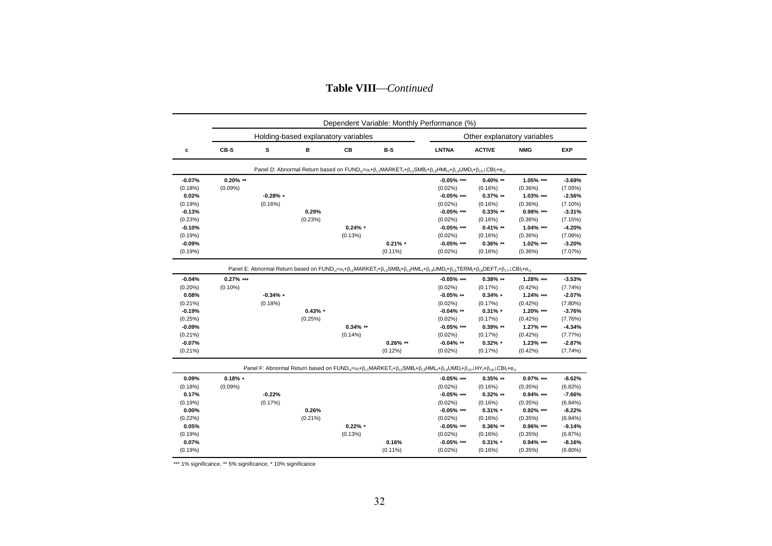| <b>Table VIII-</b> |  | -Continued |
|--------------------|--|------------|
|--------------------|--|------------|

|                                                                         |             |            |                                     |                        |             | Dependent Variable: Monthly Performance (%)                                                                                                                                                     |                                                                          |                                                                      |                                                                                          |
|-------------------------------------------------------------------------|-------------|------------|-------------------------------------|------------------------|-------------|-------------------------------------------------------------------------------------------------------------------------------------------------------------------------------------------------|--------------------------------------------------------------------------|----------------------------------------------------------------------|------------------------------------------------------------------------------------------|
|                                                                         |             |            | Holding-based explanatory variables |                        |             |                                                                                                                                                                                                 |                                                                          | Other explanatory variables                                          |                                                                                          |
| c                                                                       | CB-S        | s          | в                                   | CВ                     | B-S         | <b>LNTNA</b>                                                                                                                                                                                    | <b>ACTIVE</b>                                                            | <b>NMG</b>                                                           | <b>EXP</b>                                                                               |
|                                                                         |             |            |                                     |                        |             | Panel D: Abnormal Return based on $FUND_{it} = \alpha_i + \beta_{i,1} MARKET_t + \beta_{i,2} SMB_t + \beta_{i,3} HML_t + \beta_{i,4} UMD_t + \beta_{i,5} \perp CBl_t + e_{i,t}$                 |                                                                          |                                                                      |                                                                                          |
| $-0.07%$                                                                | $0.20\%$ ** |            |                                     |                        |             | $-0.05%$ ***                                                                                                                                                                                    | $0.40\%$ **                                                              | 1.05% ***                                                            | $-3.69%$                                                                                 |
| (0.18%)                                                                 | $(0.09\%)$  |            |                                     |                        |             | $(0.02\%)$                                                                                                                                                                                      | (0.16%)                                                                  | (0.36%)                                                              | (7.05%)                                                                                  |
| 0.02%                                                                   |             | $-0.28%$ * |                                     |                        |             | $-0.05%$ ***                                                                                                                                                                                    | $0.37\%$ **                                                              | 1.03% ***                                                            | $-2.56%$                                                                                 |
| (0.19%)                                                                 |             | (0.16%)    |                                     |                        |             | $(0.02\%)$                                                                                                                                                                                      | (0.16%)                                                                  | (0.36%)                                                              | $(7.10\%)$                                                                               |
| $-0.13%$                                                                |             |            | 0.29%                               |                        |             | $-0.05%$ ***                                                                                                                                                                                    | $0.33\%$ **                                                              | 0.98% ***                                                            | $-3.31%$                                                                                 |
| (0.23%)                                                                 |             |            | (0.23%)                             |                        |             | $(0.02\%)$                                                                                                                                                                                      | (0.16%)                                                                  | (0.36%)                                                              | (7.15%)                                                                                  |
| $-0.10%$                                                                |             |            |                                     | $0.24\% *$             |             | $-0.05\%$ ***                                                                                                                                                                                   | $0.41\%$ **                                                              | 1.04% ***                                                            | $-4.20%$                                                                                 |
| (0.19%)                                                                 |             |            |                                     | (0.13%)                |             | $(0.02\%)$                                                                                                                                                                                      | (0.16%)                                                                  | (0.36%)                                                              | (7.08%)                                                                                  |
| $-0.09%$                                                                |             |            |                                     |                        | $0.21\% *$  | $-0.05\%$ ***                                                                                                                                                                                   | $0.36\%$ **                                                              | 1.02% ***                                                            | $-3.20%$                                                                                 |
| (0.19%)                                                                 |             |            |                                     |                        | $(0.11\%)$  | $(0.02\%)$                                                                                                                                                                                      | (0.16%)                                                                  | (0.36%)                                                              | (7.07%)                                                                                  |
| $(0.21\%)$<br>$-0.19%$<br>(0.25%)<br>$-0.09%$<br>$(0.21\%)$<br>$-0.07%$ |             | (0.18%)    | $0.43\% *$<br>(0.25%)               | $0.34\%$ **<br>(0.14%) | $0.26\%$ ** | $(0.02\%)$<br>$-0.04\%$ **<br>$(0.02\%)$<br>$-0.05\%$ ***<br>$(0.02\%)$<br>$-0.04\%$ **                                                                                                         | (0.17%)<br>$0.31\%$ *<br>(0.17%)<br>$0.39\%$ **<br>(0.17%)<br>$0.32\%$ * | (0.42%)<br>1.20% ***<br>(0.42%)<br>1.27% ***<br>(0.42%)<br>1.23% *** | $(7.80\%)$<br>$-3.76%$<br>(7.76%)<br>$-4.34%$<br>(7.77%)<br>$-2.87%$                     |
| $(0.21\%)$                                                              |             |            |                                     |                        | (0.12%)     | $(0.02\%)$                                                                                                                                                                                      | (0.17%)                                                                  | (0.42%)                                                              | (7.74%)                                                                                  |
|                                                                         |             |            |                                     |                        |             | Panel F: Abnormal Return based on $FUND_{i,t} = \alpha_i + \beta_{i,t} MARKET_t + \beta_{i,t} SMB_t + \beta_{i,t} HML_t + \beta_{i,t} UMD_t + \beta_{i,t} LHY_t + \beta_{i,t} LCBI_t + e_{i,t}$ |                                                                          |                                                                      |                                                                                          |
| 0.09%                                                                   | $0.18\%$ *  |            |                                     |                        |             | $-0.05%$ ***                                                                                                                                                                                    | $0.35\%$ **                                                              | 0.97% ***                                                            | $-8.62%$                                                                                 |
|                                                                         | (0.09%)     |            |                                     |                        |             | $(0.02\%)$                                                                                                                                                                                      | (0.16%)                                                                  | (0.35%)                                                              |                                                                                          |
| 0.17%                                                                   |             | $-0.22%$   |                                     |                        |             | $-0.05%$ ***                                                                                                                                                                                    | $0.32\%$ **                                                              | $0.94\%$ ***                                                         |                                                                                          |
|                                                                         |             | (0.17%)    |                                     |                        |             | $(0.02\%)$                                                                                                                                                                                      | (0.16%)                                                                  | (0.35%)                                                              |                                                                                          |
| $0.00\%$                                                                |             |            | 0.26%                               |                        |             | $-0.05\%$ ***                                                                                                                                                                                   | $0.31\%$ *                                                               | $0.92\%$ ***                                                         |                                                                                          |
|                                                                         |             |            | $(0.21\%)$                          |                        |             | $(0.02\%)$                                                                                                                                                                                      | (0.16%)                                                                  | (0.35%)                                                              |                                                                                          |
| 0.05%                                                                   |             |            |                                     | $0.22\% *$             |             | $-0.05\%$ ***                                                                                                                                                                                   | $0.36\%$ **                                                              | 0.96% ***                                                            |                                                                                          |
|                                                                         |             |            |                                     | (0.13%)                |             | $(0.02\%)$                                                                                                                                                                                      | (0.16%)                                                                  | (0.35%)                                                              |                                                                                          |
| (0.18%)<br>(0.19%)<br>$(0.22\%)$<br>(0.19%)<br>0.07%                    |             |            |                                     |                        | 0.16%       | $-0.05\%$ ***                                                                                                                                                                                   | $0.31\%$ *                                                               | $0.94\%$ ***                                                         | (6.82%)<br>$-7.66%$<br>(6.84%)<br>$-8.22%$<br>(6.84%)<br>$-9.14%$<br>(6.87%)<br>$-8.16%$ |

\*\*\* 1% significance, \*\* 5% significance, \* 10% significance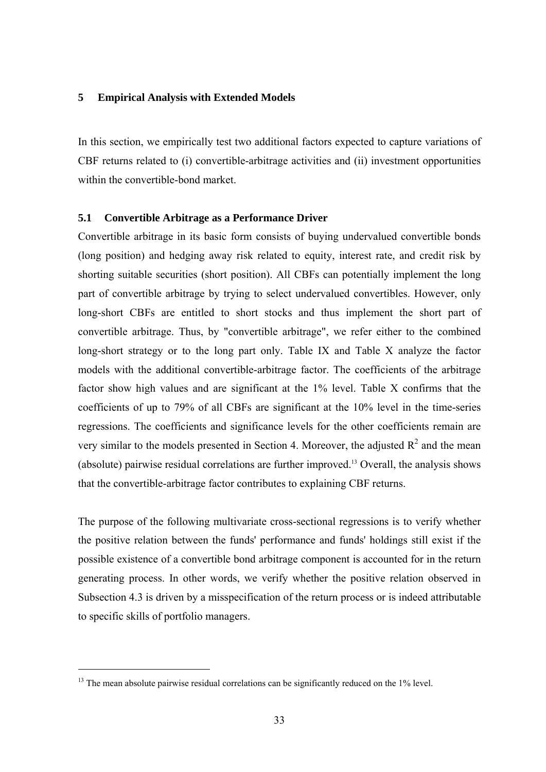## **5 Empirical Analysis with Extended Models**

In this section, we empirically test two additional factors expected to capture variations of CBF returns related to (i) convertible-arbitrage activities and (ii) investment opportunities within the convertible-bond market.

#### **5.1 Convertible Arbitrage as a Performance Driver**

Convertible arbitrage in its basic form consists of buying undervalued convertible bonds (long position) and hedging away risk related to equity, interest rate, and credit risk by shorting suitable securities (short position). All CBFs can potentially implement the long part of convertible arbitrage by trying to select undervalued convertibles. However, only long-short CBFs are entitled to short stocks and thus implement the short part of convertible arbitrage. Thus, by "convertible arbitrage", we refer either to the combined long-short strategy or to the long part only. Table IX and Table X analyze the factor models with the additional convertible-arbitrage factor. The coefficients of the arbitrage factor show high values and are significant at the 1% level. Table X confirms that the coefficients of up to 79% of all CBFs are significant at the 10% level in the time-series regressions. The coefficients and significance levels for the other coefficients remain are very similar to the models presented in Section 4. Moreover, the adjusted  $R^2$  and the mean (absolute) pairwise residual correlations are further improved.13 Overall, the analysis shows that the convertible-arbitrage factor contributes to explaining CBF returns.

The purpose of the following multivariate cross-sectional regressions is to verify whether the positive relation between the funds' performance and funds' holdings still exist if the possible existence of a convertible bond arbitrage component is accounted for in the return generating process. In other words, we verify whether the positive relation observed in Subsection 4.3 is driven by a misspecification of the return process or is indeed attributable to specific skills of portfolio managers.

-

<sup>&</sup>lt;sup>13</sup> The mean absolute pairwise residual correlations can be significantly reduced on the 1% level.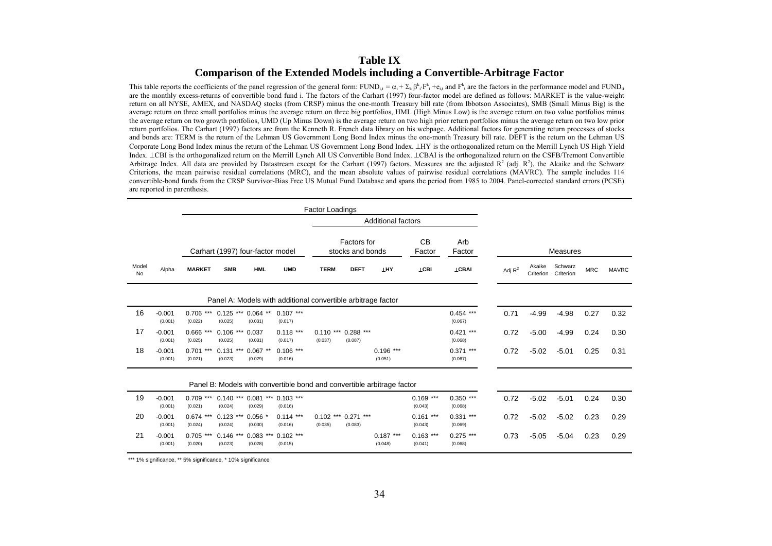## **Table IX Comparison of the Extended Models including a Convertible-Arbitrage Factor**

This table reports the coefficients of the panel regression of the general form: FUND<sub>i</sub>, =  $\alpha_i + \Sigma_k \beta_i \cdot F^k$ , +e<sub>i</sub>, and  $F^k$ , are the factors in the performance model and FUND<sub>i</sub>. are the monthly excess-returns of convertible bond fund i. The factors of the Carhart (1997) four-factor model are defined as follows: MARKET is the value-weight return on all NYSE, AMEX, and NASDAQ stocks (from CRSP) minus the one-month Treasury bill rate (from Ibbotson Associates), SMB (Small Minus Big) is the average return on three small portfolios minus the average return on three big portfolios, HML (High Minus Low) is the average return on two value portfolios minus the average return on two growth portfolios, UMD (Up Minus Down) is the average return on two high prior return portfolios minus the average return on two low prior return portfolios. The Carhart (1997) factors are from the Kenneth R. French data library on his webpage. Additional factors for generating return processes of stocks and bonds are: TERM is the return of the Lehman US Government Long Bond Index minus the one-month Treasury bill rate. DEFT is the return on the Lehman US Corporate Long Bond Index minus the return of the Lehman US Government Long Bond Index. ⊥HY is the orthogonalized return on the Merrill Lynch US High Yield Index. ⊥CBI is the orthogonalized return on the Merrill Lynch All US Convertible Bond Index. ⊥CBAI is the orthogonalized return on the CSFB/Tremont Convertible Arbitrage Index. All data are provided by Datastream except for the Carhart (1997) factors. Measures are the adjusted  $R^2$  (adj.  $R^2$ ), the Akaike and the Schwarz Criterions, the mean pairwise residual correlations (MRC), and the mean absolute values of pairwise residual correlations (MAVRC). The sample includes 114 convertible-bond funds from the CRSP Survivor-Bias Free US Mutual Fund Database and spans the period from 1985 to 2004. Panel-corrected standard errors (PCSE) are reported in parenthesis.

|             |                                                              |                         |                                  |                        |                        |                        |                                        | <b>Additional factors</b>                                              |                        |                         |                 |                     |                      |            |              |
|-------------|--------------------------------------------------------------|-------------------------|----------------------------------|------------------------|------------------------|------------------------|----------------------------------------|------------------------------------------------------------------------|------------------------|-------------------------|-----------------|---------------------|----------------------|------------|--------------|
|             |                                                              |                         | Carhart (1997) four-factor model |                        |                        |                        | <b>Factors</b> for<br>stocks and bonds |                                                                        | <b>CB</b><br>Factor    | Arb<br>Factor           | <b>Measures</b> |                     |                      |            |              |
| Model<br>No | Alpha                                                        | <b>MARKET</b>           | <b>SMB</b>                       | <b>HML</b>             | <b>UMD</b>             | <b>TERM</b>            | <b>DEFT</b>                            | <b>LHY</b>                                                             | <b>LCBI</b>            | <b>LCBAI</b>            | Adj $R^2$       | Akaike<br>Criterion | Schwarz<br>Criterion | <b>MRC</b> | <b>MAVRC</b> |
|             | Panel A: Models with additional convertible arbitrage factor |                         |                                  |                        |                        |                        |                                        |                                                                        |                        |                         |                 |                     |                      |            |              |
| 16          | $-0.001$<br>(0.001)                                          | 0.706<br>(0.022)        | $0.125$ ***<br>(0.025)           | $0.064$ **<br>(0.031)  | $0.107$ ***<br>(0.017) |                        |                                        |                                                                        |                        | $0.454$ ***<br>(0.067)  | 0.71            | $-4.99$             | $-4.98$              | 0.27       | 0.32         |
| 17          | $-0.001$<br>(0.001)                                          | $0.666$ ***<br>(0.025)  | $0.106$ ***<br>(0.025)           | 0.037<br>(0.031)       | $0.118$ ***<br>(0.017) | $0.110***$<br>(0.037)  | $0.288$ ***<br>(0.087)                 |                                                                        |                        | $0.421$ ***<br>(0.068)  | 0.72            | $-5.00$             | $-4.99$              | 0.24       | 0.30         |
| 18          | $-0.001$<br>(0.001)                                          | 0.701<br>***<br>(0.021) | ***<br>0.131<br>(0.023)          | $0.067$ *<br>(0.029)   | $0.106$ ***<br>(0.016) |                        |                                        | $0.196$ ***<br>(0.051)                                                 |                        | ***<br>0.371<br>(0.067) | 0.72            | $-5.02$             | $-5.01$              | 0.25       | 0.31         |
|             |                                                              |                         |                                  |                        |                        |                        |                                        | Panel B: Models with convertible bond and convertible arbitrage factor |                        |                         |                 |                     |                      |            |              |
| 19          | $-0.001$<br>(0.001)                                          | $0.709$ ***<br>(0.021)  | $0.140$ ***<br>(0.024)           | $0.081***$<br>(0.029)  | $0.103$ ***<br>(0.016) |                        |                                        |                                                                        | $0.169$ ***<br>(0.043) | $0.350$ ***<br>(0.068)  | 0.72            | $-5.02$             | $-5.01$              | 0.24       | 0.30         |
| 20          | $-0.001$<br>(0.001)                                          | 0.674<br>(0.024)        | $0.123$ ***<br>(0.024)           | $0.056$ *<br>(0.030)   | $0.114$ ***<br>(0.016) | $0.102$ ***<br>(0.035) | $0.271$ ***<br>(0.083)                 |                                                                        | $0.161$ ***<br>(0.043) | $0.331***$<br>(0.069)   | 0.72            | $-5.02$             | $-5.02$              | 0.23       | 0.29         |
| 21          | $-0.001$<br>(0.001)                                          | 0.705<br>(0.020)        | 0.146<br>***<br>(0.023)          | $0.083$ ***<br>(0.028) | $0.102$ ***<br>(0.015) |                        |                                        | $0.187***$<br>(0.048)                                                  | $0.163$ ***<br>(0.041) | $0.275$ ***<br>(0.068)  | 0.73            | $-5.05$             | $-5.04$              | 0.23       | 0.29         |

\*\*\* 1% significance, \*\* 5% significance, \* 10% significance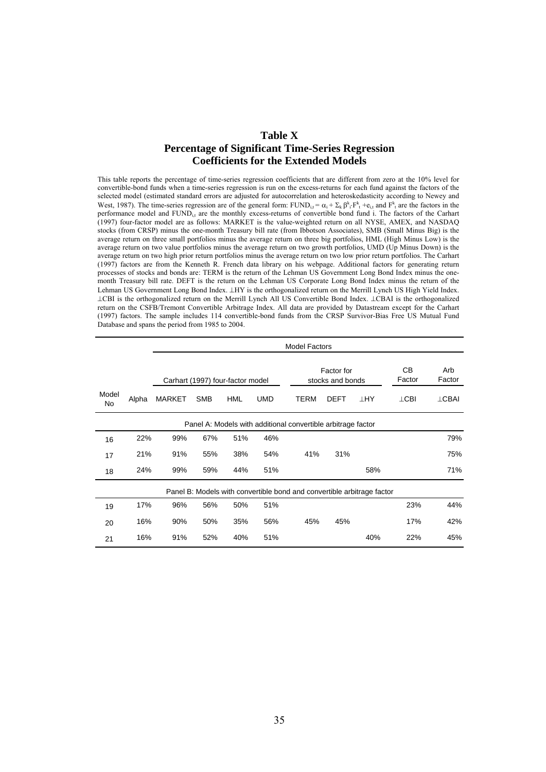## **Table X Percentage of Significant Time-Series Regression Coefficients for the Extended Models**

This table reports the percentage of time-series regression coefficients that are different from zero at the 10% level for convertible-bond funds when a time-series regression is run on the excess-returns for each fund against the factors of the selected model (estimated standard errors are adjusted for autocorrelation and heteroskedasticity according to Newey and West, 1987). The time-series regression are of the general form: FUND<sub>i,t</sub> =  $\alpha_i + \sum_k \beta_{i}^k \cdot F_{t}^k + e_{i,t}$  and  $F_{t}^k$  are the factors in the performance model and FUND<sub>i</sub>, are the monthly excess-returns of convertible bond fund i. The factors of the Carhart (1997) four-factor model are as follows: MARKET is the value-weighted return on all NYSE, AMEX, and NASDAQ stocks (from CRSP) minus the one-month Treasury bill rate (from Ibbotson Associates), SMB (Small Minus Big) is the average return on three small portfolios minus the average return on three big portfolios, HML (High Minus Low) is the average return on two value portfolios minus the average return on two growth portfolios, UMD (Up Minus Down) is the average return on two high prior return portfolios minus the average return on two low prior return portfolios. The Carhart (1997) factors are from the Kenneth R. French data library on his webpage. Additional factors for generating return processes of stocks and bonds are: TERM is the return of the Lehman US Government Long Bond Index minus the onemonth Treasury bill rate. DEFT is the return on the Lehman US Corporate Long Bond Index minus the return of the Lehman US Government Long Bond Index. ⊥HY is the orthogonalized return on the Merrill Lynch US High Yield Index. ⊥CBI is the orthogonalized return on the Merrill Lynch All US Convertible Bond Index. ⊥CBAI is the orthogonalized return on the CSFB/Tremont Convertible Arbitrage Index. All data are provided by Datastream except for the Carhart (1997) factors. The sample includes 114 convertible-bond funds from the CRSP Survivor-Bias Free US Mutual Fund Database and spans the period from 1985 to 2004.

|                    |       |               | <b>Model Factors</b>             |            |                                                                        |  |             |                                |           |              |               |  |  |  |  |
|--------------------|-------|---------------|----------------------------------|------------|------------------------------------------------------------------------|--|-------------|--------------------------------|-----------|--------------|---------------|--|--|--|--|
|                    |       |               | Carhart (1997) four-factor model |            |                                                                        |  |             | Factor for<br>stocks and bonds |           | CВ<br>Factor | Arb<br>Factor |  |  |  |  |
| Model<br><b>No</b> | Alpha | <b>MARKET</b> | <b>SMB</b>                       | <b>HML</b> | <b>UMD</b>                                                             |  | <b>TERM</b> | <b>DEFT</b>                    | <b>HY</b> | $\perp$ CBI  | $\perp$ CBAI  |  |  |  |  |
|                    |       |               |                                  |            | Panel A: Models with additional convertible arbitrage factor           |  |             |                                |           |              |               |  |  |  |  |
| 16                 | 22%   | 99%           | 67%                              | 51%        | 46%                                                                    |  |             |                                |           |              | 79%           |  |  |  |  |
| 17                 | 21%   | 91%           | 55%                              | 38%        | 54%                                                                    |  | 41%         | 31%                            |           |              | 75%           |  |  |  |  |
| 18                 | 24%   | 99%           | 59%                              | 44%        | 51%                                                                    |  |             |                                | 58%       |              | 71%           |  |  |  |  |
|                    |       |               |                                  |            | Panel B: Models with convertible bond and convertible arbitrage factor |  |             |                                |           |              |               |  |  |  |  |
| 19                 | 17%   | 96%           | 56%                              | 50%        | 51%                                                                    |  |             |                                |           | 23%          | 44%           |  |  |  |  |
| 20                 | 16%   | 90%           | 50%                              | 35%        | 56%                                                                    |  | 45%         | 45%                            |           | 17%          | 42%           |  |  |  |  |
| 21                 | 16%   | 91%           | 52%                              | 40%        | 51%                                                                    |  |             |                                | 40%       | 22%          | 45%           |  |  |  |  |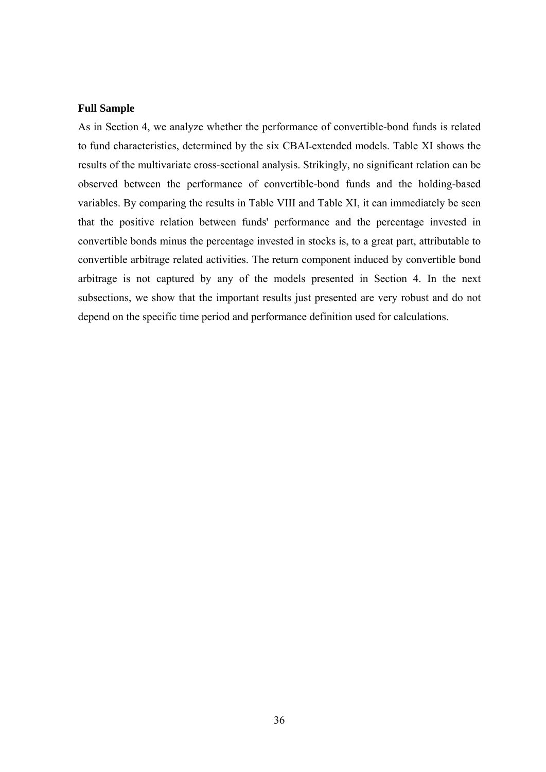#### **Full Sample**

As in Section 4, we analyze whether the performance of convertible-bond funds is related to fund characteristics, determined by the six CBAI-extended models. Table XI shows the results of the multivariate cross-sectional analysis. Strikingly, no significant relation can be observed between the performance of convertible-bond funds and the holding-based variables. By comparing the results in Table VIII and Table XI, it can immediately be seen that the positive relation between funds' performance and the percentage invested in convertible bonds minus the percentage invested in stocks is, to a great part, attributable to convertible arbitrage related activities. The return component induced by convertible bond arbitrage is not captured by any of the models presented in Section 4. In the next subsections, we show that the important results just presented are very robust and do not depend on the specific time period and performance definition used for calculations.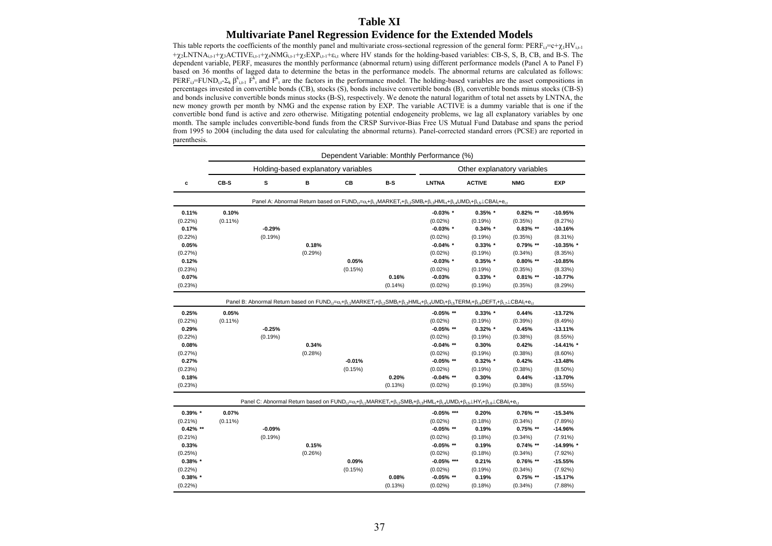### **Table XI Multivariate Panel Regression Evidence for the Extended Models**

This table reports the coefficients of the monthly panel and multivariate cross-sectional regression of the general form:  $PERF_{i,t}=c+\chi_{i}HV_{i,t}$  $+\chi_2LNTNA_{i,t-1}+\chi_3ACTIVE_{i,t-1}+\chi_4NMG_{i,t-1}+\chi_5EXP_{i,t-1}+\epsilon_{i,t}$  where HV stands for the holding-based variables: CB-S, S, B, CB, and B-S. The dependent variable, PERF, measures the monthly performance (abnormal return) using different performance models (Panel A to Panel F) based on 36 months of lagged data to determine the betas in the performance models. The abnormal returns are calculated as follows: PERF<sub>i,t</sub>=FUND<sub>i,t</sub>-Σ<sub>k</sub> β<sup>k</sup><sub>i,t-1</sub> F<sup>k</sup><sub>t</sub> and F<sup>k</sup><sub>t</sub> are the factors in the performance model. The holding-based variables are the asset compositions in percentages invested in convertible bonds (CB), stocks (S), bonds inclusive convertible bonds (B), convertible bonds minus stocks (CB-S) and bonds inclusive convertible bonds minus stocks (B-S), respectively. We denote the natural logarithm of total net assets by LNTNA, the new money growth per month by NMG and the expense ration by EXP. The variable ACTIVE is a dummy variable that is one if the convertible bond fund is active and zero otherwise. Mitigating potential endogeneity problems, we lag all explanatory variables by one month. The sample includes convertible-bond funds from the CRSP Survivor-Bias Free US Mutual Fund Database and spans the period from 1995 to 2004 (including the data used for calculating the abnormal returns). Panel-corrected standard errors (PCSE) are reported in parenthesis.

|             |            |          |                                     |          |            | Dependent Variable: Monthly Performance (%)                                                                                                                                                                                                                           |                             |             |              |
|-------------|------------|----------|-------------------------------------|----------|------------|-----------------------------------------------------------------------------------------------------------------------------------------------------------------------------------------------------------------------------------------------------------------------|-----------------------------|-------------|--------------|
|             |            |          | Holding-based explanatory variables |          |            |                                                                                                                                                                                                                                                                       | Other explanatory variables |             |              |
| c           | CB-S       | s        | в                                   | CВ       | B-S        | <b>LNTNA</b>                                                                                                                                                                                                                                                          | <b>ACTIVE</b>               | <b>NMG</b>  | <b>EXP</b>   |
|             |            |          |                                     |          |            | Panel A: Abnormal Return based on $FUND_{i,t} = \alpha_i + \beta_{i,t} MANKET_t + \beta_{i,2} SMB_t + \beta_{i,3} HML_t + \beta_{i,4} UMD_t + \beta_{i,5} \perp CBAI_t + e_{i,t}$                                                                                     |                             |             |              |
| 0.11%       | 0.10%      |          |                                     |          |            | $-0.03\%$ *                                                                                                                                                                                                                                                           | $0.35\%$ *                  | $0.82\%$ ** | $-10.95%$    |
| $(0.22\%)$  | $(0.11\%)$ |          |                                     |          |            | $(0.02\%)$                                                                                                                                                                                                                                                            | (0.19%)                     | (0.35%)     | (8.27%)      |
| 0.17%       |            | $-0.29%$ |                                     |          |            | $-0.03\%$ *                                                                                                                                                                                                                                                           | $0.34\%$ *                  | $0.83\%$ ** | $-10.16%$    |
| $(0.22\%)$  |            | (0.19%)  |                                     |          |            | $(0.02\%)$                                                                                                                                                                                                                                                            | (0.19%)                     | (0.35%)     | $(8.31\%)$   |
| 0.05%       |            |          | 0.18%                               |          |            | $-0.04\%$ *                                                                                                                                                                                                                                                           | $0.33\%$ *                  | 0.79% **    | $-10.35\%$ * |
| (0.27%)     |            |          | (0.29%)                             |          |            | (0.02%)                                                                                                                                                                                                                                                               | (0.19%)                     | $(0.34\%)$  | (8.35%)      |
| 0.12%       |            |          |                                     | 0.05%    |            | $-0.03\%$ *                                                                                                                                                                                                                                                           | $0.35\%$ *                  | $0.80\%$ ** | $-10.85%$    |
| (0.23%)     |            |          |                                     | (0.15%)  |            | $(0.02\%)$                                                                                                                                                                                                                                                            | (0.19%)                     | (0.35%)     | (8.33%)      |
| 0.07%       |            |          |                                     |          | 0.16%      | $-0.03%$                                                                                                                                                                                                                                                              | $0.33\%$ *                  | $0.81\%$ ** | $-10.77%$    |
| (0.23%)     |            |          |                                     |          | $(0.14\%)$ | (0.02%)                                                                                                                                                                                                                                                               | (0.19%)                     | (0.35%)     | (8.29%)      |
|             |            |          |                                     |          |            | Panel B: Abnormal Return based on $FUND_{i} = \alpha_{i} + \beta_{i} {}_{1}MARKET_{i} + \beta_{i} {}_{2}SMB_{i} + \beta_{i} {}_{3}HML_{i} + \beta_{i} {}_{4}UMD_{i} + \beta_{i} {}_{5}TERM_{i} + \beta_{i} {}_{6}DEFT_{i} + \beta_{i} {}_{7}LCBAI_{i} + \epsilon_{i}$ |                             |             |              |
| 0.25%       | 0.05%      |          |                                     |          |            | $-0.05\%$ **                                                                                                                                                                                                                                                          | $0.33\%$ *                  | 0.44%       | $-13.72%$    |
| $(0.22\%)$  | $(0.11\%)$ |          |                                     |          |            | $(0.02\%)$                                                                                                                                                                                                                                                            | (0.19%)                     | (0.39%)     | (8.49%)      |
| 0.29%       |            | $-0.25%$ |                                     |          |            | $-0.05\%$ **                                                                                                                                                                                                                                                          | $0.32\%$ *                  | 0.45%       | $-13.11%$    |
| $(0.22\%)$  |            | (0.19%)  |                                     |          |            | $(0.02\%)$                                                                                                                                                                                                                                                            | (0.19%)                     | (0.38%)     | $(8.55\%)$   |
| 0.08%       |            |          | 0.34%                               |          |            | $-0.04\%$ **                                                                                                                                                                                                                                                          | 0.30%                       | 0.42%       | $-14.41\%$ * |
| (0.27%)     |            |          | (0.28%)                             |          |            | $(0.02\%)$                                                                                                                                                                                                                                                            | (0.19%)                     | (0.38%)     | $(8.60\%)$   |
| 0.27%       |            |          |                                     | $-0.01%$ |            | $-0.05\%$ **                                                                                                                                                                                                                                                          | $0.32\%$ *                  | 0.42%       | $-13.48%$    |
| (0.23%)     |            |          |                                     | (0.15%)  |            | $(0.02\%)$                                                                                                                                                                                                                                                            | (0.19%)                     | (0.38%)     | $(8.50\%)$   |
| 0.18%       |            |          |                                     |          | 0.20%      | $-0.04\%$ **                                                                                                                                                                                                                                                          | 0.30%                       | 0.44%       | $-13.70%$    |
| (0.23%)     |            |          |                                     |          | (0.13%)    | (0.02%)                                                                                                                                                                                                                                                               | (0.19%)                     | $(0.38\%)$  | $(8.55\%)$   |
|             |            |          |                                     |          |            | Panel C: Abnormal Return based on $FUND_{i,t} = \alpha_i + \beta_{i,t} MANRKET_t + \beta_{i,2} SMB_t + \beta_{i,3} HML_t + \beta_{i,4} UMD_t + \beta_{i,6} LIPY_t + \beta_{i,6} LCBAI_t + e_{i,6}$                                                                    |                             |             |              |
| $0.39\%$ *  | 0.07%      |          |                                     |          |            | $-0.05\%$ ***                                                                                                                                                                                                                                                         | 0.20%                       | $0.76\%$ ** | $-15.34%$    |
| $(0.21\%)$  | $(0.11\%)$ |          |                                     |          |            | $(0.02\%)$                                                                                                                                                                                                                                                            | (0.18%)                     | $(0.34\%)$  | (7.89%)      |
| $0.42\%$ ** |            | $-0.09%$ |                                     |          |            | $-0.05\%$ **                                                                                                                                                                                                                                                          | 0.19%                       | $0.75\%$ ** | $-14.96%$    |
| $(0.21\%)$  |            | (0.19%)  |                                     |          |            | (0.02%                                                                                                                                                                                                                                                                | (0.18%)                     | $(0.34\%)$  | (7.91%)      |
| 0.33%       |            |          | 0.15%                               |          |            | $-0.05\%$ **                                                                                                                                                                                                                                                          | 0.19%                       | $0.74\%$ ** | -14.99% *    |
| (0.25%)     |            |          | (0.26%)                             |          |            | $(0.02\%)$                                                                                                                                                                                                                                                            | (0.18%)                     | $(0.34\%)$  | (7.92%)      |
| $0.38\%$ *  |            |          |                                     | 0.09%    |            | $-0.05\%$ ***                                                                                                                                                                                                                                                         | 0.21%                       | $0.76\%$ ** | $-15.55%$    |
| $(0.22\%)$  |            |          |                                     | (0.15%)  |            | $(0.02\%)$                                                                                                                                                                                                                                                            | (0.19%)                     | $(0.34\%)$  | (7.92%)      |
| $0.38\%$ *  |            |          |                                     |          | 0.08%      | $-0.05\%$ **                                                                                                                                                                                                                                                          | 0.19%                       | $0.75\%$ ** | $-15.17%$    |
| $(0.22\%)$  |            |          |                                     |          | (0.13%)    | $(0.02\%)$                                                                                                                                                                                                                                                            | (0.18%)                     | $(0.34\%)$  | (7.88%)      |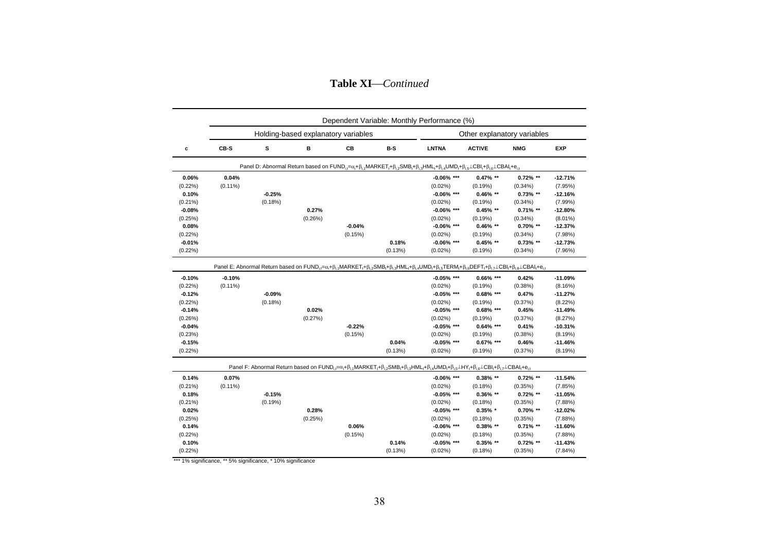**Table XI**⎯*Continued*

|            | Dependent Variable: Monthly Performance (%) |          |                                     |          |         |                                                                                                                                                                                                                                                                                                                                                                                                                                                                                          |                             |             |            |  |  |
|------------|---------------------------------------------|----------|-------------------------------------|----------|---------|------------------------------------------------------------------------------------------------------------------------------------------------------------------------------------------------------------------------------------------------------------------------------------------------------------------------------------------------------------------------------------------------------------------------------------------------------------------------------------------|-----------------------------|-------------|------------|--|--|
|            |                                             |          | Holding-based explanatory variables |          |         |                                                                                                                                                                                                                                                                                                                                                                                                                                                                                          | Other explanatory variables |             |            |  |  |
| c          | CB-S                                        | s        | B                                   | CB       | B-S     | <b>LNTNA</b>                                                                                                                                                                                                                                                                                                                                                                                                                                                                             | <b>ACTIVE</b>               | <b>NMG</b>  | <b>EXP</b> |  |  |
|            |                                             |          |                                     |          |         | Panel D: Abnormal Return based on $FUND_{i} = \alpha_i + \beta_i MARKET_i + \beta_i SMB_i + \beta_{i,3} HML_i + \beta_i AUMD_i + \beta_{i,5} \perp CBI_i + \beta_i ALME_i + \epsilon_i RIME_i + \epsilon_i RIME_i + \epsilon_i RIME_i + \epsilon_i RIME_i + \epsilon_i RIME_i + \epsilon_i RIME_i + \epsilon_i RIME_i + \epsilon_i RIME_i + \epsilon_i RIME_i + \epsilon_i RIME_i + \epsilon_i RIME_i + \epsilon_i RIME_i + \epsilon_i RIME_i + \epsilon_i RIME_i + \epsilon_i RIME_i +$ |                             |             |            |  |  |
| 0.06%      | 0.04%                                       |          |                                     |          |         | $-0.06\%$ ***                                                                                                                                                                                                                                                                                                                                                                                                                                                                            | $0.47\%$ **                 | $0.72\%$ ** | $-12.71%$  |  |  |
| $(0.22\%)$ | $(0.11\%)$                                  |          |                                     |          |         | $(0.02\%)$                                                                                                                                                                                                                                                                                                                                                                                                                                                                               | (0.19%)                     | $(0.34\%)$  | (7.95%)    |  |  |
| 0.10%      |                                             | $-0.25%$ |                                     |          |         | $-0.06\%$ ***                                                                                                                                                                                                                                                                                                                                                                                                                                                                            | $0.46\%$ **                 | $0.73\%$ ** | $-12.16%$  |  |  |
| $(0.21\%)$ |                                             | (0.18%)  |                                     |          |         | $(0.02\%)$                                                                                                                                                                                                                                                                                                                                                                                                                                                                               | (0.19%)                     | $(0.34\%)$  | (7.99%)    |  |  |
| $-0.08%$   |                                             |          | 0.27%                               |          |         | $-0.06\%$ ***                                                                                                                                                                                                                                                                                                                                                                                                                                                                            | $0.45%$ **                  | $0.71\%$ ** | $-12.80%$  |  |  |
| (0.25%)    |                                             |          | (0.26%)                             |          |         | $(0.02\%)$                                                                                                                                                                                                                                                                                                                                                                                                                                                                               | (0.19%)                     | $(0.34\%)$  | $(8.01\%)$ |  |  |
| 0.08%      |                                             |          |                                     | $-0.04%$ |         | $-0.06\%$ ***                                                                                                                                                                                                                                                                                                                                                                                                                                                                            | $0.46\%$ **                 | $0.70\%$ ** | $-12.37%$  |  |  |
| $(0.22\%)$ |                                             |          |                                     | (0.15%)  |         | $(0.02\%)$                                                                                                                                                                                                                                                                                                                                                                                                                                                                               | (0.19%)                     | $(0.34\%)$  | (7.98%)    |  |  |
| $-0.01%$   |                                             |          |                                     |          | 0.18%   | $-0.06\%$ ***                                                                                                                                                                                                                                                                                                                                                                                                                                                                            | $0.45\%$ **                 | $0.73\%$ ** | $-12.73%$  |  |  |
| $(0.22\%)$ |                                             |          |                                     |          | (0.13%) | $(0.02\%)$                                                                                                                                                                                                                                                                                                                                                                                                                                                                               | (0.19%)                     | $(0.34\%)$  | (7.96%)    |  |  |
|            |                                             |          |                                     |          |         | Panel E: Abnormal Return based on FUND <sub>i</sub> = $\alpha_i + \beta_{i}$ , MARKET, $+\beta_{i}$ , SMB, $+\beta_{i}$ , MML, $+\beta_{i}$ , UMD, $+\beta_{i}$ , TERM, $+\beta_{i}$ SDEFT, $+\beta_{i}$ , LCBI, $+\beta_{i}$ ECBAI, $+\alpha_{i}$                                                                                                                                                                                                                                       |                             |             |            |  |  |
| $-0.10%$   | $-0.10%$                                    |          |                                     |          |         | $-0.05\%$ ***                                                                                                                                                                                                                                                                                                                                                                                                                                                                            | $0.66\%$ ***                | 0.42%       | $-11.09%$  |  |  |
| $(0.22\%)$ | $(0.11\%)$                                  |          |                                     |          |         | $(0.02\%)$                                                                                                                                                                                                                                                                                                                                                                                                                                                                               | (0.19%)                     | (0.38%)     | (8.16%)    |  |  |
| $-0.12%$   |                                             | $-0.09%$ |                                     |          |         | $-0.05\%$ ***                                                                                                                                                                                                                                                                                                                                                                                                                                                                            | $0.68\%$ ***                | 0.47%       | $-11.27%$  |  |  |
| $(0.22\%)$ |                                             | (0.18%)  |                                     |          |         | $(0.02\%)$                                                                                                                                                                                                                                                                                                                                                                                                                                                                               | (0.19%)                     | (0.37%)     | $(8.22\%)$ |  |  |
| $-0.14%$   |                                             |          | 0.02%                               |          |         | $-0.05\%$ ***                                                                                                                                                                                                                                                                                                                                                                                                                                                                            | $0.68\%$ ***                | 0.45%       | $-11.49%$  |  |  |
| (0.26%)    |                                             |          | (0.27%)                             |          |         | $(0.02\%)$                                                                                                                                                                                                                                                                                                                                                                                                                                                                               | (0.19%)                     | (0.37%)     | (8.27%)    |  |  |
| $-0.04%$   |                                             |          |                                     | $-0.22%$ |         | $-0.05\%$ ***                                                                                                                                                                                                                                                                                                                                                                                                                                                                            | $0.64\%$ ***                | 0.41%       | $-10.31%$  |  |  |
| (0.23%)    |                                             |          |                                     | (0.15%)  |         | $(0.02\%)$                                                                                                                                                                                                                                                                                                                                                                                                                                                                               | (0.19%)                     | (0.38%)     | (8.19%)    |  |  |
| $-0.15%$   |                                             |          |                                     |          | 0.04%   | $-0.05%$ ***                                                                                                                                                                                                                                                                                                                                                                                                                                                                             | $0.67\%$ ***                | 0.46%       | $-11.46%$  |  |  |
| $(0.22\%)$ |                                             |          |                                     |          | (0.13%) | $(0.02\%)$                                                                                                                                                                                                                                                                                                                                                                                                                                                                               | (0.19%)                     | (0.37%)     | (8.19%)    |  |  |
|            |                                             |          |                                     |          |         | Panel F: Abnormal Return based on $FUND_{i,t} = \alpha_t + \beta_{i,t} MANRET_{i,t} + \beta_{i,2} SMB_t + \beta_{i,3} HML_t + \beta_{i,4} UMD_t + \beta_{i,5} \perp HY_t + \beta_{i,6} \perp CBl_t + \beta_{i,7} \perp CBAl_t + e_{i,t}$                                                                                                                                                                                                                                                 |                             |             |            |  |  |
| 0.14%      | 0.07%                                       |          |                                     |          |         | $-0.06\%$ ***                                                                                                                                                                                                                                                                                                                                                                                                                                                                            | 0.38% **                    | $0.72\%$ ** | $-11.54%$  |  |  |
| $(0.21\%)$ | $(0.11\%)$                                  |          |                                     |          |         | $(0.02\%)$                                                                                                                                                                                                                                                                                                                                                                                                                                                                               | (0.18%)                     | (0.35%)     | (7.85%)    |  |  |
| 0.18%      |                                             | $-0.15%$ |                                     |          |         | $-0.05\%$ ***                                                                                                                                                                                                                                                                                                                                                                                                                                                                            | $0.36\%$ **                 | $0.72\%$ ** | $-11.05%$  |  |  |
| $(0.21\%)$ |                                             | (0.19%)  |                                     |          |         | $(0.02\%)$                                                                                                                                                                                                                                                                                                                                                                                                                                                                               | (0.18%)                     | (0.35%)     | (7.88%)    |  |  |
| 0.02%      |                                             |          | 0.28%                               |          |         | $-0.05\%$ ***                                                                                                                                                                                                                                                                                                                                                                                                                                                                            | $0.35\%$ *                  | $0.70\%$ ** | $-12.02%$  |  |  |
| (0.25%)    |                                             |          | (0.25%)                             |          |         | $(0.02\%)$                                                                                                                                                                                                                                                                                                                                                                                                                                                                               | (0.18%)                     | (0.35%)     | (7.88%)    |  |  |
| 0.14%      |                                             |          |                                     | 0.06%    |         | $-0.06\%$ ***                                                                                                                                                                                                                                                                                                                                                                                                                                                                            | $0.38\%$ **                 | $0.71\%$ ** | $-11.60%$  |  |  |
| $(0.22\%)$ |                                             |          |                                     | (0.15%)  |         | $(0.02\%)$                                                                                                                                                                                                                                                                                                                                                                                                                                                                               | (0.18%)                     | (0.35%)     | (7.88%)    |  |  |
| 0.10%      |                                             |          |                                     |          | 0.14%   | $-0.05\%$ ***                                                                                                                                                                                                                                                                                                                                                                                                                                                                            | $0.35\%$ **                 | $0.72\%$ ** | $-11.43%$  |  |  |
| $(0.22\%)$ |                                             |          |                                     |          | (0.13%) | $(0.02\%)$                                                                                                                                                                                                                                                                                                                                                                                                                                                                               | (0.18%)                     | (0.35%)     | (7.84%)    |  |  |
|            |                                             |          |                                     |          |         |                                                                                                                                                                                                                                                                                                                                                                                                                                                                                          |                             |             |            |  |  |

\* 1% significance, \*\* 5% significance, \* 10% significance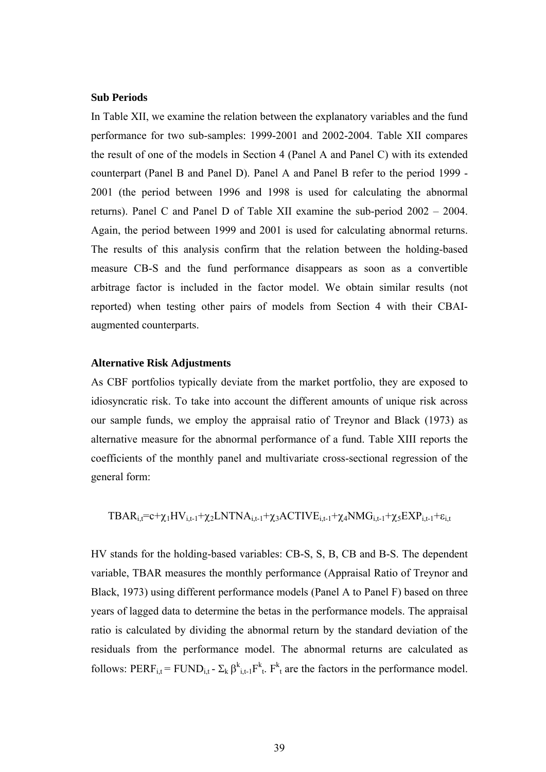## **Sub Periods**

In Table XII, we examine the relation between the explanatory variables and the fund performance for two sub-samples: 1999-2001 and 2002-2004. Table XII compares the result of one of the models in Section 4 (Panel A and Panel C) with its extended counterpart (Panel B and Panel D). Panel A and Panel B refer to the period 1999 - 2001 (the period between 1996 and 1998 is used for calculating the abnormal returns). Panel C and Panel D of Table XII examine the sub-period 2002 – 2004. Again, the period between 1999 and 2001 is used for calculating abnormal returns. The results of this analysis confirm that the relation between the holding-based measure CB-S and the fund performance disappears as soon as a convertible arbitrage factor is included in the factor model. We obtain similar results (not reported) when testing other pairs of models from Section 4 with their CBAIaugmented counterparts.

## **Alternative Risk Adjustments**

As CBF portfolios typically deviate from the market portfolio, they are exposed to idiosyncratic risk. To take into account the different amounts of unique risk across our sample funds, we employ the appraisal ratio of Treynor and Black (1973) as alternative measure for the abnormal performance of a fund. Table XIII reports the coefficients of the monthly panel and multivariate cross-sectional regression of the general form:

$$
TBAR_{i,t} = c + \chi_1 HV_{i,t-1} + \chi_2 LNTNA_{i,t-1} + \chi_3 ACTIVE_{i,t-1} + \chi_4 NMG_{i,t-1} + \chi_5 EXP_{i,t-1} + \epsilon_{i,t}
$$

HV stands for the holding-based variables: CB-S, S, B, CB and B-S. The dependent variable, TBAR measures the monthly performance (Appraisal Ratio of Treynor and Black, 1973) using different performance models (Panel A to Panel F) based on three years of lagged data to determine the betas in the performance models. The appraisal ratio is calculated by dividing the abnormal return by the standard deviation of the residuals from the performance model. The abnormal returns are calculated as follows: PERF<sub>i,t</sub> = FUND<sub>i,t</sub> -  $\Sigma_k \beta_{i,t-1}^k F_{t}^k$ .  $F_{t}^k$  are the factors in the performance model.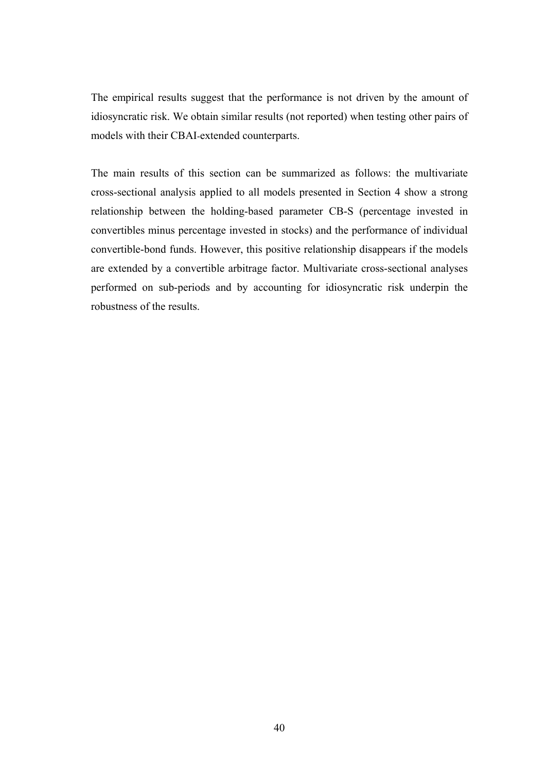The empirical results suggest that the performance is not driven by the amount of idiosyncratic risk. We obtain similar results (not reported) when testing other pairs of models with their CBAI-extended counterparts.

The main results of this section can be summarized as follows: the multivariate cross-sectional analysis applied to all models presented in Section 4 show a strong relationship between the holding-based parameter CB-S (percentage invested in convertibles minus percentage invested in stocks) and the performance of individual convertible-bond funds. However, this positive relationship disappears if the models are extended by a convertible arbitrage factor. Multivariate cross-sectional analyses performed on sub-periods and by accounting for idiosyncratic risk underpin the robustness of the results.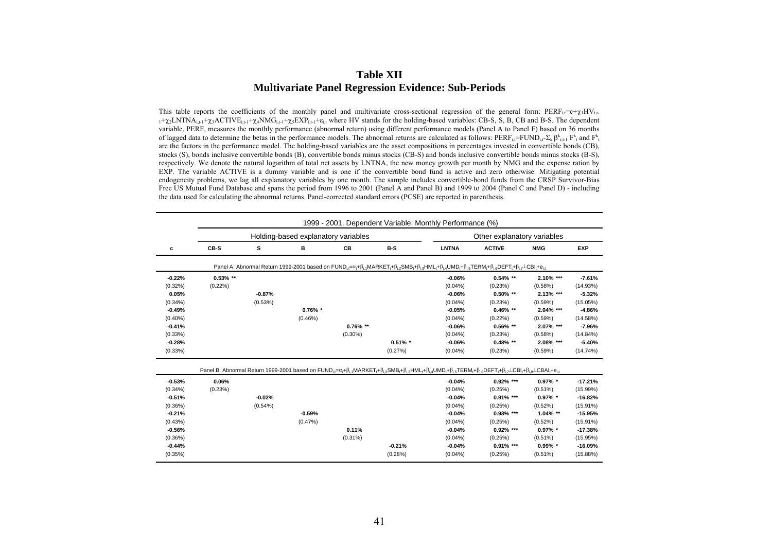#### **Table XII Multivariate Panel Regression Evidence: Sub-Periods**

This table reports the coefficients of the monthly panel and multivariate cross-sectional regression of the general form:  $PERF_{i,t}=c+\chi_{i}HV_{i,t}$ .  $_1+ \gamma_2$ LNTNA<sub>it-1</sub>+ $\gamma_3$ ACTIVE<sub>it-1</sub>+ $\gamma_4$ NMG<sub>it-1</sub>+ $\gamma_5$ EXP<sub>it-1</sub>+ $\varepsilon_i$ , where HV stands for the holding-based variables: CB-S, S, B, CB and B-S. The dependent variable, PERF, measures the monthly performance (abnormal return) using different performance models (Panel A to Panel F) based on 36 months of lagged data to determine the betas in the performance models. The abnormal returns are calculated as follows: PERF<sub>i</sub>, $=$ FUND<sub>i</sub>, $\Sigma_k \beta_{i,t}^k$ ,  $F_k^k$  and  $F_k^k$ are the factors in the performance model. The holding-based variables are the asset compositions in percentages invested in convertible bonds (CB), stocks (S), bonds inclusive convertible bonds (B), convertible bonds minus stocks (CB-S) and bonds inclusive convertible bonds minus stocks (B-S), respectively. We denote the natural logarithm of total net assets by LNTNA, the new money growth per month by NMG and the expense ration by EXP. The variable ACTIVE is a dummy variable and is one if the convertible bond fund is active and zero otherwise. Mitigating potential endogeneity problems, we lag all explanatory variables by one month. The sample includes convertible-bond funds from the CRSP Survivor-Bias Free US Mutual Fund Database and spans the period from 1996 to 2001 (Panel A and Panel B) and 1999 to 2004 (Panel C and Panel D) - including the data used for calculating the abnormal returns. Panel-corrected standard errors (PCSE) are reported in parenthesis.

|            |             |          |                                     |             | 1999 - 2001. Dependent Variable: Monthly Performance (%)                                                                                                                                                                                            |              |                             |             |             |
|------------|-------------|----------|-------------------------------------|-------------|-----------------------------------------------------------------------------------------------------------------------------------------------------------------------------------------------------------------------------------------------------|--------------|-----------------------------|-------------|-------------|
|            |             |          | Holding-based explanatory variables |             |                                                                                                                                                                                                                                                     |              | Other explanatory variables |             |             |
| с          | CB-S        | s        | в                                   | СB          | $B-S$                                                                                                                                                                                                                                               | <b>LNTNA</b> | <b>ACTIVE</b>               | <b>NMG</b>  | <b>EXP</b>  |
|            |             |          |                                     |             | Panel A: Abnormal Return 1999-2001 based on FUND <sub>i</sub> = $\alpha_i + \beta_i$ , MARKET, $+\beta_i$ , SMB, $+\beta_i$ , HML, $+\beta_i$ , UMD, $+\beta_i$ , TERM, $+\beta_i$ , DEFT, $+\beta_i$ , LCBI, $+\epsilon_i$ ,                       |              |                             |             |             |
| $-0.22%$   | $0.53\%$ ** |          |                                     |             |                                                                                                                                                                                                                                                     | $-0.06%$     | $0.54\%$ **                 | 2.10% ***   | $-7.61%$    |
| $(0.32\%)$ | $(0.22\%)$  |          |                                     |             |                                                                                                                                                                                                                                                     | $(0.04\%)$   | (0.23%)                     | (0.58%)     | (14.93%)    |
| 0.05%      |             | $-0.87%$ |                                     |             |                                                                                                                                                                                                                                                     | $-0.06%$     | $0.50\%$ **                 | 2.13% ***   | $-5.32%$    |
| $(0.34\%)$ |             | (0.53%)  |                                     |             |                                                                                                                                                                                                                                                     | $(0.04\%)$   | (0.23%)                     | (0.59%)     | (15.05%)    |
| $-0.49%$   |             |          | $0.76\%$ *                          |             |                                                                                                                                                                                                                                                     | $-0.05%$     | $0.46\%$ **                 | 2.04% ***   | $-4.86%$    |
| $(0.40\%)$ |             |          | $(0.46\%)$                          |             |                                                                                                                                                                                                                                                     | $(0.04\%)$   | $(0.22\%)$                  | (0.59%)     | (14.58%)    |
| $-0.41%$   |             |          |                                     | $0.76\%$ ** |                                                                                                                                                                                                                                                     | $-0.06%$     | $0.56\%$ **                 | 2.07% ***   | $-7.96%$    |
| $(0.33\%)$ |             |          |                                     | $(0.30\%)$  |                                                                                                                                                                                                                                                     | $(0.04\%)$   | (0.23%)                     | (0.58%)     | $(14.84\%)$ |
| $-0.28%$   |             |          |                                     |             | $0.51\%$ *                                                                                                                                                                                                                                          | $-0.06%$     | $0.48\%$ **                 | 2.08% ***   | $-5.40%$    |
| (0.33%)    |             |          |                                     |             | (0.27%)                                                                                                                                                                                                                                             | $(0.04\%)$   | (0.23%)                     | (0.59%)     | (14.74%)    |
|            |             |          |                                     |             | Panel B: Abnormal Return 1999-2001 based on $FUND_{i} = \alpha_i + \beta_i_1 MARKET_i + \beta_i_2 SMB_i + \beta_i_3 HML_i + \beta_i_4 UMD_i + \beta_i_5 TERM_i + \beta_i_6 DFFT_i + \beta_i_7 \perp CBI_i + \beta_i_8 \perp CBAI_i + \epsilon_i_1 $ |              |                             |             |             |
| $-0.53%$   | 0.06%       |          |                                     |             |                                                                                                                                                                                                                                                     | $-0.04%$     | $0.92\%$ ***                | $0.97\%$ *  | $-17.21%$   |
| $(0.34\%)$ | (0.23%)     |          |                                     |             |                                                                                                                                                                                                                                                     | $(0.04\%)$   | (0.25%)                     | $(0.51\%)$  | (15.99%)    |
| $-0.51%$   |             | $-0.02%$ |                                     |             |                                                                                                                                                                                                                                                     | $-0.04%$     | $0.91\%$ ***                | $0.97\%$ *  | $-16.82%$   |
| $(0.36\%)$ |             | (0.54%   |                                     |             |                                                                                                                                                                                                                                                     | $(0.04\%)$   | (0.25%)                     | (0.52%)     | $(15.91\%)$ |
| $-0.21%$   |             |          | $-0.59%$                            |             |                                                                                                                                                                                                                                                     | $-0.04%$     | $0.93\%$ ***                | $1.04\%$ ** | $-15.95%$   |
| (0.43%)    |             |          | (0.47%)                             |             |                                                                                                                                                                                                                                                     | $(0.04\%)$   | (0.25%)                     | (0.52%)     | $(15.91\%)$ |
| $-0.56%$   |             |          |                                     | 0.11%       |                                                                                                                                                                                                                                                     | $-0.04%$     | $0.92\%$ ***                | $0.97\%$ *  | $-17.38%$   |
| (0.36%)    |             |          |                                     | $(0.31\%)$  |                                                                                                                                                                                                                                                     | $(0.04\%)$   | (0.25%)                     | $(0.51\%)$  | (15.95%)    |
| $-0.44%$   |             |          |                                     |             | $-0.21%$                                                                                                                                                                                                                                            | $-0.04%$     | $0.91\%$ ***                | $0.99\%$ *  | $-16.09%$   |
| (0.35%)    |             |          |                                     |             | (0.28%)                                                                                                                                                                                                                                             | $(0.04\%)$   | (0.25%)                     | $(0.51\%)$  | $(15.88\%)$ |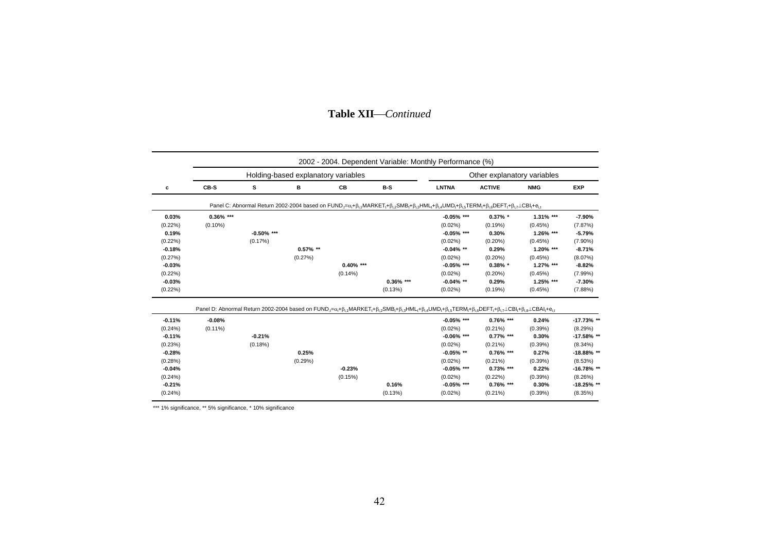#### **c CB-S S B CB B-S LNTNA ACTIVE NMG EXPEXP 0.03% 0.36% \*\*\* -0.05% \*\*\* 0.37% \* 1.31% \*\*\* -7.90%** $-7.90%$ (0.22%) (0.10%) (0.02%) (0.19%) (0.45%) (7.87%) **0.19% -0.50% \*\*\* -0.05% \*\*\* 0.30% 1.26% \*\*\* -5.79%**(0.22%) (0.17%) (0.02%) (0.20%) (0.45%) (7.90%) **-0.18% 0.57% \*\* -0.04% \*\* 0.29% 1.20% \*\*\* -8.71%** $-8.71%$ (0.27%) (0.27%) (0.02%) (0.20%) (0.45%) (8.07%) **-0.03% 0.40% \*\*\* -0.05% \*\*\* 0.38% \* 1.27% \*\*\* -8.82%** $-8.82%$ (0.22%) (0.14%) (0.02%) (0.20%) (0.45%) (7.99%) **-0.03% 0.36% \*\*\* -0.04% \*\* 0.29% 1.25% \*\*\* -7.30%**  $(0.22\%)$  (0.22%) (0.13%) (0.02%) (0.19%) (0.19%) (0.45%) (7.88%) **-0.11% -0.08% -0.05% \*\*\* 0.76% \*\*\* 0.24% -17.73% \*\*** (0.24%) (0.11%) (0.02%) (0.21%) (0.39%) (8.29%) **-0.11% -0.21% -0.06% \*\*\* 0.77% \*\*\* 0.30% -17.58% \*\***-17.58% \*\* (0.23%) (0.18%) (0.02%) (0.21%) (0.39%) (8.34%) **-0.28% 0.25% -0.05% \*\* 0.76% \*\*\* 0.27% -18.88% \*\***-18.88% \*\* (0.28%) (0.29%) (0.02%) (0.21%) (0.39%) (8.53%) **-0.04% -0.23% -0.05% \*\*\* 0.73% \*\*\* 0.22% -16.78% \*\*** $-16.78%$  \*\* (0.24%) (0.15%) (0.02%) (0.22%) (0.39%) (8.26%) **-0.21% 0.16% -0.05% \*\*\* 0.76% \*\*\* 0.30% -18.25% \*\*** (0.24%) (0.13%) (0.02%) (0.21%) (0.39%) (8.35%) Panel D: Abnormal Return 2002-2004 based on FUND, $=\alpha_1+\beta_{i,1}MARKET_t+\beta_{i,2}SMB_t+\beta_{i,3}+IML_t+\beta_{i,4}UMD_t+\beta_{i,5}TERM_t+\beta_{i,6}DEFT_t+\beta_{i,7}\perp CBI_t+\beta_{i,8}\perp CBAI_t+e_{i,1}$ Holding-based explanatory variables **Noting-** Other explanatory variables 2002 - 2004. Dependent Variable: Monthly Performance (%) Panel C: Abnormal Return 2002-2004 based on FUND, $\pi a_i + \beta_i$ , MARKET,+ $\beta_i$ , SMB,+ $\beta_i$ , HML,+ $\beta_i$ , JMB,+ $\beta_i$ , TERM,+ $\beta_i$ , DEFT,+ $\beta_i$ , LCBI,+ $e_i$

## **Table XII**⎯*Continued*

\*\*\* 1% significance, \*\* 5% significance, \* 10% significance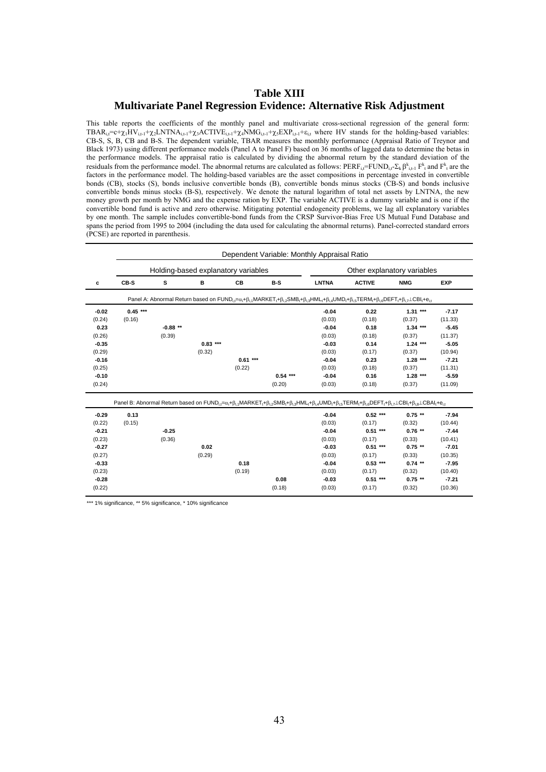## **Table XIII Multivariate Panel Regression Evidence: Alternative Risk Adjustment**

This table reports the coefficients of the monthly panel and multivariate cross-sectional regression of the general form: TBAR<sub>i,t</sub>=c+ $\chi_1HV_{i,t-1}+\chi_2LNTNA_{i,t-1}+\chi_3ACTIVE_{i,t-1}+\chi_4NMG_{i,t-1}+\chi_5EXP_{i,t-1}+\epsilon_{i,t}$  where HV stands for the holding-based variables: CB-S, S, B, CB and B-S. The dependent variable, TBAR measures the monthly performance (Appraisal Ratio of Treynor and Black 1973) using different performance models (Panel A to Panel F) based on 36 months of lagged data to determine the betas in the performance models. The appraisal ratio is calculated by dividing the abnormal return by the standard deviation of the residuals from the performance model. The abnormal returns are calculated as follows:  $PERF_{i,t}=FUND_{i,t-\sum_{k}}\beta_{i,t-1}^{k}F_{t}^{k}$  and  $F_{i}^{k}$  are the factors in the performance model. The holding-based variables are the asset compositions in percentage invested in convertible bonds (CB), stocks (S), bonds inclusive convertible bonds (B), convertible bonds minus stocks (CB-S) and bonds inclusive convertible bonds minus stocks (B-S), respectively. We denote the natural logarithm of total net assets by LNTNA, the new money growth per month by NMG and the expense ration by EXP. The variable ACTIVE is a dummy variable and is one if the convertible bond fund is active and zero otherwise. Mitigating potential endogeneity problems, we lag all explanatory variables by one month. The sample includes convertible-bond funds from the CRSP Survivor-Bias Free US Mutual Fund Database and spans the period from 1995 to 2004 (including the data used for calculating the abnormal returns). Panel-corrected standard errors (PCSE) are reported in parenthesis.

|         | Dependent Variable: Monthly Appraisal Ratio |           |                                     |           |           |              |                                                                                                                                                                                                                                                                                                                                                                                                                                              |            |            |  |  |  |  |  |
|---------|---------------------------------------------|-----------|-------------------------------------|-----------|-----------|--------------|----------------------------------------------------------------------------------------------------------------------------------------------------------------------------------------------------------------------------------------------------------------------------------------------------------------------------------------------------------------------------------------------------------------------------------------------|------------|------------|--|--|--|--|--|
|         |                                             |           | Holding-based explanatory variables |           |           |              | Other explanatory variables                                                                                                                                                                                                                                                                                                                                                                                                                  |            |            |  |  |  |  |  |
| с       | CB-S                                        | s         | в                                   | <b>CB</b> | $B-S$     | <b>LNTNA</b> | <b>ACTIVE</b>                                                                                                                                                                                                                                                                                                                                                                                                                                | <b>NMG</b> | <b>EXP</b> |  |  |  |  |  |
|         |                                             |           |                                     |           |           |              | Panel A: Abnormal Return based on $FUND_i = \alpha_i + \beta_i$ , MARKET, $+\beta_i$ , SMB, $+\beta_i$ , HML, $+\beta_i$ , JMD, $+\beta_i$ , TERM, $+\beta_i$ , DEFT, $+\beta_i$ , $\angle$ CBI, $+\epsilon_i$ ,                                                                                                                                                                                                                             |            |            |  |  |  |  |  |
| $-0.02$ | $0.45***$                                   |           |                                     |           |           | $-0.04$      | 0.22                                                                                                                                                                                                                                                                                                                                                                                                                                         | $1.31***$  | $-7.17$    |  |  |  |  |  |
| (0.24)  | (0.16)                                      |           |                                     |           |           | (0.03)       | (0.18)                                                                                                                                                                                                                                                                                                                                                                                                                                       | (0.37)     | (11.33)    |  |  |  |  |  |
| 0.23    |                                             | $-0.88**$ |                                     |           |           | $-0.04$      | 0.18                                                                                                                                                                                                                                                                                                                                                                                                                                         | $1.34***$  | $-5.45$    |  |  |  |  |  |
| (0.26)  |                                             | (0.39)    |                                     |           |           | (0.03)       | (0.18)                                                                                                                                                                                                                                                                                                                                                                                                                                       | (0.37)     | (11.37)    |  |  |  |  |  |
| $-0.35$ |                                             |           | $0.83***$                           |           |           | $-0.03$      | 0.14                                                                                                                                                                                                                                                                                                                                                                                                                                         | $1.24***$  | $-5.05$    |  |  |  |  |  |
| (0.29)  |                                             |           | (0.32)                              |           |           | (0.03)       | (0.17)                                                                                                                                                                                                                                                                                                                                                                                                                                       | (0.37)     | (10.94)    |  |  |  |  |  |
| $-0.16$ |                                             |           |                                     | $0.61***$ |           | $-0.04$      | 0.23                                                                                                                                                                                                                                                                                                                                                                                                                                         | $1.28***$  | $-7.21$    |  |  |  |  |  |
| (0.25)  |                                             |           |                                     | (0.22)    |           | (0.03)       | (0.18)                                                                                                                                                                                                                                                                                                                                                                                                                                       | (0.37)     | (11.31)    |  |  |  |  |  |
| $-0.10$ |                                             |           |                                     |           | $0.54***$ | $-0.04$      | 0.16                                                                                                                                                                                                                                                                                                                                                                                                                                         | $1.28***$  | $-5.59$    |  |  |  |  |  |
| (0.24)  |                                             |           |                                     |           | (0.20)    | (0.03)       | (0.18)                                                                                                                                                                                                                                                                                                                                                                                                                                       | (0.37)     | (11.09)    |  |  |  |  |  |
|         |                                             |           |                                     |           |           |              | Panel B: Abnormal Return based on FUND <sub>i1</sub> = $\alpha_i + \beta_i$ <sub>1</sub> MARKET <sub>1</sub> + $\beta_i$ <sub>2</sub> SMB <sub>1</sub> + $\beta_i$ <sub>3</sub> HML <sub>1</sub> + $\beta_i$ <sub>4</sub> UMD <sub>1</sub> + $\beta_i$ <sub>5</sub> TERM <sub>1</sub> + $\beta_i$ <sub>6</sub> DEFT <sub>1</sub> + $\beta_i$ <sub>7</sub> LCBI <sub>1</sub> + $\beta_i$ <sub>4</sub> LCBAI <sub>1</sub> + $e_i$ <sub>1</sub> |            |            |  |  |  |  |  |
| $-0.29$ | 0.13                                        |           |                                     |           |           | $-0.04$      | $0.52***$                                                                                                                                                                                                                                                                                                                                                                                                                                    | $0.75$ **  | $-7.94$    |  |  |  |  |  |
| (0.22)  | (0.15)                                      |           |                                     |           |           | (0.03)       | (0.17)                                                                                                                                                                                                                                                                                                                                                                                                                                       | (0.32)     | (10.44)    |  |  |  |  |  |
| $-0.21$ |                                             | $-0.25$   |                                     |           |           | $-0.04$      | $0.51***$                                                                                                                                                                                                                                                                                                                                                                                                                                    | $0.76**$   | $-7.44$    |  |  |  |  |  |
| (0.23)  |                                             | (0.36)    |                                     |           |           | (0.03)       | (0.17)                                                                                                                                                                                                                                                                                                                                                                                                                                       | (0.33)     | (10.41)    |  |  |  |  |  |
| $-0.27$ |                                             |           | 0.02                                |           |           | $-0.03$      | $0.51***$                                                                                                                                                                                                                                                                                                                                                                                                                                    | $0.75$ **  | $-7.01$    |  |  |  |  |  |
| (0.27)  |                                             |           | (0.29)                              |           |           | (0.03)       | (0.17)                                                                                                                                                                                                                                                                                                                                                                                                                                       | (0.33)     | (10.35)    |  |  |  |  |  |
| $-0.33$ |                                             |           |                                     | 0.18      |           | $-0.04$      | $0.53***$                                                                                                                                                                                                                                                                                                                                                                                                                                    | $0.74$ **  | $-7.95$    |  |  |  |  |  |
| (0.23)  |                                             |           |                                     | (0.19)    |           | (0.03)       | (0.17)                                                                                                                                                                                                                                                                                                                                                                                                                                       | (0.32)     | (10.40)    |  |  |  |  |  |
| $-0.28$ |                                             |           |                                     |           | 0.08      | $-0.03$      | $0.51***$                                                                                                                                                                                                                                                                                                                                                                                                                                    | $0.75$ **  | $-7.21$    |  |  |  |  |  |
| (0.22)  |                                             |           |                                     |           |           |              |                                                                                                                                                                                                                                                                                                                                                                                                                                              |            |            |  |  |  |  |  |

\*\*\* 1% significance, \*\* 5% significance, \* 10% significance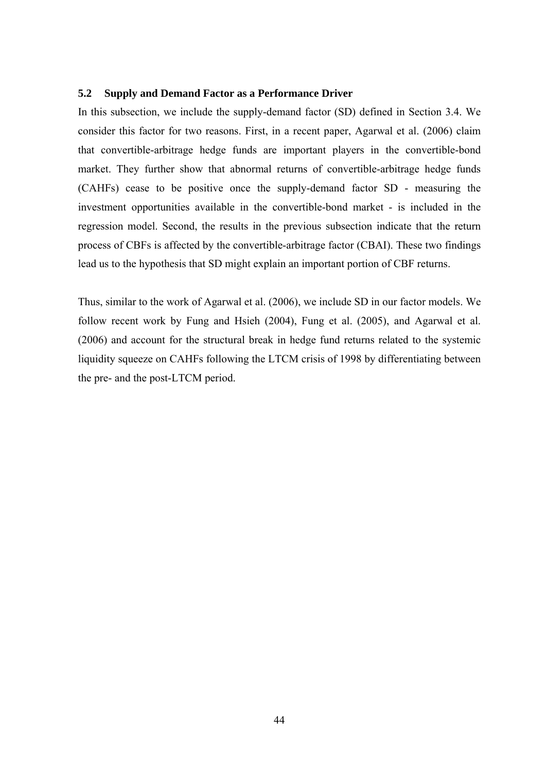#### **5.2 Supply and Demand Factor as a Performance Driver**

In this subsection, we include the supply-demand factor (SD) defined in Section 3.4. We consider this factor for two reasons. First, in a recent paper, Agarwal et al. (2006) claim that convertible-arbitrage hedge funds are important players in the convertible-bond market. They further show that abnormal returns of convertible-arbitrage hedge funds (CAHFs) cease to be positive once the supply-demand factor SD - measuring the investment opportunities available in the convertible-bond market - is included in the regression model. Second, the results in the previous subsection indicate that the return process of CBFs is affected by the convertible-arbitrage factor (CBAI). These two findings lead us to the hypothesis that SD might explain an important portion of CBF returns.

Thus, similar to the work of Agarwal et al. (2006), we include SD in our factor models. We follow recent work by Fung and Hsieh (2004), Fung et al. (2005), and Agarwal et al. (2006) and account for the structural break in hedge fund returns related to the systemic liquidity squeeze on CAHFs following the LTCM crisis of 1998 by differentiating between the pre- and the post-LTCM period.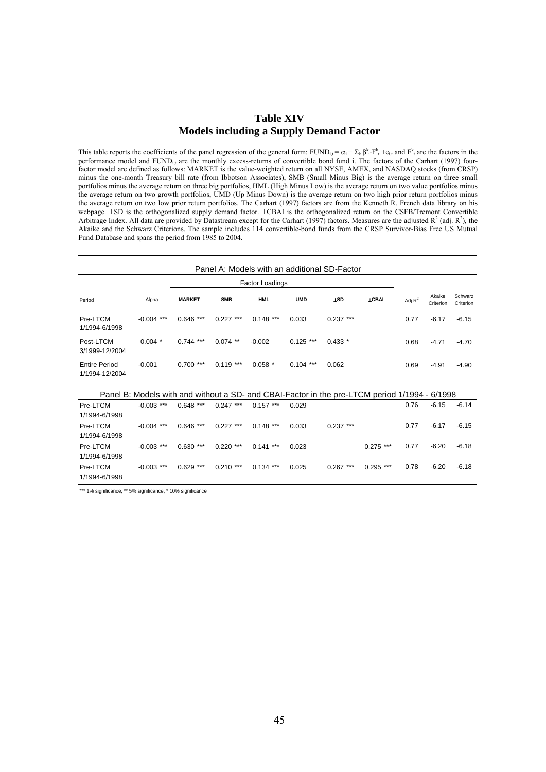## **Table XIV Models including a Supply Demand Factor**

This table reports the coefficients of the panel regression of the general form:  $FUND_{i,t} = \alpha_i + \sum_k \beta_i \cdot F^k_t + e_{i,t}$  and  $F^k$  are the factors in the performance model and FUND<sub>i,t</sub> are the monthly excess-returns of convertible bond fund i. The factors of the Carhart (1997) fourfactor model are defined as follows: MARKET is the value-weighted return on all NYSE, AMEX, and NASDAQ stocks (from CRSP) minus the one-month Treasury bill rate (from Ibbotson Associates), SMB (Small Minus Big) is the average return on three small portfolios minus the average return on three big portfolios, HML (High Minus Low) is the average return on two value portfolios minus the average return on two growth portfolios, UMD (Up Minus Down) is the average return on two high prior return portfolios minus the average return on two low prior return portfolios. The Carhart (1997) factors are from the Kenneth R. French data library on his webpage. ⊥SD is the orthogonalized supply demand factor. ⊥CBAI is the orthogonalized return on the CSFB/Tremont Convertible Arbitrage Index. All data are provided by Datastream except for the Carhart (1997) factors. Measures are the adjusted  $R^2$  (adj.  $R^2$ ), the Akaike and the Schwarz Criterions. The sample includes 114 convertible-bond funds from the CRSP Survivor-Bias Free US Mutual Fund Database and spans the period from 1985 to 2004.

| Panel A: Models with an additional SD-Factor |                                                                                               |               |             |                 |             |                         |              |           |                     |                      |  |
|----------------------------------------------|-----------------------------------------------------------------------------------------------|---------------|-------------|-----------------|-------------|-------------------------|--------------|-----------|---------------------|----------------------|--|
|                                              |                                                                                               |               |             | Factor Loadings |             |                         |              |           |                     |                      |  |
| Period                                       | Alpha                                                                                         | <b>MARKET</b> | <b>SMB</b>  | <b>HML</b>      | <b>UMD</b>  | <b>T</b> <sub>2</sub> D | <b>LCBAI</b> | Adj $R^2$ | Akaike<br>Criterion | Schwarz<br>Criterion |  |
| Pre-LTCM<br>1/1994-6/1998                    | $-0.004$ ***                                                                                  | $0.646$ ***   | $0.227$ *** | $0.148$ ***     | 0.033       | $0.237***$              |              | 0.77      | $-6.17$             | $-6.15$              |  |
| Post-LTCM<br>3/1999-12/2004                  | $0.004$ *                                                                                     | $0.744$ ***   | $0.074$ **  | $-0.002$        | $0.125$ *** | $0.433*$                |              | 0.68      | $-4.71$             | $-4.70$              |  |
| <b>Entire Period</b><br>1/1994-12/2004       | $-0.001$                                                                                      | $0.700$ ***   | $0.119***$  | $0.058*$        | $0.104$ *** | 0.062                   |              | 0.69      | $-4.91$             | $-4.90$              |  |
|                                              | Panel B: Models with and without a SD- and CBAI-Factor in the pre-LTCM period 1/1994 - 6/1998 |               |             |                 |             |                         |              |           |                     |                      |  |
| Pre-LTCM<br>1/1994-6/1998                    | $-0.003$ ***                                                                                  | $0.648$ ***   | $0.247$ *** | $0.157***$      | 0.029       |                         |              | 0.76      | $-6.15$             | $-6.14$              |  |
| Pre-LTCM<br>1/1994-6/1998                    | $-0.004$ ***                                                                                  | $0.646$ ***   | $0.227$ *** | $0.148$ ***     | 0.033       | $0.237***$              |              | 0.77      | $-6.17$             | $-6.15$              |  |
| Pre-LTCM<br>1/1994-6/1998                    | $-0.003$ ***                                                                                  | $0.630***$    | $0.220$ *** | $0.141$ ***     | 0.023       |                         | $0.275$ ***  | 0.77      | $-6.20$             | $-6.18$              |  |
| Pre-LTCM<br>1/1994-6/1998                    | $-0.003$ ***                                                                                  | $0.629$ ***   | $0.210$ *** | $0.134$ ***     | 0.025       | $0.267$ ***             | $0.295$ ***  | 0.78      | $-6.20$             | $-6.18$              |  |

\*\*\* 1% significance, \*\* 5% significance, \* 10% significance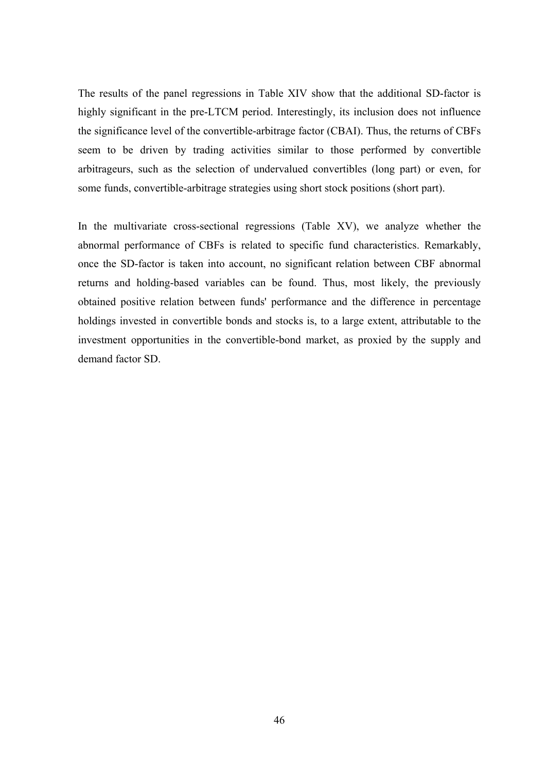The results of the panel regressions in Table XIV show that the additional SD-factor is highly significant in the pre-LTCM period. Interestingly, its inclusion does not influence the significance level of the convertible-arbitrage factor (CBAI). Thus, the returns of CBFs seem to be driven by trading activities similar to those performed by convertible arbitrageurs, such as the selection of undervalued convertibles (long part) or even, for some funds, convertible-arbitrage strategies using short stock positions (short part).

In the multivariate cross-sectional regressions (Table XV), we analyze whether the abnormal performance of CBFs is related to specific fund characteristics. Remarkably, once the SD-factor is taken into account, no significant relation between CBF abnormal returns and holding-based variables can be found. Thus, most likely, the previously obtained positive relation between funds' performance and the difference in percentage holdings invested in convertible bonds and stocks is, to a large extent, attributable to the investment opportunities in the convertible-bond market, as proxied by the supply and demand factor SD.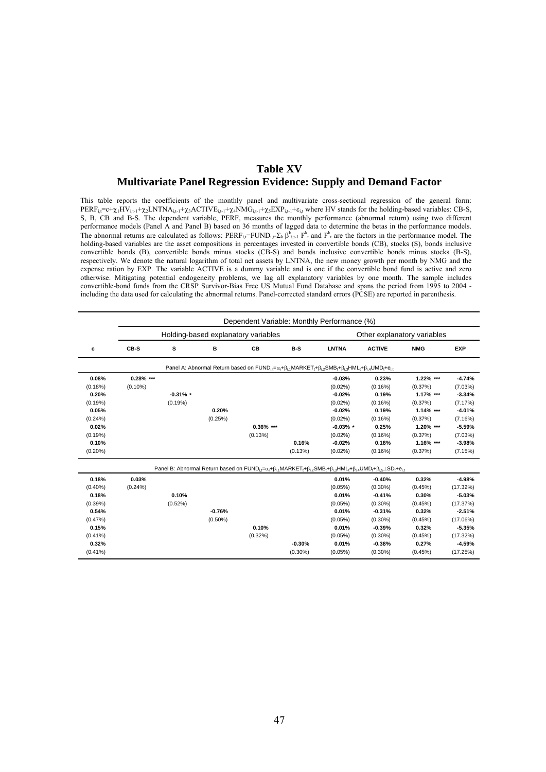## **Table XV Multivariate Panel Regression Evidence: Supply and Demand Factor**

This table reports the coefficients of the monthly panel and multivariate cross-sectional regression of the general form:  $PERF_{i,t}=c+\chi_{1}HV_{i,t-1}+\chi_{2}LNTNA_{i,t-1}+\chi_{3}ACTIVE_{i,t-1}+\chi_{4}NMG_{i,t-1}+\chi_{5}EXP_{i,t-1}+\epsilon_{i,t}$  where HV stands for the holding-based variables: CB-S, S, B, CB and B-S. The dependent variable, PERF, measures the monthly performance (abnormal return) using two different performance models (Panel A and Panel B) based on 36 months of lagged data to determine the betas in the performance models. The abnormal returns are calculated as follows:  $PERF_{i,t} = FUND_{i,t} - E_k \beta_{i,t-1}^k$  and  $F_k^k$  are the factors in the performance model. The holding-based variables are the asset compositions in percentages invested in convertible bonds (CB), stocks (S), bonds inclusive convertible bonds (B), convertible bonds minus stocks (CB-S) and bonds inclusive convertible bonds minus stocks (B-S), respectively. We denote the natural logarithm of total net assets by LNTNA, the new money growth per month by NMG and the expense ration by EXP. The variable ACTIVE is a dummy variable and is one if the convertible bond fund is active and zero otherwise. Mitigating potential endogeneity problems, we lag all explanatory variables by one month. The sample includes convertible-bond funds from the CRSP Survivor-Bias Free US Mutual Fund Database and spans the period from 1995 to 2004 including the data used for calculating the abnormal returns. Panel-corrected standard errors (PCSE) are reported in parenthesis.

|            | Dependent Variable: Monthly Performance (%) |             |            |                                                                                                                                                                                 |            |              |               |                             |            |  |  |  |  |  |
|------------|---------------------------------------------|-------------|------------|---------------------------------------------------------------------------------------------------------------------------------------------------------------------------------|------------|--------------|---------------|-----------------------------|------------|--|--|--|--|--|
|            |                                             |             |            | Holding-based explanatory variables                                                                                                                                             |            |              |               | Other explanatory variables |            |  |  |  |  |  |
| c          | CB-S                                        | s           | в          | CB                                                                                                                                                                              | $B-S$      | <b>LNTNA</b> | <b>ACTIVE</b> | <b>NMG</b>                  | <b>EXP</b> |  |  |  |  |  |
|            |                                             |             |            | Panel A: Abnormal Return based on $FUND_i = \alpha_i + \beta_i$ MARKET, $+\beta_i$ SMB, $+\beta_i$ SHML, $+\beta_i$ JUMD, $+e_i$                                                |            |              |               |                             |            |  |  |  |  |  |
| 0.08%      | $0.28\%$ ***                                |             |            |                                                                                                                                                                                 |            | $-0.03%$     | 0.23%         | 1.22% ***                   | $-4.74%$   |  |  |  |  |  |
| (0.18%)    | $(0.10\%)$                                  |             |            |                                                                                                                                                                                 |            | $(0.02\%)$   | (0.16%)       | (0.37%)                     | (7.03%)    |  |  |  |  |  |
| 0.20%      |                                             | $-0.31\%$ * |            |                                                                                                                                                                                 |            | $-0.02%$     | 0.19%         | $1.17\%$ ***                | $-3.34%$   |  |  |  |  |  |
| (0.19%)    |                                             | (0.19%)     |            |                                                                                                                                                                                 |            | $(0.02\%)$   | (0.16%)       | (0.37%)                     | (7.17%)    |  |  |  |  |  |
| 0.05%      |                                             |             | 0.20%      |                                                                                                                                                                                 |            | $-0.02%$     | 0.19%         | $1.14\%$ ***                | $-4.01%$   |  |  |  |  |  |
| (0.24%)    |                                             |             | (0.25%)    |                                                                                                                                                                                 |            | $(0.02\%)$   | (0.16%)       | (0.37%)                     | (7.16%)    |  |  |  |  |  |
| 0.02%      |                                             |             |            | $0.36\%$ ***                                                                                                                                                                    |            | $-0.03\%$ *  | 0.25%         | 1.20% ***                   | $-5.59%$   |  |  |  |  |  |
| (0.19%)    |                                             |             |            | (0.13%)                                                                                                                                                                         |            | $(0.02\%)$   | (0.16%)       | (0.37%)                     | (7.03%)    |  |  |  |  |  |
| 0.10%      |                                             |             |            |                                                                                                                                                                                 | 0.16%      | $-0.02%$     | 0.18%         | 1.16% ***                   | $-3.98%$   |  |  |  |  |  |
| $(0.20\%)$ |                                             |             |            |                                                                                                                                                                                 | (0.13%)    | $(0.02\%)$   | (0.16%)       | (0.37%)                     | (7.15%)    |  |  |  |  |  |
|            |                                             |             |            | Panel B: Abnormal Return based on $FUND_{i,t} = \alpha_i + \beta_{i,t} MARKET_t + \beta_{i,2} SMB_t + \beta_{i,3} HML_t + \beta_{i,4} UMD_t + \beta_{i,5} \perp SD_t + e_{i,t}$ |            |              |               |                             |            |  |  |  |  |  |
| 0.18%      | 0.03%                                       |             |            |                                                                                                                                                                                 |            | 0.01%        | $-0.40%$      | 0.32%                       | $-4.98%$   |  |  |  |  |  |
| $(0.40\%)$ | $(0.24\%)$                                  |             |            |                                                                                                                                                                                 |            | $(0.05\%)$   | $(0.30\%)$    | (0.45%)                     | (17.32%)   |  |  |  |  |  |
| 0.18%      |                                             | 0.10%       |            |                                                                                                                                                                                 |            | 0.01%        | $-0.41%$      | 0.30%                       | $-5.03%$   |  |  |  |  |  |
| (0.39%)    |                                             | (0.52%)     |            |                                                                                                                                                                                 |            | $(0.05\%)$   | $(0.30\%)$    | (0.45%)                     | (17.37%)   |  |  |  |  |  |
| 0.54%      |                                             |             | $-0.76%$   |                                                                                                                                                                                 |            | 0.01%        | $-0.31%$      | 0.32%                       | $-2.51%$   |  |  |  |  |  |
| (0.47%)    |                                             |             | $(0.50\%)$ |                                                                                                                                                                                 |            | $(0.05\%)$   | $(0.30\%)$    | (0.45%)                     | (17.06%)   |  |  |  |  |  |
| 0.15%      |                                             |             |            | 0.10%                                                                                                                                                                           |            | 0.01%        | $-0.39%$      | 0.32%                       | $-5.35%$   |  |  |  |  |  |
| $(0.41\%)$ |                                             |             |            | $(0.32\%)$                                                                                                                                                                      |            | (0.05%)      | $(0.30\%)$    | (0.45%)                     | (17.32%)   |  |  |  |  |  |
| 0.32%      |                                             |             |            |                                                                                                                                                                                 | $-0.30%$   | 0.01%        | $-0.38%$      | 0.27%                       | $-4.59%$   |  |  |  |  |  |
| $(0.41\%)$ |                                             |             |            |                                                                                                                                                                                 | $(0.30\%)$ | (0.05%)      | $(0.30\%)$    | (0.45%)                     | (17.25%)   |  |  |  |  |  |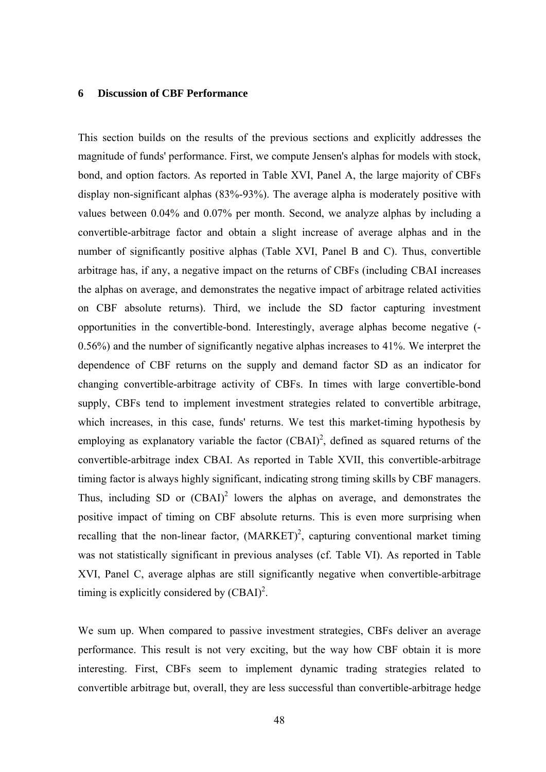#### **6 Discussion of CBF Performance**

This section builds on the results of the previous sections and explicitly addresses the magnitude of funds' performance. First, we compute Jensen's alphas for models with stock, bond, and option factors. As reported in Table XVI, Panel A, the large majority of CBFs display non-significant alphas (83%-93%). The average alpha is moderately positive with values between 0.04% and 0.07% per month. Second, we analyze alphas by including a convertible-arbitrage factor and obtain a slight increase of average alphas and in the number of significantly positive alphas (Table XVI, Panel B and C). Thus, convertible arbitrage has, if any, a negative impact on the returns of CBFs (including CBAI increases the alphas on average, and demonstrates the negative impact of arbitrage related activities on CBF absolute returns). Third, we include the SD factor capturing investment opportunities in the convertible-bond. Interestingly, average alphas become negative (- 0.56%) and the number of significantly negative alphas increases to 41%. We interpret the dependence of CBF returns on the supply and demand factor SD as an indicator for changing convertible-arbitrage activity of CBFs. In times with large convertible-bond supply, CBFs tend to implement investment strategies related to convertible arbitrage, which increases, in this case, funds' returns. We test this market-timing hypothesis by employing as explanatory variable the factor  $(CBAI)^2$ , defined as squared returns of the convertible-arbitrage index CBAI. As reported in Table XVII, this convertible-arbitrage timing factor is always highly significant, indicating strong timing skills by CBF managers. Thus, including SD or  $(CBAI)^2$  lowers the alphas on average, and demonstrates the positive impact of timing on CBF absolute returns. This is even more surprising when recalling that the non-linear factor,  $(MARKET)^2$ , capturing conventional market timing was not statistically significant in previous analyses (cf. Table VI). As reported in Table XVI, Panel C, average alphas are still significantly negative when convertible-arbitrage timing is explicitly considered by  $(CBAI)^2$ .

We sum up. When compared to passive investment strategies, CBFs deliver an average performance. This result is not very exciting, but the way how CBF obtain it is more interesting. First, CBFs seem to implement dynamic trading strategies related to convertible arbitrage but, overall, they are less successful than convertible-arbitrage hedge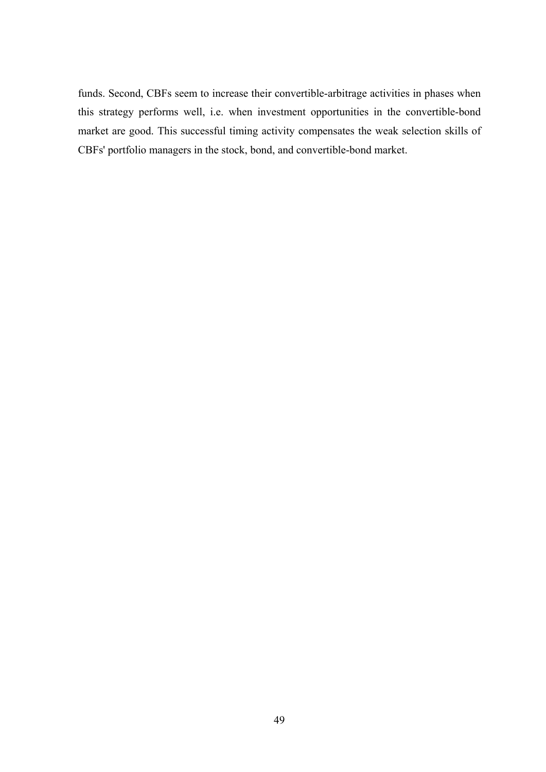funds. Second, CBFs seem to increase their convertible-arbitrage activities in phases when this strategy performs well, i.e. when investment opportunities in the convertible-bond market are good. This successful timing activity compensates the weak selection skills of CBFs' portfolio managers in the stock, bond, and convertible-bond market.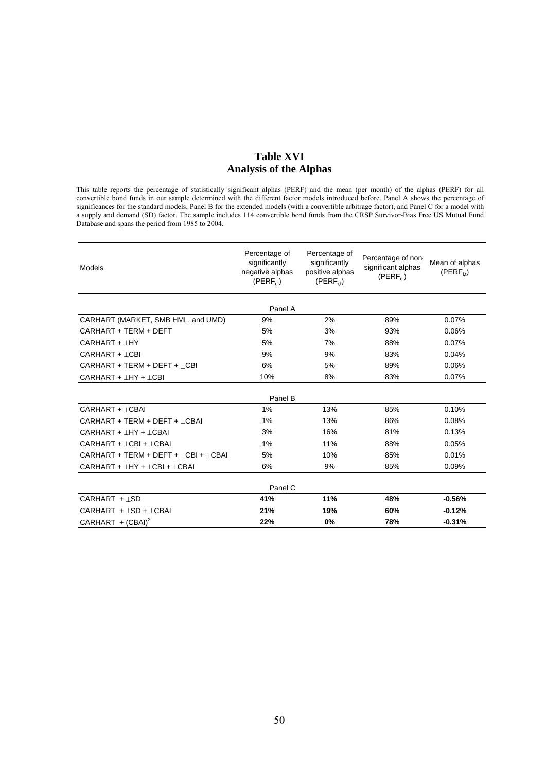## **Table XVI Analysis of the Alphas**

This table reports the percentage of statistically significant alphas (PERF) and the mean (per month) of the alphas (PERF) for all convertible bond funds in our sample determined with the different factor models introduced before. Panel A shows the percentage of significances for the standard models, Panel B for the extended models (with a convertible arbitrage factor), and Panel C for a model with a supply and demand (SD) factor. The sample includes 114 convertible bond funds from the CRSP Survivor-Bias Free US Mutual Fund Database and spans the period from 1985 to 2004.

| Models                                        | Percentage of<br>significantly<br>negative alphas<br>$(PERF_{i,t})$ | Percentage of<br>significantly<br>positive alphas<br>$(PERF_{i,t})$ | Percentage of non<br>significant alphas<br>$(PERF_{i}$ | Mean of alphas<br>$(PERF_{i,t})$ |
|-----------------------------------------------|---------------------------------------------------------------------|---------------------------------------------------------------------|--------------------------------------------------------|----------------------------------|
|                                               | Panel A                                                             |                                                                     |                                                        |                                  |
| CARHART (MARKET, SMB HML, and UMD)            | 9%                                                                  | 2%                                                                  | 89%                                                    | 0.07%                            |
| CARHART + TERM + DEFT                         | 5%                                                                  | 3%                                                                  | 93%                                                    | 0.06%                            |
| CARHART + IHY                                 | 5%                                                                  | 7%                                                                  | 88%                                                    | 0.07%                            |
| CARHART + ICBI                                | 9%                                                                  | 9%                                                                  | 83%                                                    | 0.04%                            |
| CARHART + TERM + DEFT + ICBI                  | 6%                                                                  | 5%                                                                  | 89%                                                    | 0.06%                            |
| $CARHART + HY + COI$                          | 10%                                                                 | 8%                                                                  | 83%                                                    | 0.07%                            |
|                                               | Panel B                                                             |                                                                     |                                                        |                                  |
| CARHART + LCBAI                               | $1\%$                                                               | 13%                                                                 | 85%                                                    | 0.10%                            |
| CARHART + TERM + DEFT + ICBAI                 | 1%                                                                  | 13%                                                                 | 86%                                                    | 0.08%                            |
| CARHART + IHY + ICBAI                         | 3%                                                                  | 16%                                                                 | 81%                                                    | 0.13%                            |
| CARHART + ICBI + ICBAI                        | 1%                                                                  | 11%                                                                 | 88%                                                    | 0.05%                            |
| $CARHART + TERM + DEFF + (CBI + (CBA)$        | 5%                                                                  | 10%                                                                 | 85%                                                    | 0.01%                            |
| $CARHART + \perp HY + \perp CBI + \perp CBAI$ | 6%                                                                  | 9%                                                                  | 85%                                                    | 0.09%                            |
|                                               | Panel C                                                             |                                                                     |                                                        |                                  |
| CARHART + LSD                                 | 41%                                                                 | 11%                                                                 | 48%                                                    | $-0.56%$                         |
| $CARHART +  SD +  CBAI$                       | 21%                                                                 | 19%                                                                 | 60%                                                    | $-0.12%$                         |
| CARHART + $(CBAI)^2$                          | 22%                                                                 | 0%                                                                  | 78%                                                    | $-0.31%$                         |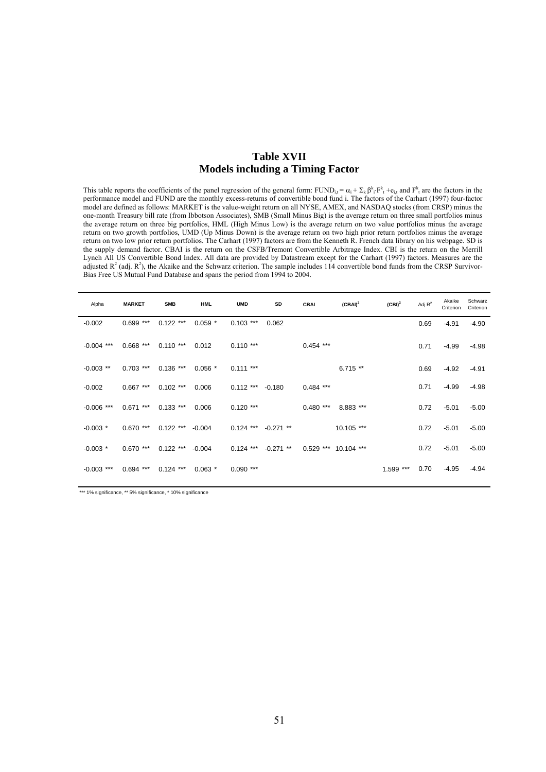## **Table XVII Models including a Timing Factor**

This table reports the coefficients of the panel regression of the general form:  $FUND_{i,t} = \alpha_i + \sum_k \beta_i \cdot F^k_t + e_{i,t}$  and  $F^k$  are the factors in the performance model and FUND are the monthly excess-returns of convertible bond fund i. The factors of the Carhart (1997) four-factor model are defined as follows: MARKET is the value-weight return on all NYSE, AMEX, and NASDAQ stocks (from CRSP) minus the one-month Treasury bill rate (from Ibbotson Associates), SMB (Small Minus Big) is the average return on three small portfolios minus the average return on three big portfolios, HML (High Minus Low) is the average return on two value portfolios minus the average return on two growth portfolios, UMD (Up Minus Down) is the average return on two high prior return portfolios minus the average return on two low prior return portfolios. The Carhart (1997) factors are from the Kenneth R. French data library on his webpage. SD is the supply demand factor. CBAI is the return on the CSFB/Tremont Convertible Arbitrage Index. CBI is the return on the Merrill Lynch All US Convertible Bond Index. All data are provided by Datastream except for the Carhart (1997) factors. Measures are the adjusted  $R^2$  (adj.  $R^2$ ), the Akaike and the Schwarz criterion. The sample includes 114 convertible bond funds from the CRSP Survivor-Bias Free US Mutual Fund Database and spans the period from 1994 to 2004.

| Alpha        | <b>MARKET</b> | <b>SMB</b>  | <b>HML</b> | <b>UMD</b>  | SD          | <b>CBAI</b> | $(CBAI)^2$           | $(CBI)^2$ | Adj $R^2$ | Akaike<br>Criterion | Schwarz<br>Criterion |
|--------------|---------------|-------------|------------|-------------|-------------|-------------|----------------------|-----------|-----------|---------------------|----------------------|
| $-0.002$     | $0.699$ ***   | $0.122$ *** | $0.059$ *  | $0.103$ *** | 0.062       |             |                      |           | 0.69      | $-4.91$             | $-4.90$              |
| $-0.004$ *** | $0.668$ ***   | $0.110***$  | 0.012      | $0.110***$  |             | $0.454$ *** |                      |           | 0.71      | $-4.99$             | $-4.98$              |
| $-0.003$ **  | $0.703$ ***   | $0.136$ *** | $0.056*$   | $0.111***$  |             |             | $6.715**$            |           | 0.69      | $-4.92$             | $-4.91$              |
| $-0.002$     | $0.667$ ***   | $0.102$ *** | 0.006      | $0.112***$  | $-0.180$    | $0.484$ *** |                      |           | 0.71      | $-4.99$             | $-4.98$              |
| $-0.006$ *** | $0.671$ ***   | $0.133$ *** | 0.006      | $0.120$ *** |             | $0.480$ *** | 8.883 ***            |           | 0.72      | $-5.01$             | $-5.00$              |
| $-0.003$ *   | $0.670$ ***   | $0.122$ *** | $-0.004$   | $0.124$ *** | $-0.271$ ** |             | 10.105 ***           |           | 0.72      | $-5.01$             | $-5.00$              |
| $-0.003$ *   | $0.670$ ***   | $0.122$ *** | $-0.004$   | $0.124$ *** | $-0.271$ ** |             | 0.529 *** 10.104 *** |           | 0.72      | $-5.01$             | $-5.00$              |
| $-0.003$ *** | $0.694$ ***   | $0.124$ *** | $0.063*$   | $0.090$ *** |             |             |                      | 1.599 *** | 0.70      | $-4.95$             | $-4.94$              |

\*\*\* 1% significance, \*\* 5% significance, \* 10% significance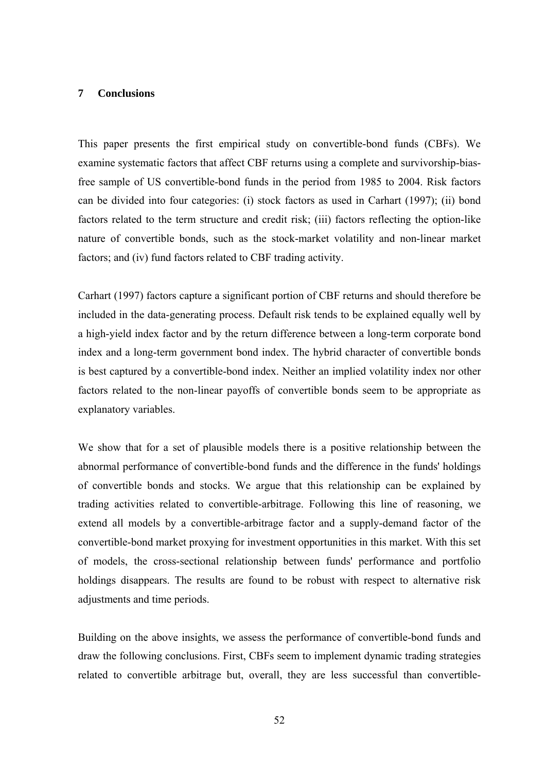#### **7 Conclusions**

This paper presents the first empirical study on convertible-bond funds (CBFs). We examine systematic factors that affect CBF returns using a complete and survivorship-biasfree sample of US convertible-bond funds in the period from 1985 to 2004. Risk factors can be divided into four categories: (i) stock factors as used in Carhart (1997); (ii) bond factors related to the term structure and credit risk; (iii) factors reflecting the option-like nature of convertible bonds, such as the stock-market volatility and non-linear market factors; and (iv) fund factors related to CBF trading activity.

Carhart (1997) factors capture a significant portion of CBF returns and should therefore be included in the data-generating process. Default risk tends to be explained equally well by a high-yield index factor and by the return difference between a long-term corporate bond index and a long-term government bond index. The hybrid character of convertible bonds is best captured by a convertible-bond index. Neither an implied volatility index nor other factors related to the non-linear payoffs of convertible bonds seem to be appropriate as explanatory variables.

We show that for a set of plausible models there is a positive relationship between the abnormal performance of convertible-bond funds and the difference in the funds' holdings of convertible bonds and stocks. We argue that this relationship can be explained by trading activities related to convertible-arbitrage. Following this line of reasoning, we extend all models by a convertible-arbitrage factor and a supply-demand factor of the convertible-bond market proxying for investment opportunities in this market. With this set of models, the cross-sectional relationship between funds' performance and portfolio holdings disappears. The results are found to be robust with respect to alternative risk adjustments and time periods.

Building on the above insights, we assess the performance of convertible-bond funds and draw the following conclusions. First, CBFs seem to implement dynamic trading strategies related to convertible arbitrage but, overall, they are less successful than convertible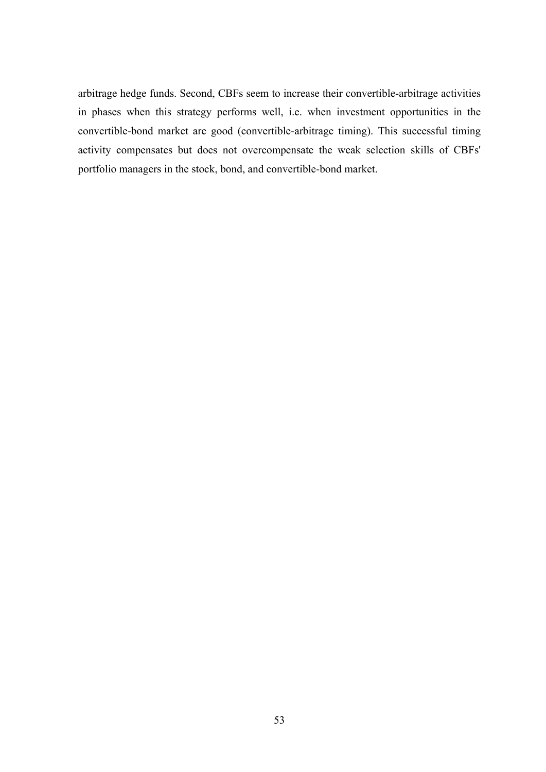arbitrage hedge funds. Second, CBFs seem to increase their convertible-arbitrage activities in phases when this strategy performs well, i.e. when investment opportunities in the convertible-bond market are good (convertible-arbitrage timing). This successful timing activity compensates but does not overcompensate the weak selection skills of CBFs' portfolio managers in the stock, bond, and convertible-bond market.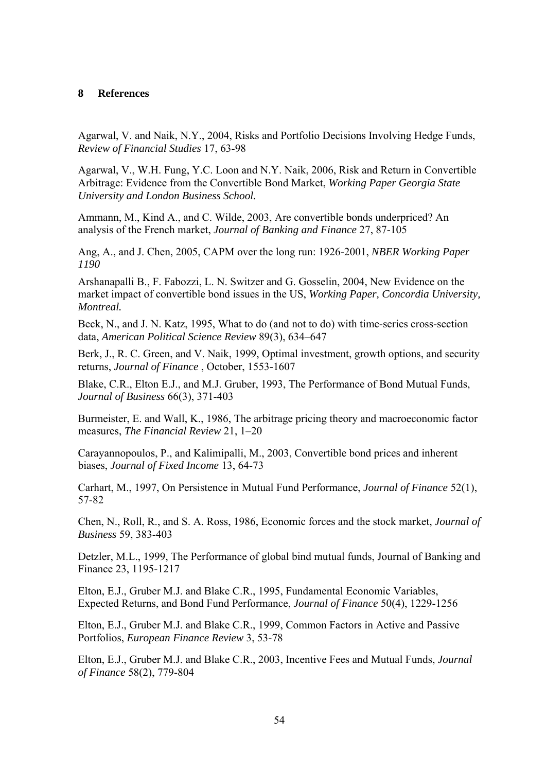## **8 References**

Agarwal, V. and Naik, N.Y., 2004, Risks and Portfolio Decisions Involving Hedge Funds, *Review of Financial Studies* 17, 63-98

Agarwal, V., W.H. Fung, Y.C. Loon and N.Y. Naik, 2006, Risk and Return in Convertible Arbitrage: Evidence from the Convertible Bond Market, *Working Paper Georgia State University and London Business School.* 

Ammann, M., Kind A., and C. Wilde, 2003, Are convertible bonds underpriced? An analysis of the French market, *Journal of Banking and Finance* 27, 87-105

Ang, A., and J. Chen, 2005, CAPM over the long run: 1926-2001, *NBER Working Paper 1190* 

Arshanapalli B., F. Fabozzi, L. N. Switzer and G. Gosselin, 2004, New Evidence on the market impact of convertible bond issues in the US, *Working Paper, Concordia University, Montreal.*

Beck, N., and J. N. Katz, 1995, What to do (and not to do) with time-series cross-section data, *American Political Science Review* 89(3), 634–647

Berk, J., R. C. Green, and V. Naik, 1999, Optimal investment, growth options, and security returns, *Journal of Finance* , October, 1553-1607

Blake, C.R., Elton E.J., and M.J. Gruber, 1993, The Performance of Bond Mutual Funds, *Journal of Business* 66(3), 371-403

Burmeister, E. and Wall, K., 1986, The arbitrage pricing theory and macroeconomic factor measures, *The Financial Review* 21, 1–20

Carayannopoulos, P., and Kalimipalli, M., 2003, Convertible bond prices and inherent biases, *Journal of Fixed Income* 13, 64-73

Carhart, M., 1997, On Persistence in Mutual Fund Performance, *Journal of Finance* 52(1), 57-82

Chen, N., Roll, R., and S. A. Ross, 1986, Economic forces and the stock market, *Journal of Business* 59, 383-403

Detzler, M.L., 1999, The Performance of global bind mutual funds, Journal of Banking and Finance 23, 1195-1217

Elton, E.J., Gruber M.J. and Blake C.R., 1995, Fundamental Economic Variables, Expected Returns, and Bond Fund Performance, *Journal of Finance* 50(4), 1229-1256

Elton, E.J., Gruber M.J. and Blake C.R., 1999, Common Factors in Active and Passive Portfolios, *European Finance Review* 3, 53-78

Elton, E.J., Gruber M.J. and Blake C.R., 2003, Incentive Fees and Mutual Funds, *Journal of Finance* 58(2), 779-804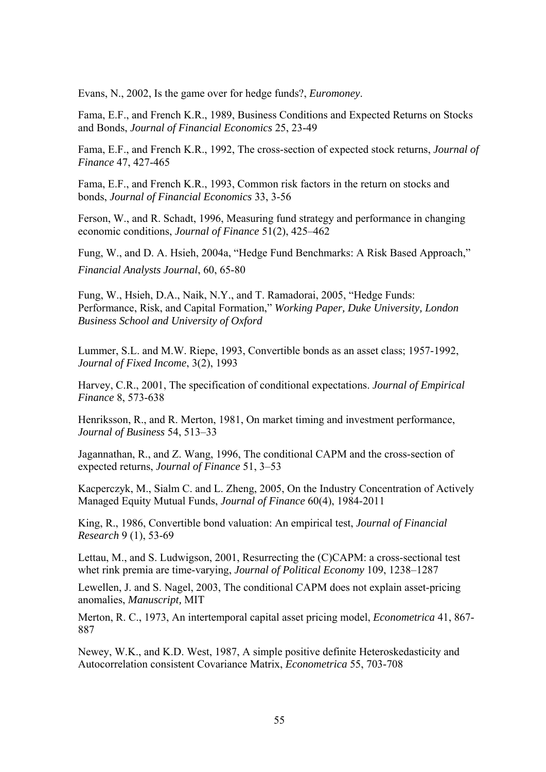Evans, N., 2002, Is the game over for hedge funds?, *Euromoney*.

Fama, E.F., and French K.R., 1989, Business Conditions and Expected Returns on Stocks and Bonds, *Journal of Financial Economics* 25, 23-49

Fama, E.F., and French K.R., 1992, The cross-section of expected stock returns, *Journal of Finance* 47, 427-465

Fama, E.F., and French K.R., 1993, Common risk factors in the return on stocks and bonds, *Journal of Financial Economics* 33, 3-56

Ferson, W., and R. Schadt, 1996, Measuring fund strategy and performance in changing economic conditions, *Journal of Finance* 51(2), 425–462

Fung, W., and D. A. Hsieh, 2004a, "Hedge Fund Benchmarks: A Risk Based Approach," *Financial Analysts Journal*, 60, 65-80

Fung, W., Hsieh, D.A., Naik, N.Y., and T. Ramadorai, 2005, "Hedge Funds: Performance, Risk, and Capital Formation," *Working Paper, Duke University, London Business School and University of Oxford*

Lummer, S.L. and M.W. Riepe, 1993, Convertible bonds as an asset class; 1957-1992, *Journal of Fixed Income*, 3(2), 1993

Harvey, C.R., 2001, The specification of conditional expectations. *Journal of Empirical Finance* 8, 573-638

Henriksson, R., and R. Merton, 1981, On market timing and investment performance, *Journal of Business* 54, 513–33

Jagannathan, R., and Z. Wang, 1996, The conditional CAPM and the cross-section of expected returns, *Journal of Finance* 51, 3–53

Kacperczyk, M., Sialm C. and L. Zheng, 2005, On the Industry Concentration of Actively Managed Equity Mutual Funds, *Journal of Finance* 60(4), 1984-2011

King, R., 1986, Convertible bond valuation: An empirical test, *Journal of Financial Research* 9 (1), 53-69

Lettau, M., and S. Ludwigson, 2001, Resurrecting the (C)CAPM: a cross-sectional test whet rink premia are time-varying, *Journal of Political Economy* 109, 1238–1287

Lewellen, J. and S. Nagel, 2003, The conditional CAPM does not explain asset-pricing anomalies, *Manuscript,* MIT

Merton, R. C., 1973, An intertemporal capital asset pricing model, *Econometrica* 41, 867- 887

Newey, W.K., and K.D. West, 1987, A simple positive definite Heteroskedasticity and Autocorrelation consistent Covariance Matrix, *Econometrica* 55, 703-708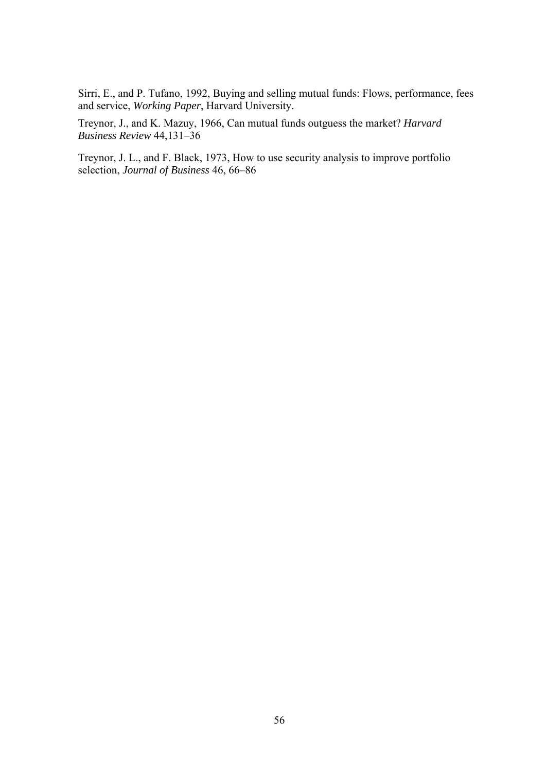Sirri, E., and P. Tufano, 1992, Buying and selling mutual funds: Flows, performance, fees and service, *Working Paper*, Harvard University.

Treynor, J., and K. Mazuy, 1966, Can mutual funds outguess the market? *Harvard Business Review* 44,131–36

Treynor, J. L., and F. Black, 1973, How to use security analysis to improve portfolio selection, *Journal of Business* 46, 66–86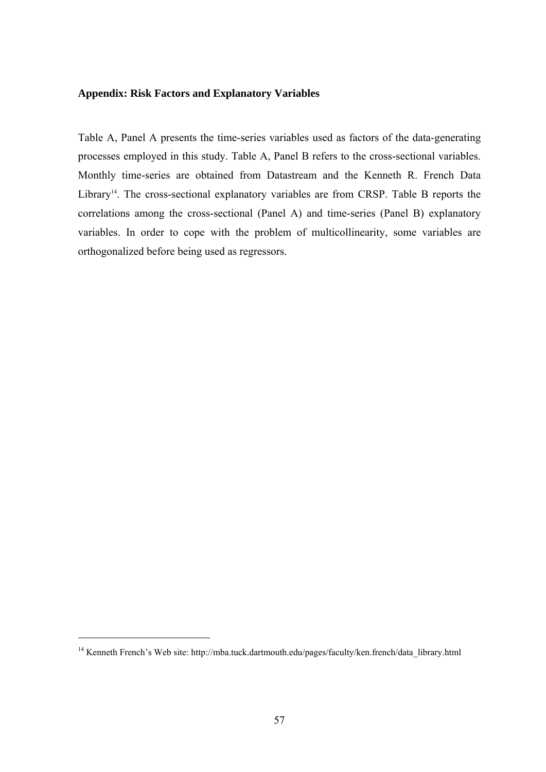## **Appendix: Risk Factors and Explanatory Variables**

Table A, Panel A presents the time-series variables used as factors of the data-generating processes employed in this study. Table A, Panel B refers to the cross-sectional variables. Monthly time-series are obtained from Datastream and the Kenneth R. French Data Library<sup>14</sup>. The cross-sectional explanatory variables are from CRSP. Table B reports the correlations among the cross-sectional (Panel A) and time-series (Panel B) explanatory variables. In order to cope with the problem of multicollinearity, some variables are orthogonalized before being used as regressors.

-

<sup>&</sup>lt;sup>14</sup> Kenneth French's Web site: http://mba.tuck.dartmouth.edu/pages/faculty/ken.french/data\_library.html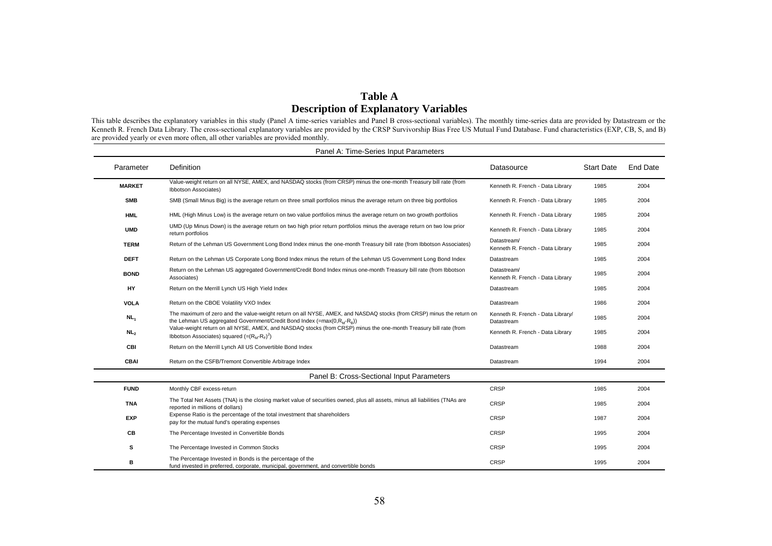## **Table A Description of Explanatory Variables**

This table describes the explanatory variables in this study (Panel A time-series variables and Panel B cross-sectional variables). The monthly time-series data are provided by Datastream or the Kenneth R. French Data Library. The cross-sectional explanatory variables are provided by the CRSP Survivorship Bias Free US Mutual Fund Database. Fund characteristics (EXP, CB, S, and B) are provided yearly or even more often, all other variables are provided monthly.

|                 | Panel A: Time-Series Input Parameters                                                                                                                                                                  |                                                 |                   |                 |  |  |  |  |  |  |  |  |  |
|-----------------|--------------------------------------------------------------------------------------------------------------------------------------------------------------------------------------------------------|-------------------------------------------------|-------------------|-----------------|--|--|--|--|--|--|--|--|--|
| Parameter       | <b>Definition</b>                                                                                                                                                                                      | Datasource                                      | <b>Start Date</b> | <b>End Date</b> |  |  |  |  |  |  |  |  |  |
| <b>MARKET</b>   | Value-weight return on all NYSE, AMEX, and NASDAQ stocks (from CRSP) minus the one-month Treasury bill rate (from<br>Ibbotson Associates)                                                              | Kenneth R. French - Data Library                | 1985              | 2004            |  |  |  |  |  |  |  |  |  |
| <b>SMB</b>      | SMB (Small Minus Big) is the average return on three small portfolios minus the average return on three big portfolios                                                                                 | Kenneth R. French - Data Library                | 1985              | 2004            |  |  |  |  |  |  |  |  |  |
| <b>HML</b>      | HML (High Minus Low) is the average return on two value portfolios minus the average return on two growth portfolios                                                                                   | Kenneth R. French - Data Library                | 1985              | 2004            |  |  |  |  |  |  |  |  |  |
| <b>UMD</b>      | UMD (Up Minus Down) is the average return on two high prior return portfolios minus the average return on two low prior<br>return portfolios                                                           | Kenneth R. French - Data Library                | 1985              | 2004            |  |  |  |  |  |  |  |  |  |
| <b>TERM</b>     | Return of the Lehman US Government Long Bond Index minus the one-month Treasury bill rate (from Ibbotson Associates)                                                                                   | Datastream/<br>Kenneth R. French - Data Library | 1985              | 2004            |  |  |  |  |  |  |  |  |  |
| <b>DEFT</b>     | Return on the Lehman US Corporate Long Bond Index minus the return of the Lehman US Government Long Bond Index                                                                                         | Datastream                                      | 1985              | 2004            |  |  |  |  |  |  |  |  |  |
| <b>BOND</b>     | Return on the Lehman US aggregated Government/Credit Bond Index minus one-month Treasury bill rate (from Ibbotson<br>Associates)                                                                       | Datastream/<br>Kenneth R. French - Data Library | 1985              | 2004            |  |  |  |  |  |  |  |  |  |
| HY              | Return on the Merrill Lynch US High Yield Index                                                                                                                                                        | Datastream                                      | 1985              | 2004            |  |  |  |  |  |  |  |  |  |
| <b>VOLA</b>     | Return on the CBOE Volatility VXO Index                                                                                                                                                                | Datastream                                      | 1986              | 2004            |  |  |  |  |  |  |  |  |  |
| NL <sub>1</sub> | The maximum of zero and the value-weight return on all NYSE, AMEX, and NASDAQ stocks (from CRSP) minus the return on<br>the Lehman US aggregated Government/Credit Bond Index (= $max(0, R_M - R_B)$ ) | Kenneth R. French - Data Library/<br>Datastream | 1985              | 2004            |  |  |  |  |  |  |  |  |  |
| NL <sub>2</sub> | Value-weight return on all NYSE, AMEX, and NASDAQ stocks (from CRSP) minus the one-month Treasury bill rate (from<br>Ibbotson Associates) squared $(=(R_M-R_F)^2)$                                     | Kenneth R. French - Data Library                | 1985              | 2004            |  |  |  |  |  |  |  |  |  |
| <b>CBI</b>      | Return on the Merrill Lynch All US Convertible Bond Index                                                                                                                                              | Datastream                                      | 1988              | 2004            |  |  |  |  |  |  |  |  |  |
| <b>CBAI</b>     | Return on the CSFB/Tremont Convertible Arbitrage Index                                                                                                                                                 | Datastream                                      | 1994              | 2004            |  |  |  |  |  |  |  |  |  |
|                 | Panel B: Cross-Sectional Input Parameters                                                                                                                                                              |                                                 |                   |                 |  |  |  |  |  |  |  |  |  |
| <b>FUND</b>     | Monthly CBF excess-return                                                                                                                                                                              | <b>CRSP</b>                                     | 1985              | 2004            |  |  |  |  |  |  |  |  |  |
| <b>TNA</b>      | The Total Net Assets (TNA) is the closing market value of securities owned, plus all assets, minus all liabilities (TNAs are<br>reported in millions of dollars)                                       | <b>CRSP</b>                                     | 1985              | 2004            |  |  |  |  |  |  |  |  |  |
| <b>EXP</b>      | Expense Ratio is the percentage of the total investment that shareholders<br>pay for the mutual fund's operating expenses                                                                              | <b>CRSP</b>                                     | 1987              | 2004            |  |  |  |  |  |  |  |  |  |
| CВ              | The Percentage Invested in Convertible Bonds                                                                                                                                                           | <b>CRSP</b>                                     | 1995              | 2004            |  |  |  |  |  |  |  |  |  |
| s               | The Percentage Invested in Common Stocks                                                                                                                                                               | <b>CRSP</b>                                     | 1995              | 2004            |  |  |  |  |  |  |  |  |  |
| в               | The Percentage Invested in Bonds is the percentage of the<br>fund invested in preferred, corporate, municipal, government, and convertible bonds                                                       | <b>CRSP</b>                                     | 1995              | 2004            |  |  |  |  |  |  |  |  |  |